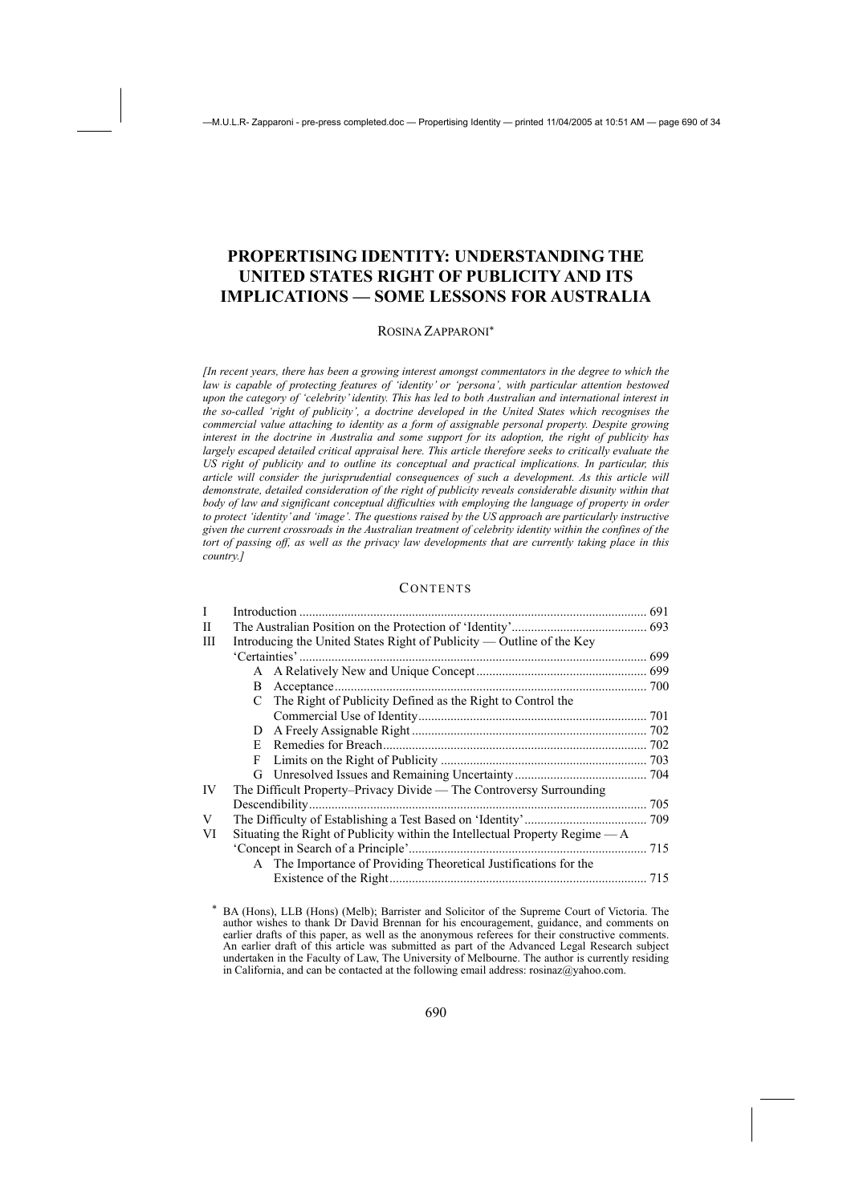# **PROPERTISING IDENTITY: UNDERSTANDING THE UNITED STATES RIGHT OF PUBLICITY AND ITS IMPLICATIONS — SOME LESSONS FOR AUSTRALIA**

#### ROSINA ZAPPARONI<sup>∗</sup>

*[In recent years, there has been a growing interest amongst commentators in the degree to which the law is capable of protecting features of 'identity' or 'persona', with particular attention bestowed upon the category of 'celebrity' identity. This has led to both Australian and international interest in the so-called 'right of publicity', a doctrine developed in the United States which recognises the commercial value attaching to identity as a form of assignable personal property. Despite growing interest in the doctrine in Australia and some support for its adoption, the right of publicity has largely escaped detailed critical appraisal here. This article therefore seeks to critically evaluate the US right of publicity and to outline its conceptual and practical implications. In particular, this article will consider the jurisprudential consequences of such a development. As this article will demonstrate, detailed consideration of the right of publicity reveals considerable disunity within that body of law and significant conceptual difficulties with employing the language of property in order to protect 'identity' and 'image'. The questions raised by the US approach are particularly instructive given the current crossroads in the Australian treatment of celebrity identity within the confines of the tort of passing off, as well as the privacy law developments that are currently taking place in this country.]* 

#### **CONTENTS**

| I  | Introduction                                                                  |                                                                  |     |
|----|-------------------------------------------------------------------------------|------------------------------------------------------------------|-----|
| Н  |                                                                               |                                                                  |     |
| Ш  | Introducing the United States Right of Publicity — Outline of the Key         |                                                                  |     |
|    |                                                                               |                                                                  |     |
|    |                                                                               |                                                                  |     |
|    | B.                                                                            | Acceptance                                                       |     |
|    |                                                                               | C The Right of Publicity Defined as the Right to Control the     |     |
|    |                                                                               |                                                                  |     |
|    | D.                                                                            |                                                                  |     |
|    | E.                                                                            |                                                                  |     |
|    | F                                                                             |                                                                  |     |
|    |                                                                               |                                                                  |     |
| IV | The Difficult Property–Privacy Divide — The Controversy Surrounding           |                                                                  |     |
|    |                                                                               |                                                                  | 705 |
| V  |                                                                               |                                                                  |     |
| VI | Situating the Right of Publicity within the Intellectual Property Regime $-A$ |                                                                  |     |
|    |                                                                               |                                                                  |     |
|    |                                                                               | A The Importance of Providing Theoretical Justifications for the |     |
|    |                                                                               |                                                                  |     |
|    |                                                                               |                                                                  |     |

<sup>∗</sup> BA (Hons), LLB (Hons) (Melb); Barrister and Solicitor of the Supreme Court of Victoria. The author wishes to thank Dr David Brennan for his encouragement, guidance, and comments on earlier drafts of this paper, as well as the anonymous referees for their constructive comments. An earlier draft of this article was submitted as part of the Advanced Legal Research subject undertaken in the Faculty of Law, The University of Melbourne. The author is currently residing in California, and can be contacted at the following email address:  $rosinaz@yahoo.com$ .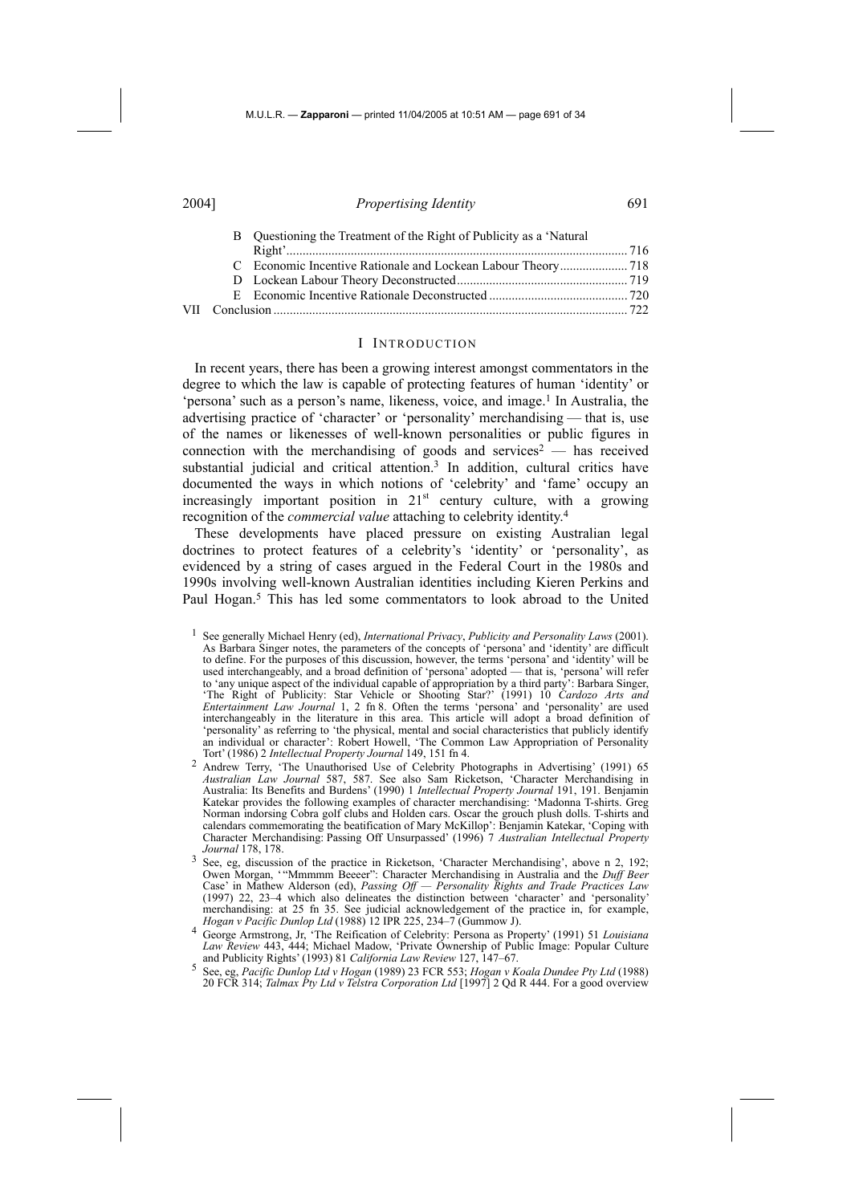|  | B Questioning the Treatment of the Right of Publicity as a 'Natural' |  |
|--|----------------------------------------------------------------------|--|
|  |                                                                      |  |
|  |                                                                      |  |
|  |                                                                      |  |
|  |                                                                      |  |
|  |                                                                      |  |
|  |                                                                      |  |

#### I INTRODUCTION

In recent years, there has been a growing interest amongst commentators in the degree to which the law is capable of protecting features of human 'identity' or 'persona' such as a person's name, likeness, voice, and image.1 In Australia, the advertising practice of 'character' or 'personality' merchandising — that is, use of the names or likenesses of well-known personalities or public figures in connection with the merchandising of goods and services<sup>2</sup> — has received substantial judicial and critical attention.<sup>3</sup> In addition, cultural critics have documented the ways in which notions of 'celebrity' and 'fame' occupy an increasingly important position in  $21<sup>st</sup>$  century culture, with a growing recognition of the *commercial value* attaching to celebrity identity.4

These developments have placed pressure on existing Australian legal doctrines to protect features of a celebrity's 'identity' or 'personality', as evidenced by a string of cases argued in the Federal Court in the 1980s and 1990s involving well-known Australian identities including Kieren Perkins and Paul Hogan.<sup>5</sup> This has led some commentators to look abroad to the United

- *Hogan v Pacific Dunlop Ltd* (1988) 12 IPR 225, 234–7 (Gummow J). 4 George Armstrong, Jr, 'The Reification of Celebrity: Persona as Property' (1991) 51 *Louisiana Law Review* 443, 444; Michael Madow, 'Private Ownership of Public Image: Popular Culture and Publicity Rights' (1993) 81 *California Law Review* 127, 147–67.
- 5 See, eg, *Pacific Dunlop Ltd v Hogan* (1989) 23 FCR 553; *Hogan v Koala Dundee Pty Ltd* (1988) 20 FCR 314; *Talmax Pty Ltd v Telstra Corporation Ltd* [1997] 2 Qd R 444. For a good overview

<sup>1</sup> See generally Michael Henry (ed), *International Privacy*, *Publicity and Personality Laws* (2001). As Barbara Singer notes, the parameters of the concepts of 'persona' and 'identity' are difficult to define. For the purposes of this discussion, however, the terms 'persona' and 'identity' will be used interchangeably, and a broad definition of 'persona' adopted — that is, 'persona' will refer to 'any unique aspect of the individual capable of appropriation by a third party': Barbara Singer, 'The Right of Publicity: Star Vehicle or Shooting Star?' (1991) 10 *Cardozo Arts and Entertainment Law Journal* 1, 2 fn 8. Often the terms 'persona' and 'personality' are used interchangeably in the literature in this area. This article will adopt a broad definition of 'personality' as referring to 'the physical, mental and social characteristics that publicly identify an individual or character': Robert Howell, 'The Common Law Appropriation of Personality Tort' (1986) 2 *Intellectual Property Journal* 149, 151 fn 4.

<sup>2</sup> Andrew Terry, 'The Unauthorised Use of Celebrity Photographs in Advertising' (1991) 65 *Australian Law Journal* 587, 587. See also Sam Ricketson, 'Character Merchandising in Australia: Its Benefits and Burdens' (1990) 1 *Intellectual Property Journal* 191, 191. Benjamin Katekar provides the following examples of character merchandising: 'Madonna T-shirts. Greg Norman indorsing Cobra golf clubs and Holden cars. Oscar the grouch plush dolls. T-shirts and calendars commemorating the beatification of Mary McKillop': Benjamin Katekar, 'Coping with Character Merchandising: Passing Off Unsurpassed' (1996) 7 *Australian Intellectual Property Journal* 178, 178.

<sup>&</sup>lt;sup>3</sup> See, eg, discussion of the practice in Ricketson, 'Character Merchandising', above n 2, 192; Owen Morgan, '"Mmmmm Beeeer": Character Merchandising in Australia and the *Duff Beer* Case' in Mathew Alderson (ed), *Passing Off — Personality Rights and Trade Practices Law* (1997) 22, 23–4 which also delineates the distinction between 'character' and 'personality' merchandising: at 25 fn 35. See judicial acknowledgement of the practice in, for example,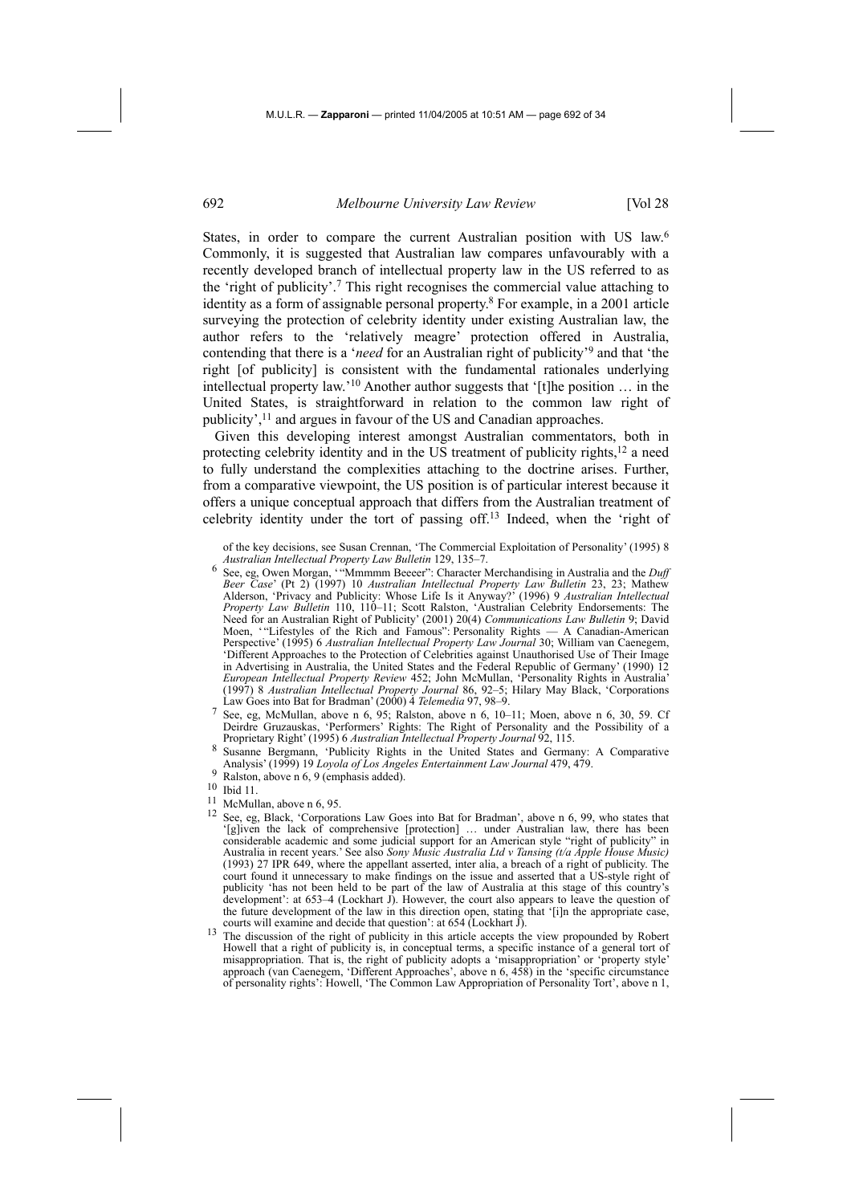States, in order to compare the current Australian position with US law.<sup>6</sup> Commonly, it is suggested that Australian law compares unfavourably with a recently developed branch of intellectual property law in the US referred to as the 'right of publicity'.7 This right recognises the commercial value attaching to identity as a form of assignable personal property.8 For example, in a 2001 article surveying the protection of celebrity identity under existing Australian law, the author refers to the 'relatively meagre' protection offered in Australia, contending that there is a '*need* for an Australian right of publicity'9 and that 'the right [of publicity] is consistent with the fundamental rationales underlying intellectual property law.'10 Another author suggests that '[t]he position … in the United States, is straightforward in relation to the common law right of publicity',<sup>11</sup> and argues in favour of the US and Canadian approaches.

Given this developing interest amongst Australian commentators, both in protecting celebrity identity and in the US treatment of publicity rights, $^{12}$  a need to fully understand the complexities attaching to the doctrine arises. Further, from a comparative viewpoint, the US position is of particular interest because it offers a unique conceptual approach that differs from the Australian treatment of celebrity identity under the tort of passing off.13 Indeed, when the 'right of

- 6 See, eg, Owen Morgan, '"Mmmmm Beeeer": Character Merchandising in Australia and the *Duff Beer Case*' (Pt 2) (1997) 10 *Australian Intellectual Property Law Bulletin* 23, 23; Mathew Alderson, 'Privacy and Publicity: Whose Life Is it Anyway?' (1996) 9 *Australian Intellectual Property Law Bulletin* 110, 110–11; Scott Ralston, 'Australian Celebrity Endorsements: The Need for an Australian Right of Publicity' (2001) 20(4) *Communications Law Bulletin* 9; David Moen, '"Lifestyles of the Rich and Famous": Personality Rights — A Canadian-American Perspective' (1995) 6 *Australian Intellectual Property Law Journal* 30; William van Caenegem, 'Different Approaches to the Protection of Celebrities against Unauthorised Use of Their Image in Advertising in Australia, the United States and the Federal Republic of Germany' (1990) 12 *European Intellectual Property Review* 452; John McMullan, 'Personality Rights in Australia' (1997) 8 *Australian Intellectual Property Journal* 86, 92–5; Hilary May Black, 'Corporations Law Goes into Bat for Bradman' (2000) 4 *Telemedia* 97, 98–9.
- 7 See, eg, McMullan, above n 6, 95; Ralston, above n 6, 10–11; Moen, above n 6, 30, 59. Cf Deirdre Gruzauskas, 'Performers' Rights: The Right of Personality and the Possibility of a Proprietary Right' (1995) 6 *Australian Intellectual Property Journal* 92, 115.
- 8 Susanne Bergmann, 'Publicity Rights in the United States and Germany: A Comparative Analysis' (1999) 19 *Loyola of Los Angeles Entertainment Law Journal* 479, 479.
- $\frac{9}{9}$  Ralston, above n 6, 9 (emphasis added).<br>10 Ibid 11.
- 11 McMullan, above n 6, 95.
- 12 See, eg, Black, 'Corporations Law Goes into Bat for Bradman', above n 6, 99, who states that '[g]iven the lack of comprehensive [protection] … under Australian law, there has been considerable academic and some judicial support for an American style "right of publicity" in Australia in recent years.' See also *Sony Music Australia Ltd v Tansing (t/a Apple House Music)* (1993) 27 IPR 649, where the appellant asserted, inter alia, a breach of a right of publicity. The court found it unnecessary to make findings on the issue and asserted that a US-style right of publicity 'has not been held to be part of the law of Australia at this stage of this country's development': at 653–4 (Lockhart J). However, the court also appears to leave the question of the future development of the law in this direction open, stating that '[i]n the appropriate case,
- courts will examine and decide that question': at 654 (Lockhart J).<br><sup>13</sup> The discussion of the right of publicity in this article accepts the view propounded by Robert Howell that a right of publicity is, in conceptual terms, a specific instance of a general tort of misappropriation. That is, the right of publicity adopts a 'misappropriation' or 'property style' approach (van Caenegem, 'Different Approaches', above n 6, 458) in the 'specific circumstance of personality rights': Howell, 'The Common Law Appropriation of Personality Tort', above n 1,

of the key decisions, see Susan Crennan, 'The Commercial Exploitation of Personality' (1995) 8 *Australian Intellectual Property Law Bulletin* 129, 135–7.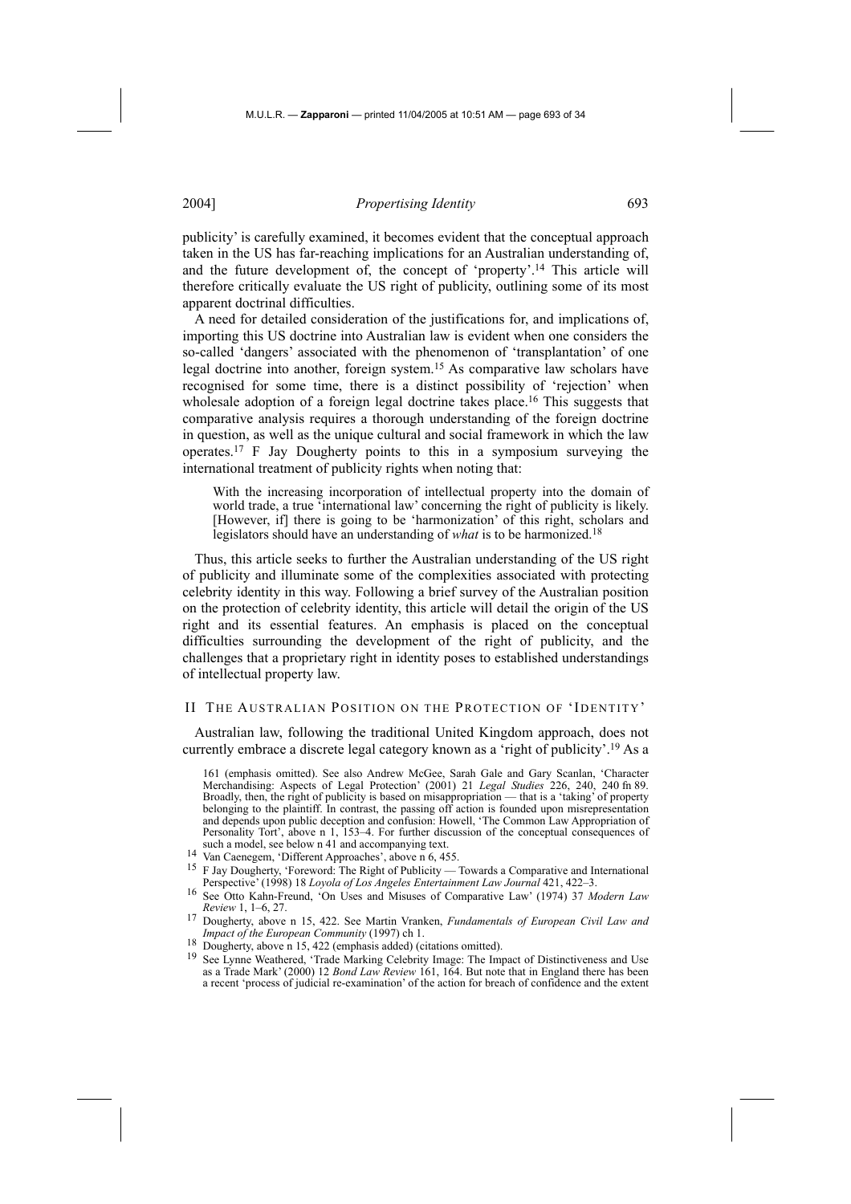publicity' is carefully examined, it becomes evident that the conceptual approach taken in the US has far-reaching implications for an Australian understanding of, and the future development of, the concept of 'property'.14 This article will therefore critically evaluate the US right of publicity, outlining some of its most apparent doctrinal difficulties.

A need for detailed consideration of the justifications for, and implications of, importing this US doctrine into Australian law is evident when one considers the so-called 'dangers' associated with the phenomenon of 'transplantation' of one legal doctrine into another, foreign system.15 As comparative law scholars have recognised for some time, there is a distinct possibility of 'rejection' when wholesale adoption of a foreign legal doctrine takes place.<sup>16</sup> This suggests that comparative analysis requires a thorough understanding of the foreign doctrine in question, as well as the unique cultural and social framework in which the law operates.17 F Jay Dougherty points to this in a symposium surveying the international treatment of publicity rights when noting that:

With the increasing incorporation of intellectual property into the domain of world trade, a true 'international law' concerning the right of publicity is likely. [However, if] there is going to be 'harmonization' of this right, scholars and legislators should have an understanding of *what* is to be harmonized.18

Thus, this article seeks to further the Australian understanding of the US right of publicity and illuminate some of the complexities associated with protecting celebrity identity in this way. Following a brief survey of the Australian position on the protection of celebrity identity, this article will detail the origin of the US right and its essential features. An emphasis is placed on the conceptual difficulties surrounding the development of the right of publicity, and the challenges that a proprietary right in identity poses to established understandings of intellectual property law.

#### II THE AUSTRALIAN POSITION ON THE PROTECTION OF 'IDENTITY'

Australian law, following the traditional United Kingdom approach, does not currently embrace a discrete legal category known as a 'right of publicity'.19 As a

161 (emphasis omitted). See also Andrew McGee, Sarah Gale and Gary Scanlan, 'Character Merchandising: Aspects of Legal Protection' (2001) 21 *Legal Studies* 226, 240, 240 fn 89. Broadly, then, the right of publicity is based on misappropriation — that is a 'taking' of property belonging to the plaintiff. In contrast, the passing off action is founded upon misrepresentation and depends upon public deception and confusion: Howell, 'The Common Law Appropriation of Personality Tort', above n 1, 153–4. For further discussion of the conceptual consequences of such a model, see below n 41 and accompanying text.

- such a model, see below n 41 and accompanying text. 14 Van Caenegem, 'Different Approaches', above n 6, 455.<br>
<sup>15</sup> F Isy Dougherty, 'Expanyord: The Bight of Bublicity.
- 15 F Jay Dougherty, 'Foreword: The Right of Publicity Towards a Comparative and International
- Perspective' (1998) 18 *Loyola of Los Angeles Entertainment Law Journal* 421, 422–3. 16 See Otto Kahn-Freund, 'On Uses and Misuses of Comparative Law' (1974) 37 *Modern Law*
- *Review* 1, 1–6, 27.
- 17 Dougherty, above n 15, 422. See Martin Vranken, *Fundamentals of European Civil Law and IMPact of the European Community* (1997) ch 1.<br>
<sup>18</sup> Dougherty, above n 15, 422 (emphasis added) (citations omitted).<br>
<sup>19</sup> See Lynne Weathered, 'Trade Marking Celebrity Image: The Impact of Distinctiveness and Use
- 
- as a Trade Mark' (2000) 12 *Bond Law Review* 161, 164. But note that in England there has been a recent 'process of judicial re-examination' of the action for breach of confidence and the extent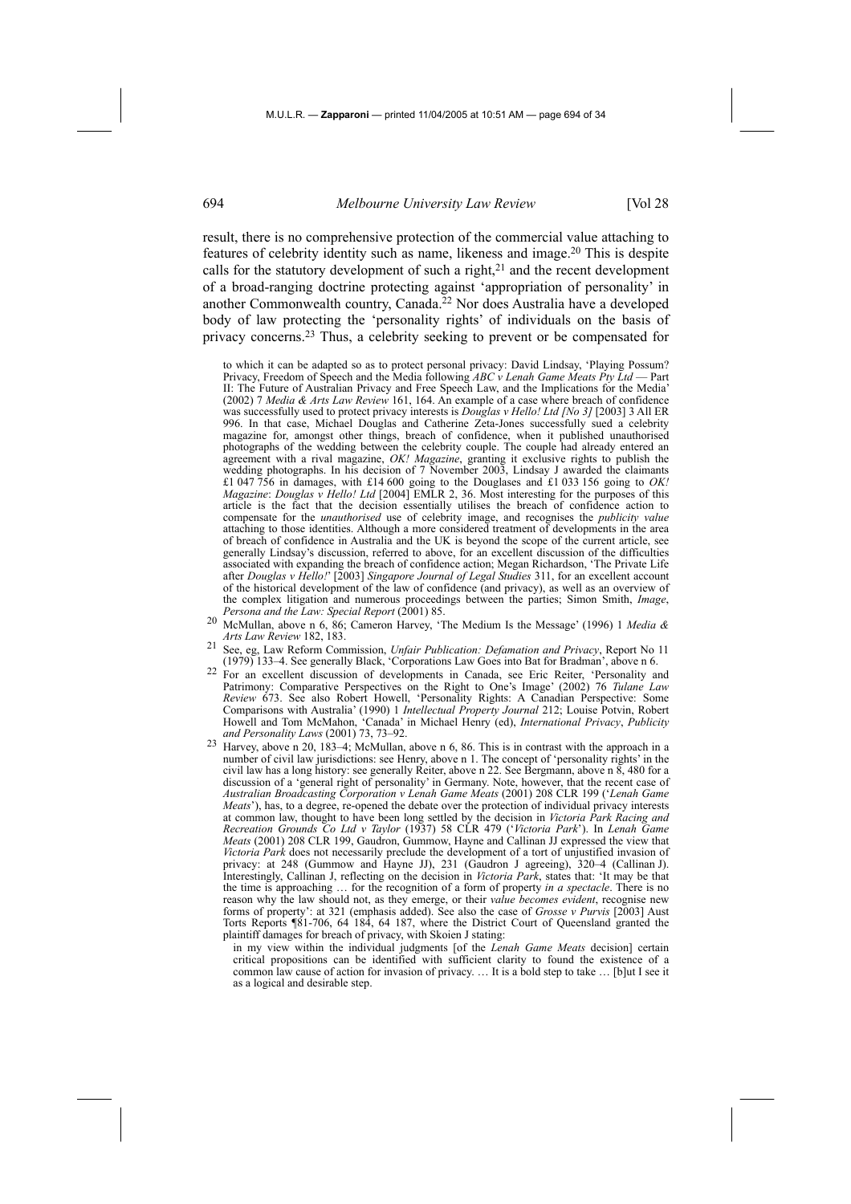result, there is no comprehensive protection of the commercial value attaching to features of celebrity identity such as name, likeness and image.20 This is despite calls for the statutory development of such a right, $21$  and the recent development of a broad-ranging doctrine protecting against 'appropriation of personality' in another Commonwealth country, Canada.22 Nor does Australia have a developed body of law protecting the 'personality rights' of individuals on the basis of privacy concerns.23 Thus, a celebrity seeking to prevent or be compensated for

to which it can be adapted so as to protect personal privacy: David Lindsay, 'Playing Possum? Privacy, Freedom of Speech and the Media following *ABC v Lenah Game Meats Pty Ltd* -II: The Future of Australian Privacy and Free Speech Law, and the Implications for the Media' (2002) 7 *Media & Arts Law Review* 161, 164. An example of a case where breach of confidence was successfully used to protect privacy interests is *Douglas v Hello! Ltd [No 3]* [2003] 3 All ER 996. In that case, Michael Douglas and Catherine Zeta-Jones successfully sued a celebrity magazine for, amongst other things, breach of confidence, when it published unauthorised photographs of the wedding between the celebrity couple. The couple had already entered an agreement with a rival magazine, *OK! Magazine*, granting it exclusive rights to publish the wedding photographs. In his decision of 7 November 2003, Lindsay J awarded the claimants £1 047 756 in damages, with £14 600 going to the Douglases and £1 033 156 going to *OK! Magazine*: *Douglas v Hello! Ltd* [2004] EMLR 2, 36. Most interesting for the purposes of this article is the fact that the decision essentially utilises the breach of confidence action to compensate for the *unauthorised* use of celebrity image, and recognises the *publicity value* attaching to those identities. Although a more considered treatment of developments in the area of breach of confidence in Australia and the UK is beyond the scope of the current article, see generally Lindsay's discussion, referred to above, for an excellent discussion of the difficulties associated with expanding the breach of confidence action; Megan Richardson, 'The Private Life after *Douglas v Hello!*' [2003] *Singapore Journal of Legal Studies* 311, for an excellent account of the historical development of the law of confidence (and privacy), as well as an overview of the complex litigation and numerous proceedings between the parties; Simon Smith, *Image*,

- *Persona and the Law: Special Report* (2001) 85. 20 McMullan, above n 6, 86; Cameron Harvey, 'The Medium Is the Message' (1996) 1 *Media & Arts Law Review* 182, 183.
- 21 See, eg, Law Reform Commission, *Unfair Publication: Defamation and Privacy*, Report No 11 (1979) 133–4. See generally Black, 'Corporations Law Goes into Bat for Bradman', above n 6.
- 22 For an excellent discussion of developments in Canada, see Eric Reiter, 'Personality and Patrimony: Comparative Perspectives on the Right to One's Image' (2002) 76 *Tulane Law Review* 673. See also Robert Howell, 'Personality Rights: A Canadian Perspective: Some Comparisons with Australia' (1990) 1 *Intellectual Property Journal* 212; Louise Potvin, Robert Howell and Tom McMahon, 'Canada' in Michael Henry (ed), *International Privacy*, *Publicity*
- <sup>23</sup> Harvey, above n 20, 183–4; McMullan, above n 6, 86. This is in contrast with the approach in a number of civil law jurisdictions: see Henry, above n 1. The concept of 'personality rights' in the civil law has a long history: see generally Reiter, above n 22. See Bergmann, above n 8, 480 for a discussion of a 'general right of personality' in Germany. Note, however, that the recent case of *Australian Broadcasting Corporation v Lenah Game Meats* (2001) 208 CLR 199 ('*Lenah Game Meats'*), has, to a degree, re-opened the debate over the protection of individual privacy interests at common law, thought to have been long settled by the decision in *Victoria Park Racing and Recreation Grounds Co Ltd v Taylor* (1937) 58 CLR 479 ('*Victoria Park*'). In *Lenah Game Meats* (2001) 208 CLR 199, Gaudron, Gummow, Hayne and Callinan JJ expressed the view that *Victoria Park* does not necessarily preclude the development of a tort of unjustified invasion of privacy: at 248 (Gummow and Hayne JJ), 231 (Gaudron J agreeing), 320–4 (Callinan J). Interestingly, Callinan J, reflecting on the decision in *Victoria Park*, states that: 'It may be that the time is approaching … for the recognition of a form of property *in a spectacle*. There is no reason why the law should not, as they emerge, or their *value becomes evident*, recognise new forms of property': at 321 (emphasis added). See also the case of *Grosse v Purvis* [2003] Aust Torts Reports ¶81-706, 64 184, 64 187, where the District Court of Queensland granted the plaintiff damages for breach of privacy, with Skoien J stating:
	- in my view within the individual judgments [of the *Lenah Game Meats* decision] certain critical propositions can be identified with sufficient clarity to found the existence of a common law cause of action for invasion of privacy. … It is a bold step to take … [b]ut I see it as a logical and desirable step.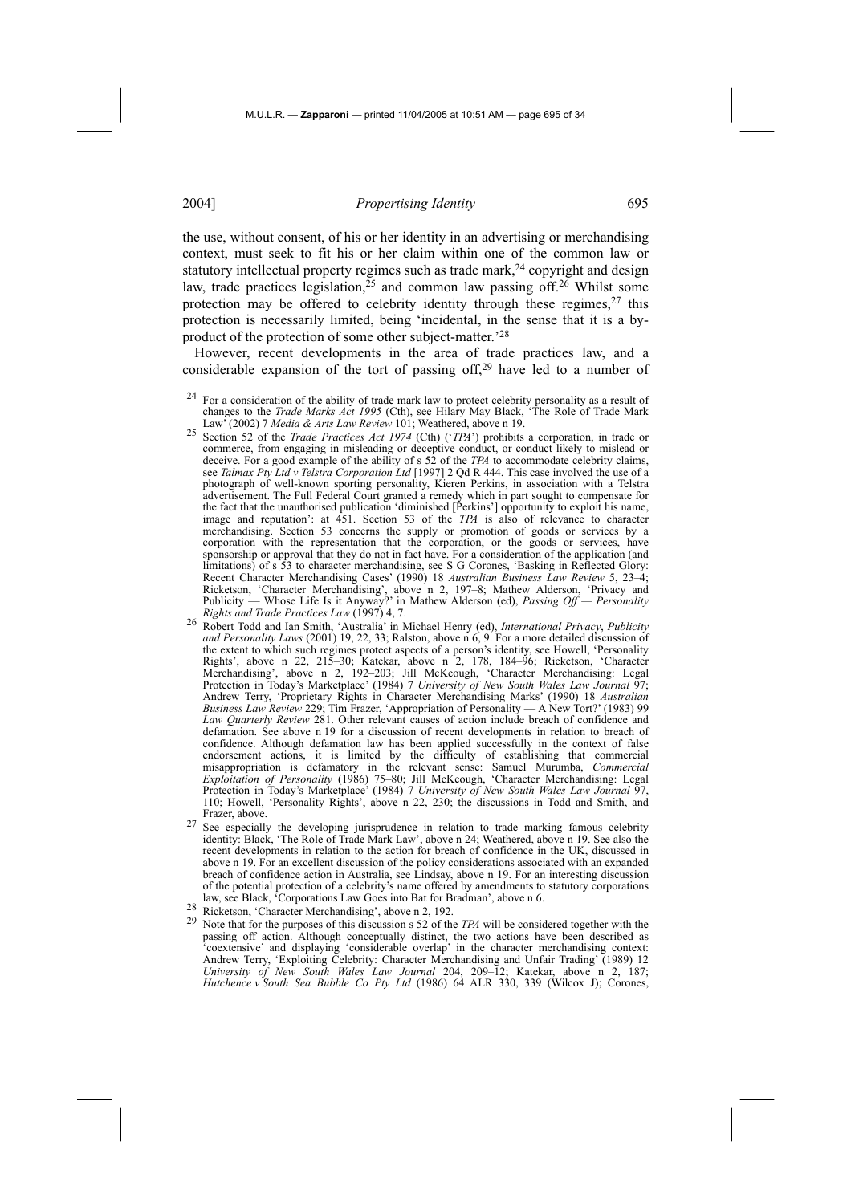the use, without consent, of his or her identity in an advertising or merchandising context, must seek to fit his or her claim within one of the common law or statutory intellectual property regimes such as trade mark,<sup>24</sup> copyright and design law, trade practices legislation,<sup>25</sup> and common law passing off.<sup>26</sup> Whilst some protection may be offered to celebrity identity through these regimes,<sup>27</sup> this protection is necessarily limited, being 'incidental, in the sense that it is a byproduct of the protection of some other subject-matter.'28

However, recent developments in the area of trade practices law, and a considerable expansion of the tort of passing of  $f<sup>29</sup>$  have led to a number of

- <sup>24</sup> For a consideration of the ability of trade mark law to protect celebrity personality as a result of changes to the *Trade Marks Act 1995* (Cth), see Hilary May Black, 'The Role of Trade Mark changes to the *Trade Marks Act 1995* (Cth), see Hilary May Black, 'The Role of Trade Mark Law' (2002) 7 *Media & Arts Law Review* 101; Weathered, above n 19.
- 25 Section 52 of the *Trade Practices Act 1974* (Cth) ('*TPA*') prohibits a corporation, in trade or commerce, from engaging in misleading or deceptive conduct, or conduct likely to mislead or deceive. For a good example of the ability of s 52 of the *TPA* to accommodate celebrity claims, see *Talmax Pty Ltd v Telstra Corporation Ltd* [1997] 2 Qd R 444. This case involved the use of a photograph of well-known sporting personality, Kieren Perkins, in association with a Telstra advertisement. The Full Federal Court granted a remedy which in part sought to compensate for the fact that the unauthorised publication 'diminished [Perkins'] opportunity to exploit his name, image and reputation': at 451. Section 53 of the *TPA* is also of relevance to character merchandising. Section 53 concerns the supply or promotion of goods or services by a corporation with the representation that the corporation, or the goods or services, have sponsorship or approval that they do not in fact have. For a consideration of the application (and limitations) of s 53 to character merchandising, see S G Corones, 'Basking in Reflected Glory: Recent Character Merchandising Cases' (1990) 18 *Australian Business Law Review* 5, 23–4; Ricketson, 'Character Merchandising', above n 2, 197–8; Mathew Alderson, 'Privacy and Publicity — Whose Life Is it Anyway?' in Mathew Alderson (ed), *Passing Off — Personality*
- *Rights and Trade Practices Law* (1997) 4, 7. 26 Robert Todd and Ian Smith, 'Australia' in Michael Henry (ed), *International Privacy*, *Publicity and Personality Laws* (2001) 19, 22, 33; Ralston, above n 6, 9. For a more detailed discussion of the extent to which such regimes protect aspects of a person's identity, see Howell, 'Personality Rights', above n 22, 215–30; Katekar, above n 2, 178, 184–96; Ricketson, 'Character Merchandising', above n 2, 192–203; Jill McKeough, 'Character Merchandising: Legal Protection in Today's Marketplace' (1984) 7 *University of New South Wales Law Journal* 97; Andrew Terry, 'Proprietary Rights in Character Merchandising Marks' (1990) 18 *Australian Business Law Review* 229; Tim Frazer, 'Appropriation of Personality — A New Tort?' (1983) 99 *Law Quarterly Review* 281. Other relevant causes of action include breach of confidence and defamation. See above n 19 for a discussion of recent developments in relation to breach of confidence. Although defamation law has been applied successfully in the context of false endorsement actions, it is limited by the difficulty of establishing that commercial misappropriation is defamatory in the relevant sense: Samuel Murumba, *Commercial Exploitation of Personality* (1986) 75–80; Jill McKeough, 'Character Merchandising: Legal Protection in Today's Marketplace' (1984) 7 *University of New South Wales Law Journal* 97, 110; Howell, 'Personality Rights', above n 22, 230; the discussions in Todd and Smith, and Frazer, above.
- See especially the developing jurisprudence in relation to trade marking famous celebrity identity: Black, 'The Role of Trade Mark Law', above n 24; Weathered, above n 19. See also the recent developments in relation to the action for breach of confidence in the UK, discussed in above n 19. For an excellent discussion of the policy considerations associated with an expanded breach of confidence action in Australia, see Lindsay, above n 19. For an interesting discussion of the potential protection of a celebrity's name offered by amendments to statutory corporations law, see Black, 'Corporations Law Goes into Bat for Bradman', above n 6.<br>
<sup>28</sup> Ricketson, 'Character Merchandising', above n 2, 192.
- 
- <sup>29</sup> Note that for the purposes of this discussion s 52 of the *TPA* will be considered together with the passing off action. Although conceptually distinct, the two actions have been described as 'coextensive' and displaying 'considerable overlap' in the character merchandising context: Andrew Terry, 'Exploiting Celebrity: Character Merchandising and Unfair Trading' (1989) 12 *University of New South Wales Law Journal* 204, 209–12; Katekar, above n 2, 187; *Hutchence v South Sea Bubble Co Pty Ltd* (1986) 64 ALR 330, 339 (Wilcox J); Corones,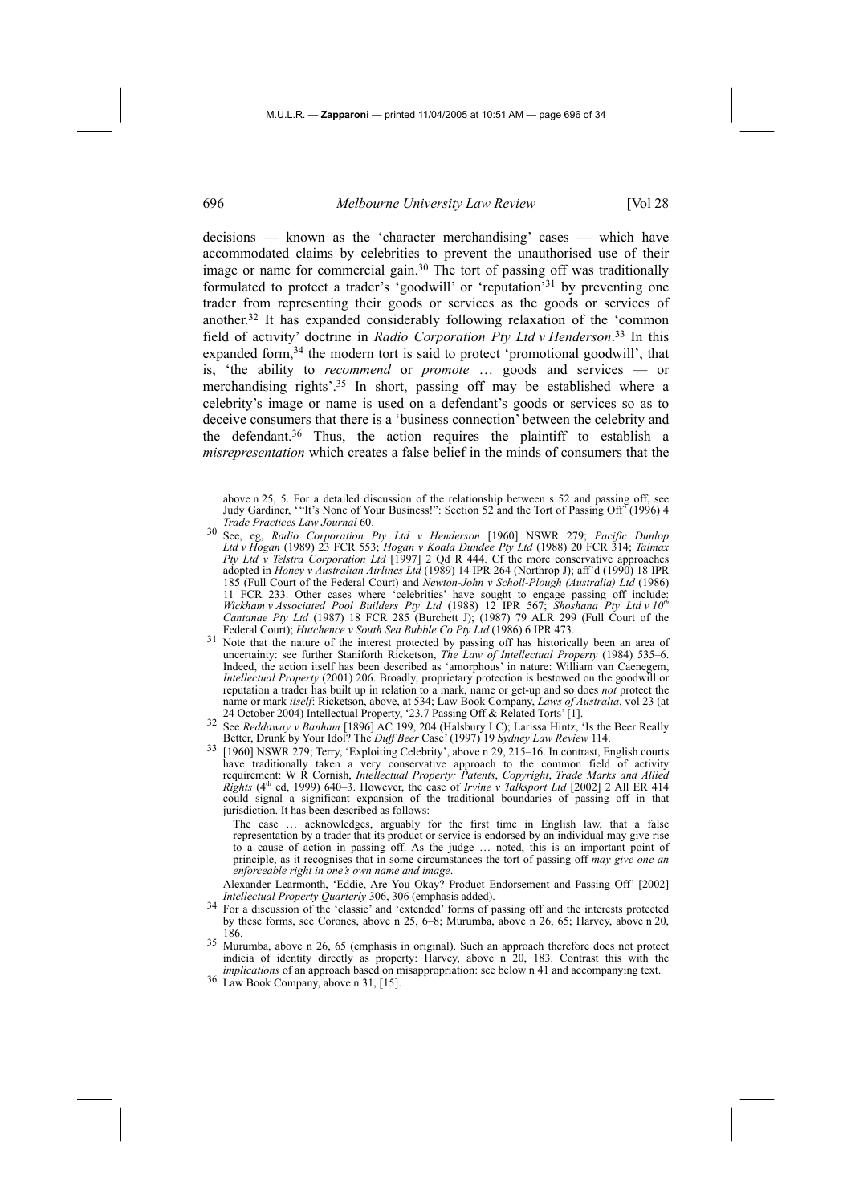decisions — known as the 'character merchandising' cases — which have accommodated claims by celebrities to prevent the unauthorised use of their image or name for commercial gain.30 The tort of passing off was traditionally formulated to protect a trader's 'goodwill' or 'reputation'31 by preventing one trader from representing their goods or services as the goods or services of another.32 It has expanded considerably following relaxation of the 'common field of activity' doctrine in *Radio Corporation Pty Ltd v Henderson*. 33 In this expanded form,34 the modern tort is said to protect 'promotional goodwill', that is, 'the ability to *recommend* or *promote* … goods and services — or merchandising rights'.35 In short, passing off may be established where a celebrity's image or name is used on a defendant's goods or services so as to deceive consumers that there is a 'business connection' between the celebrity and the defendant.36 Thus, the action requires the plaintiff to establish a *misrepresentation* which creates a false belief in the minds of consumers that the

above n 25, 5. For a detailed discussion of the relationship between s 52 and passing off, see Judy Gardiner, '"It's None of Your Business!": Section 52 and the Tort of Passing Off' (1996) 4 *Trade Practices Law Journal* 60.

- 30 See, eg, *Radio Corporation Pty Ltd v Henderson* [1960] NSWR 279; *Pacific Dunlop Ltd v Hogan* (1989) 23 FCR 553; *Hogan v Koala Dundee Pty Ltd* (1988) 20 FCR 314; *Talmax Pty Ltd v Telstra Corporation Ltd* [1997] 2 Qd R 444. Cf the more conservative approaches adopted in *Honey v Australian Airlines Ltd* (1989) 14 IPR 264 (Northrop J); aff'd (1990) 18 IPR 185 (Full Court of the Federal Court) and *Newton-John v Scholl-Plough (Australia) Ltd* (1986) 11 FCR 233. Other cases where 'celebrities' have sought to engage passing off include: *Wickham v Associated Pool Builders Pty Ltd* (1988) 12 IPR 567; *Shoshana Pty Ltd v 10th Cantanae Pty Ltd* (1987) 18 FCR 285 (Burchett J); (1987) 79 ALR 299 (Full Court of the Federal Court); *Hutchence v South Sea Bubble Co Pty Ltd* (1986) 6 IPR 473. Federal Court); *Hutchence v South Sea Bubble Co Pty Ltd* (1986) 6 IPR 473.<br><sup>31</sup> Note that the nature of the interest protected by passing off has historically been an area of
- uncertainty: see further Staniforth Ricketson, *The Law of Intellectual Property* (1984) 535–6. Indeed, the action itself has been described as 'amorphous' in nature: William van Caenegem, *Intellectual Property* (2001) 206. Broadly, proprietary protection is bestowed on the goodwill or reputation a trader has built up in relation to a mark, name or get-up and so does *not* protect the name or mark *itself*: Ricketson, above, at 534; Law Book Company, *Laws of Australia*, vol 23 (at 24 October 2004) Intellectual Property, '23.7 Passing Off & Related Torts' [1].
- See *Reddaway v Banham* [1896] AC 199, 204 (Halsbury LC); Larissa Hintz, 'Is the Beer Really Better, Drunk by Your Idol? The *Duff Beer* Case' (1997) 19 *Sydney Law Review* 114.
- 33 [1960] NSWR 279; Terry, 'Exploiting Celebrity', above n 29, 215–16. In contrast, English courts have traditionally taken a very conservative approach to the common field of activity requirement: W R Cornish, *Intellectual Property: Patents*, *Copyright*, *Trade Marks and Allied Rights* (4<sup>th</sup> ed, 1999) 640–3. However, the case of *Irvine v Talksport Ltd* [2002] 2 All ER 414 could signal a significant expansion of the traditional boundaries of passing off in that jurisdiction. It has been described as follows:

The case … acknowledges, arguably for the first time in English law, that a false representation by a trader that its product or service is endorsed by an individual may give rise to a cause of action in passing off. As the judge … noted, this is an important point of principle, as it recognises that in some circumstances the tort of passing off *may give one an enforceable right in one's own name and image*.

Alexander Learmonth, 'Eddie, Are You Okay? Product Endorsement and Passing Off' [2002] Intellectual Property Ouarterly 306, 306 (emphasis added).

- <sup>34</sup> For a discussion of the 'classic' and 'extended' forms of passing off and the interests protected by these forms, see Corones, above n 25, 6–8; Murumba, above n 26, 65; Harvey, above n 20, 186.
- 35 Murumba, above n 26, 65 (emphasis in original). Such an approach therefore does not protect indicia of identity directly as property: Harvey, above n 20, 183. Contrast this with the *implications* of an approach based on misappropriation: see below n 41 and accompanying text.<br><sup>36</sup> Law Book Company, above n 31, [15].
-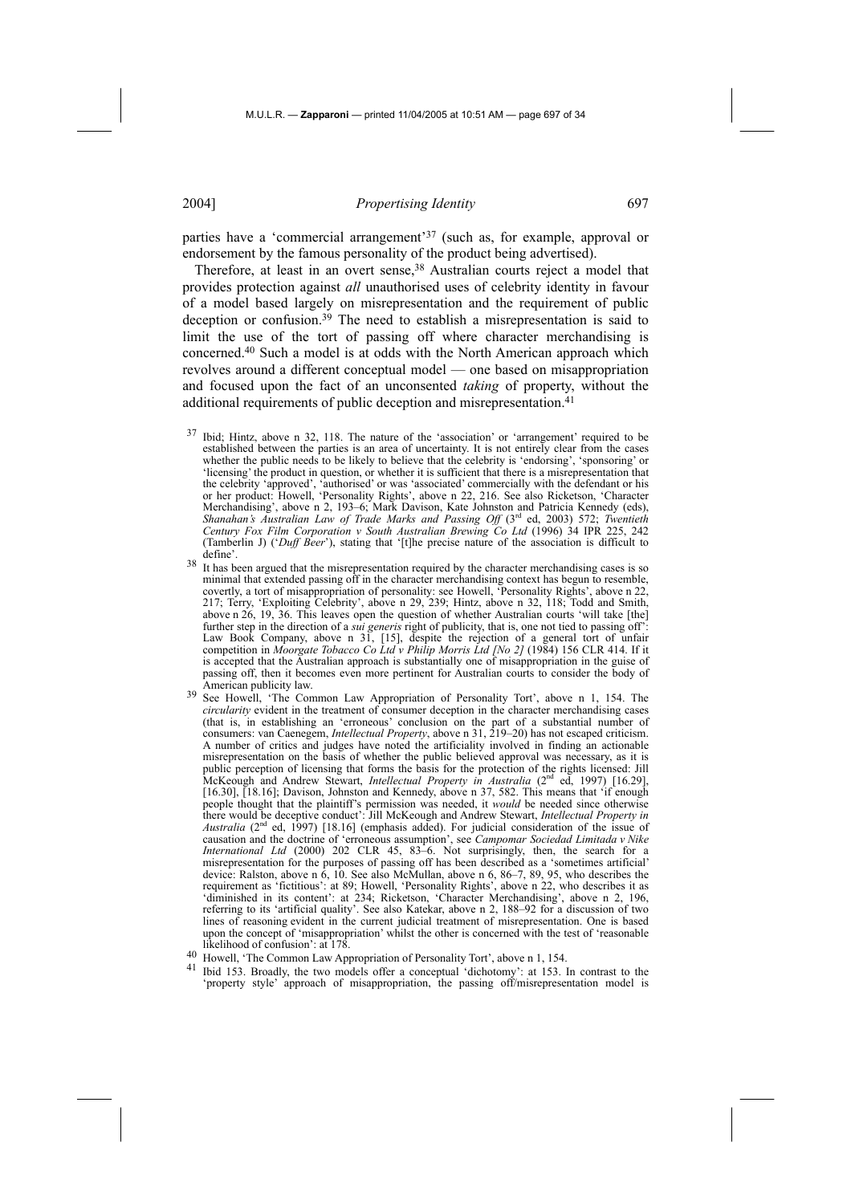parties have a 'commercial arrangement'37 (such as, for example, approval or endorsement by the famous personality of the product being advertised).

Therefore, at least in an overt sense,<sup>38</sup> Australian courts reject a model that provides protection against *all* unauthorised uses of celebrity identity in favour of a model based largely on misrepresentation and the requirement of public deception or confusion.39 The need to establish a misrepresentation is said to limit the use of the tort of passing off where character merchandising is concerned.40 Such a model is at odds with the North American approach which revolves around a different conceptual model — one based on misappropriation and focused upon the fact of an unconsented *taking* of property, without the additional requirements of public deception and misrepresentation.<sup>41</sup>

- 37 Ibid; Hintz, above n 32, 118. The nature of the 'association' or 'arrangement' required to be established between the parties is an area of uncertainty. It is not entirely clear from the cases whether the public needs to be likely to believe that the celebrity is 'endorsing', 'sponsoring' or 'licensing' the product in question, or whether it is sufficient that there is a misrepresentation that the celebrity 'approved', 'authorised' or was 'associated' commercially with the defendant or his or her product: Howell, 'Personality Rights', above n 22, 216. See also Ricketson, 'Character Merchandising', above n 2, 193–6; Mark Davison, Kate Johnston and Patricia Kennedy (eds), Shanahan's Australian Law of Trade Marks and Passing Off (3<sup>rd</sup> ed, 2003) 572; *Twentieth Century Fox Film Corporation v South Australian Brewing Co Ltd* (1996) 34 IPR 225, 242 (Tamberlin J) ('*Duff Beer*'), stating that '[t]he precise nature of the association is difficult to define'.
- <sup>38</sup> It has been argued that the misrepresentation required by the character merchandising cases is so minimal that extended passing off in the character merchandising context has begun to resemble, covertly, a tort of misappropriation of personality: see Howell, 'Personality Rights', above n 22, 217; Terry, 'Exploiting Celebrity', above n 29, 239; Hintz, above n 32, 118; Todd and Smith, above n 26, 19, 36. This leaves open the question of whether Australian courts 'will take [the] further step in the direction of a *sui generis* right of publicity, that is, one not tied to passing off': Law Book Company, above n 31, [15], despite the rejection of a general tort of unfair competition in *Moorgate Tobacco Co Ltd v Philip Morris Ltd [No 2]* (1984) 156 CLR 414. If it is accepted that the Australian approach is substantially one of misappropriation in the guise of passing off, then it becomes even more pertinent for Australian courts to consider the body of
- See Howell, 'The Common Law Appropriation of Personality Tort', above n 1, 154. The *circularity* evident in the treatment of consumer deception in the character merchandising cases (that is, in establishing an 'erroneous' conclusion on the part of a substantial number of consumers: van Caenegem, *Intellectual Property*, above n 31, 219–20) has not escaped criticism. A number of critics and judges have noted the artificiality involved in finding an actionable misrepresentation on the basis of whether the public believed approval was necessary, as it is public perception of licensing that forms the basis for the protection of the rights licensed: Jill McKeough and Andrew Stewart, *Intellectual Property in Australia* (2nd ed, 1997) [16.29], [16.30], [18.16]; Davison, Johnston and Kennedy, above n 37, 582. This means that 'if enough people thought that the plaintiff's permission was needed, it *would* be needed since otherwise there would be deceptive conduct': Jill McKeough and Andrew Stewart, *Intellectual Property in Australia* (2nd ed, 1997) [18.16] (emphasis added). For judicial consideration of the issue of causation and the doctrine of 'erroneous assumption', see *Campomar Sociedad Limitada v Nike International Ltd* (2000) 202 CLR 45, 83–6. Not surprisingly, then, the search for a misrepresentation for the purposes of passing off has been described as a 'sometimes artificial' device: Ralston, above n 6, 10. See also McMullan, above n 6, 86–7, 89, 95, who describes the requirement as 'fictitious': at 89; Howell, 'Personality Rights', above n 22, who describes it as 'diminished in its content': at 234; Ricketson, 'Character Merchandising', above n 2, 196, referring to its 'artificial quality'. See also Katekar, above n 2, 188–92 for a discussion of two lines of reasoning evident in the current judicial treatment of misrepresentation. One is based upon the concept of 'misappropriation' whilst the other is concerned with the test of 'reasonable likelihood of confusion': at 178.
- 40 Howell, 'The Common Law Appropriation of Personality Tort', above n 1, 154.<br>41 Big 152. Broadly, the two models offer a concentual 'dishedomy': at 153.
- Ibid 153. Broadly, the two models offer a conceptual 'dichotomy': at 153. In contrast to the 'property style' approach of misappropriation, the passing off/misrepresentation model is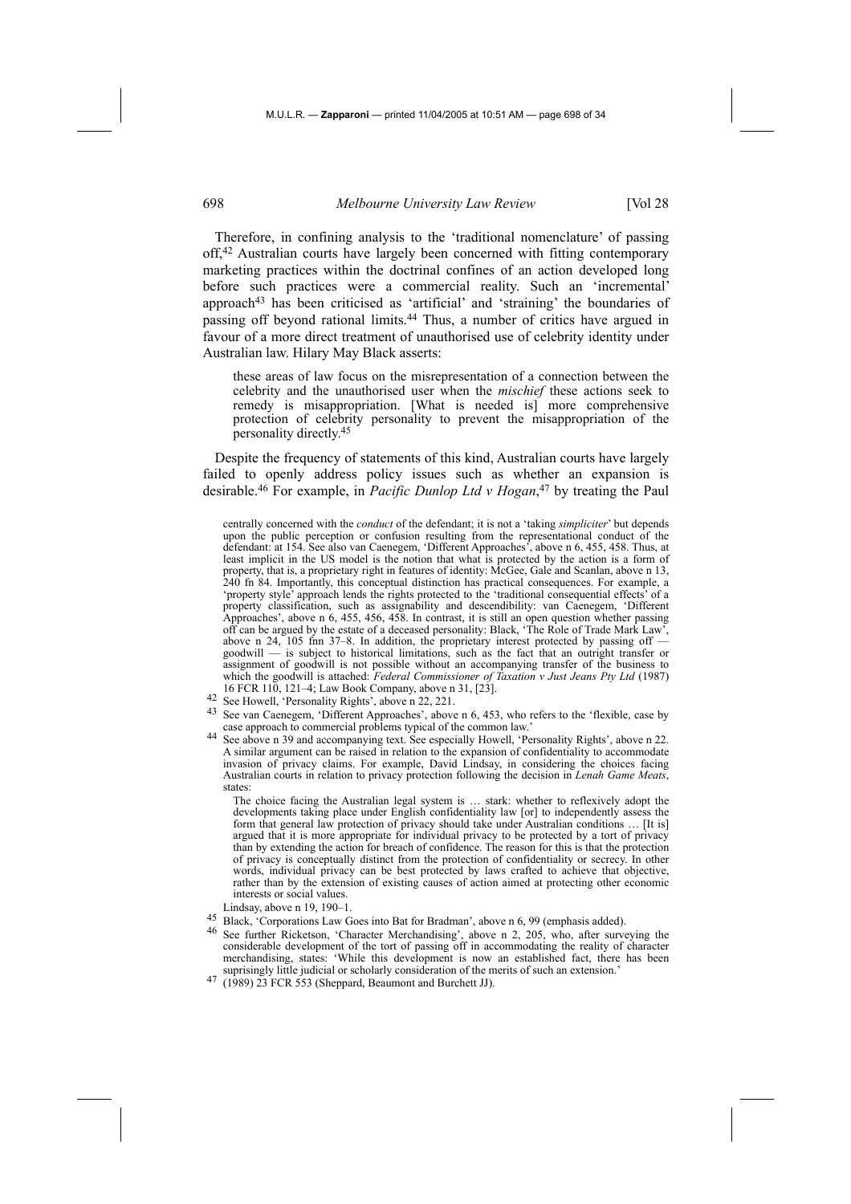Therefore, in confining analysis to the 'traditional nomenclature' of passing off,42 Australian courts have largely been concerned with fitting contemporary marketing practices within the doctrinal confines of an action developed long before such practices were a commercial reality. Such an 'incremental' approach43 has been criticised as 'artificial' and 'straining' the boundaries of passing off beyond rational limits.44 Thus, a number of critics have argued in favour of a more direct treatment of unauthorised use of celebrity identity under Australian law. Hilary May Black asserts:

these areas of law focus on the misrepresentation of a connection between the celebrity and the unauthorised user when the *mischief* these actions seek to remedy is misappropriation. [What is needed is] more comprehensive protection of celebrity personality to prevent the misappropriation of the personality directly.45

Despite the frequency of statements of this kind, Australian courts have largely failed to openly address policy issues such as whether an expansion is desirable.46 For example, in *Pacific Dunlop Ltd v Hogan*, 47 by treating the Paul

centrally concerned with the *conduct* of the defendant; it is not a 'taking *simpliciter*' but depends upon the public perception or confusion resulting from the representational conduct of the defendant: at 154. See also van Caenegem, 'Different Approaches', above n 6, 455, 458. Thus, at least implicit in the US model is the notion that what is protected by the action is a form of property, that is, a proprietary right in features of identity: McGee, Gale and Scanlan, above n 13, 240 fn 84. Importantly, this conceptual distinction has practical consequences. For example, a 'property style' approach lends the rights protected to the 'traditional consequential effects' of a property classification, such as assignability and descendibility: van Caenegem, 'Different Approaches', above n 6, 455, 456, 458. In contrast, it is still an open question whether passing off can be argued by the estate of a deceased personality: Black, 'The Role of Trade Mark Law', above n 24, 105 fnn 37-8. In addition, the proprietary interest protected by passing off goodwill — is subject to historical limitations, such as the fact that an outright transfer or assignment of goodwill is not possible without an accompanying transfer of the business to which the goodwill is attached: *Federal Commissioner of Taxation v Just Jeans Pty Ltd* (1987)

- 
- 16 FCR 110, 121–4; Law Book Company, above n 31, [23]. 42 See Howell, 'Personality Rights', above n 22, 221. 43 See van Caenegem, 'Different Approaches', above n 6, 453, who refers to the 'flexible, case by case approach to commercial problems typical of the common law.'
- 44 See above n 39 and accompanying text. See especially Howell, 'Personality Rights', above n 22. A similar argument can be raised in relation to the expansion of confidentiality to accommodate invasion of privacy claims. For example, David Lindsay, in considering the choices facing Australian courts in relation to privacy protection following the decision in *Lenah Game Meats*, states:

The choice facing the Australian legal system is … stark: whether to reflexively adopt the developments taking place under English confidentiality law [or] to independently assess the form that general law protection of privacy should take under Australian conditions ... [It is] argued that it is more appropriate for individual privacy to be protected by a tort of privacy than by extending the action for breach of confidence. The reason for this is that the protection of privacy is conceptually distinct from the protection of confidentiality or secrecy. In other words, individual privacy can be best protected by laws crafted to achieve that objective, rather than by the extension of existing causes of action aimed at protecting other economic interests or social values.

- Lindsay, above n 19, 190–1.
- 
- 45 Black, 'Corporations Law Goes into Bat for Bradman', above n 6, 99 (emphasis added).<br><sup>46</sup> See further Ricketson, 'Character Merchandising', above n 2, 205, who, after surveying the considerable development of the tort of passing off in accommodating the reality of character merchandising, states: 'While this development is now an established fact, there has been suprisingly little judicial or scholarly consideration of the merits of such an extension.
- 47 (1989) 23 FCR 553 (Sheppard, Beaumont and Burchett JJ).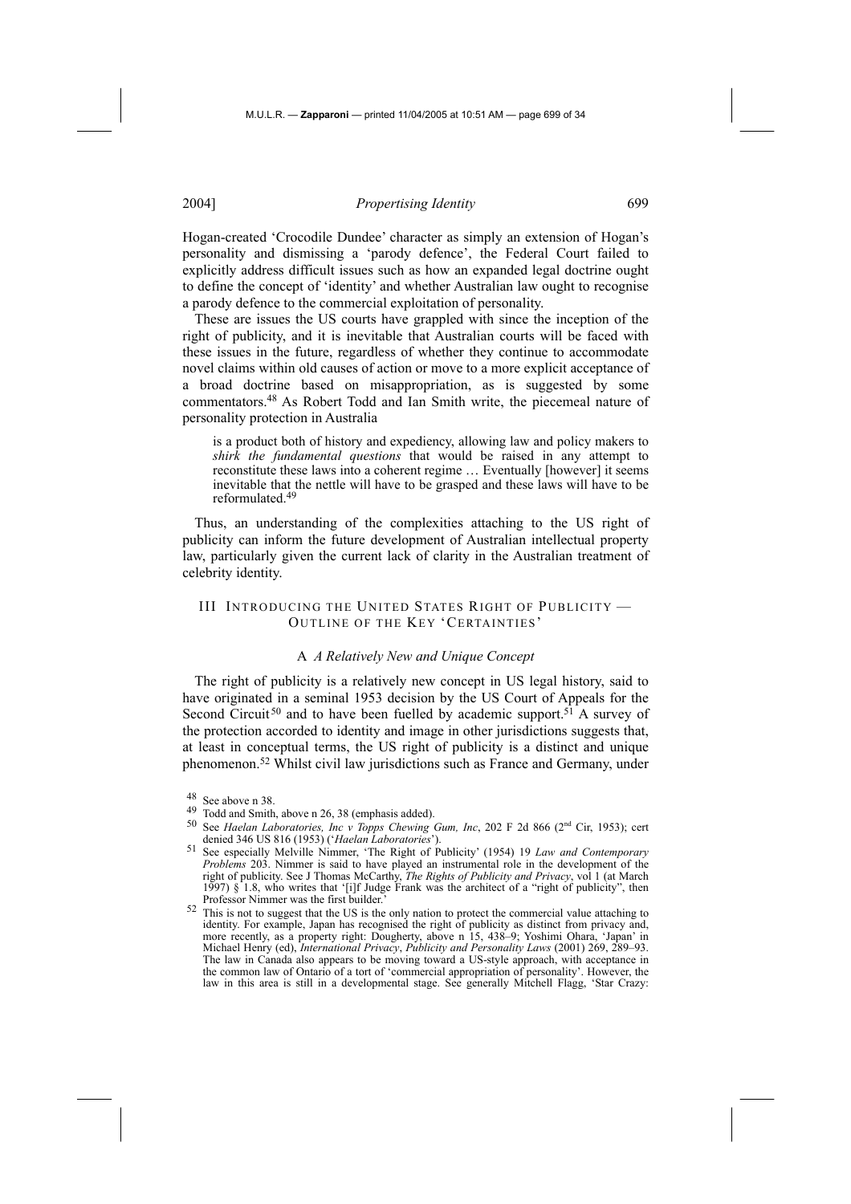Hogan-created 'Crocodile Dundee' character as simply an extension of Hogan's personality and dismissing a 'parody defence', the Federal Court failed to explicitly address difficult issues such as how an expanded legal doctrine ought to define the concept of 'identity' and whether Australian law ought to recognise a parody defence to the commercial exploitation of personality.

These are issues the US courts have grappled with since the inception of the right of publicity, and it is inevitable that Australian courts will be faced with these issues in the future, regardless of whether they continue to accommodate novel claims within old causes of action or move to a more explicit acceptance of a broad doctrine based on misappropriation, as is suggested by some commentators.48 As Robert Todd and Ian Smith write, the piecemeal nature of personality protection in Australia

is a product both of history and expediency, allowing law and policy makers to *shirk the fundamental questions* that would be raised in any attempt to reconstitute these laws into a coherent regime … Eventually [however] it seems inevitable that the nettle will have to be grasped and these laws will have to be reformulated.49

Thus, an understanding of the complexities attaching to the US right of publicity can inform the future development of Australian intellectual property law, particularly given the current lack of clarity in the Australian treatment of celebrity identity.

### III INTRODUCING THE UNITED STATES RIGHT OF PUBLICITY — OUTLINE OF THE KEY 'CERTAINTIES'

#### A *A Relatively New and Unique Concept*

The right of publicity is a relatively new concept in US legal history, said to have originated in a seminal 1953 decision by the US Court of Appeals for the Second Circuit<sup>50</sup> and to have been fuelled by academic support.<sup>51</sup> A survey of the protection accorded to identity and image in other jurisdictions suggests that, at least in conceptual terms, the US right of publicity is a distinct and unique phenomenon.52 Whilst civil law jurisdictions such as France and Germany, under

<sup>50</sup> See *Haelan Laboratories, Inc v Topps Chewing Gum, Inc*, 202 F 2d 866 (2<sup>nd</sup> Cir, 1953); cert<br>denied 346 US 816 (1953) ('*Haelan Laboratories*'). denied 346 US 816 (1953) ('*Haelan Laboratories*'). 51 See especially Melville Nimmer, 'The Right of Publicity' (1954) 19 *Law and Contemporary* 

<sup>&</sup>lt;sup>48</sup> See above n 38.<br><sup>49</sup> Todd and Smith, above n 26, 38 (emphasis added).

*Problems* 203. Nimmer is said to have played an instrumental role in the development of the right of publicity. See J Thomas McCarthy, *The Rights of Publicity and Privacy*, vol 1 (at March 1997) § 1.8, who writes that '[i]f Judge Frank was the architect of a "right of publicity", then Professor Nimmer was the first builder.'

<sup>52</sup> This is not to suggest that the US is the only nation to protect the commercial value attaching to identity. For example, Japan has recognised the right of publicity as distinct from privacy and, more recently, as a property right: Dougherty, above n 15, 438–9; Yoshimi Ohara, 'Japan' in Michael Henry (ed), *International Privacy*, *Publicity and Personality Laws* (2001) 269, 289–93. The law in Canada also appears to be moving toward a US-style approach, with acceptance in the common law of Ontario of a tort of 'commercial appropriation of personality'. However, the law in this area is still in a developmental stage. See generally Mitchell Flagg, 'Star Crazy: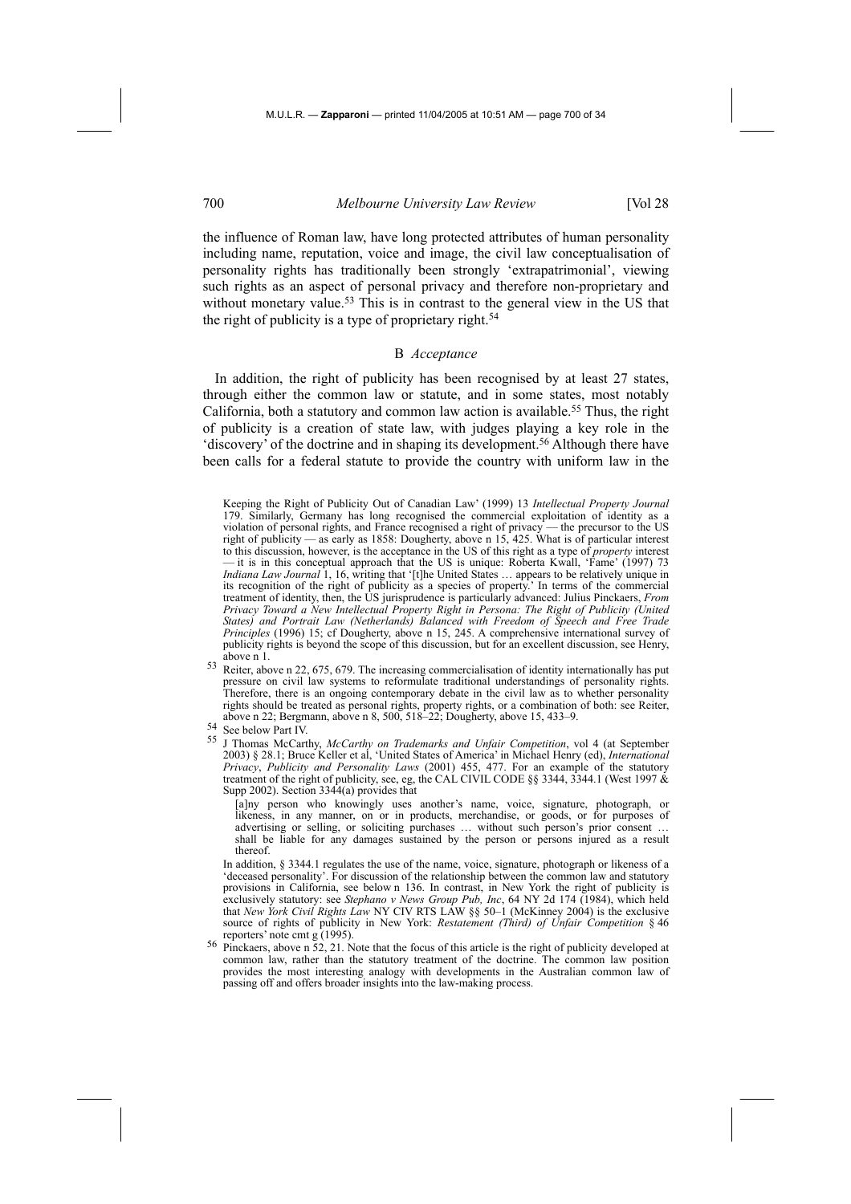the influence of Roman law, have long protected attributes of human personality including name, reputation, voice and image, the civil law conceptualisation of personality rights has traditionally been strongly 'extrapatrimonial', viewing such rights as an aspect of personal privacy and therefore non-proprietary and without monetary value.<sup>53</sup> This is in contrast to the general view in the US that the right of publicity is a type of proprietary right.<sup>54</sup>

# B *Acceptance*

In addition, the right of publicity has been recognised by at least 27 states, through either the common law or statute, and in some states, most notably California, both a statutory and common law action is available.55 Thus, the right of publicity is a creation of state law, with judges playing a key role in the 'discovery' of the doctrine and in shaping its development.56 Although there have been calls for a federal statute to provide the country with uniform law in the

Keeping the Right of Publicity Out of Canadian Law' (1999) 13 *Intellectual Property Journal* 179. Similarly, Germany has long recognised the commercial exploitation of identity as a violation of personal rights, and France recognised a right of privacy — the precursor to the US right of publicity — as early as 1858: Dougherty, above n 15, 425. What is of particular interest to this discussion, however, is the acceptance in the US of this right as a type of *property* interest — it is in this conceptual approach that the US is unique: Roberta Kwall, 'Fame' (1997) 73 *Indiana Law Journal* 1, 16, writing that '[t]he United States … appears to be relatively unique in its recognition of the right of publicity as a species of property.' In terms of the commercial treatment of identity, then, the US jurisprudence is particularly advanced: Julius Pinckaers, *From Privacy Toward a New Intellectual Property Right in Persona: The Right of Publicity (United States) and Portrait Law (Netherlands) Balanced with Freedom of Speech and Free Trade Principles* (1996) 15; cf Dougherty, above n 15, 245. A comprehensive international survey of publicity rights is beyond the scope of this discussion, but for an excellent discussion, see Henry, above n 1.

53 Reiter, above n 22, 675, 679. The increasing commercialisation of identity internationally has put pressure on civil law systems to reformulate traditional understandings of personality rights. Therefore, there is an ongoing contemporary debate in the civil law as to whether personality rights should be treated as personal rights, property rights, or a combination of both: see Reiter, above n 22; Bergmann, above n 8, 500, 518–22; Dougherty, above 15, 433–9.

 [a]ny person who knowingly uses another's name, voice, signature, photograph, or likeness, in any manner, on or in products, merchandise, or goods, or for purposes of advertising or selling, or soliciting purchases ... without such person's prior consent shall be liable for any damages sustained by the person or persons injured as a result thereof.

 In addition, § 3344.1 regulates the use of the name, voice, signature, photograph or likeness of a 'deceased personality'. For discussion of the relationship between the common law and statutory provisions in California, see below n 136. In contrast, in New York the right of publicity is exclusively statutory: see *Stephano v News Group Pub, Inc*, 64 NY 2d 174 (1984), which held that *New York Civil Rights Law* NY CIV RTS LAW §§ 50–1 (McKinney 2004) is the exclusive source of rights of publicity in New York: *Restatement (Third) of Unfair Competition* § 46 reporters' note cmt g (1995).

 $56$  Pinckaers, above n 52, 21. Note that the focus of this article is the right of publicity developed at common law, rather than the statutory treatment of the doctrine. The common law position provides the most interesting analogy with developments in the Australian common law of passing off and offers broader insights into the law-making process.

<sup>54</sup> See below Part IV.

<sup>55</sup> J Thomas McCarthy, *McCarthy on Trademarks and Unfair Competition*, vol 4 (at September 2003) § 28.1; Bruce Keller et al, 'United States of America' in Michael Henry (ed), *International Privacy*, *Publicity and Personality Laws* (2001) 455, 477. For an example of the statutory treatment of the right of publicity, see, eg, the CAL CIVIL CODE §§ 3344, 3344.1 (West 1997  $\&$ Supp 2002). Section 3344(a) provides that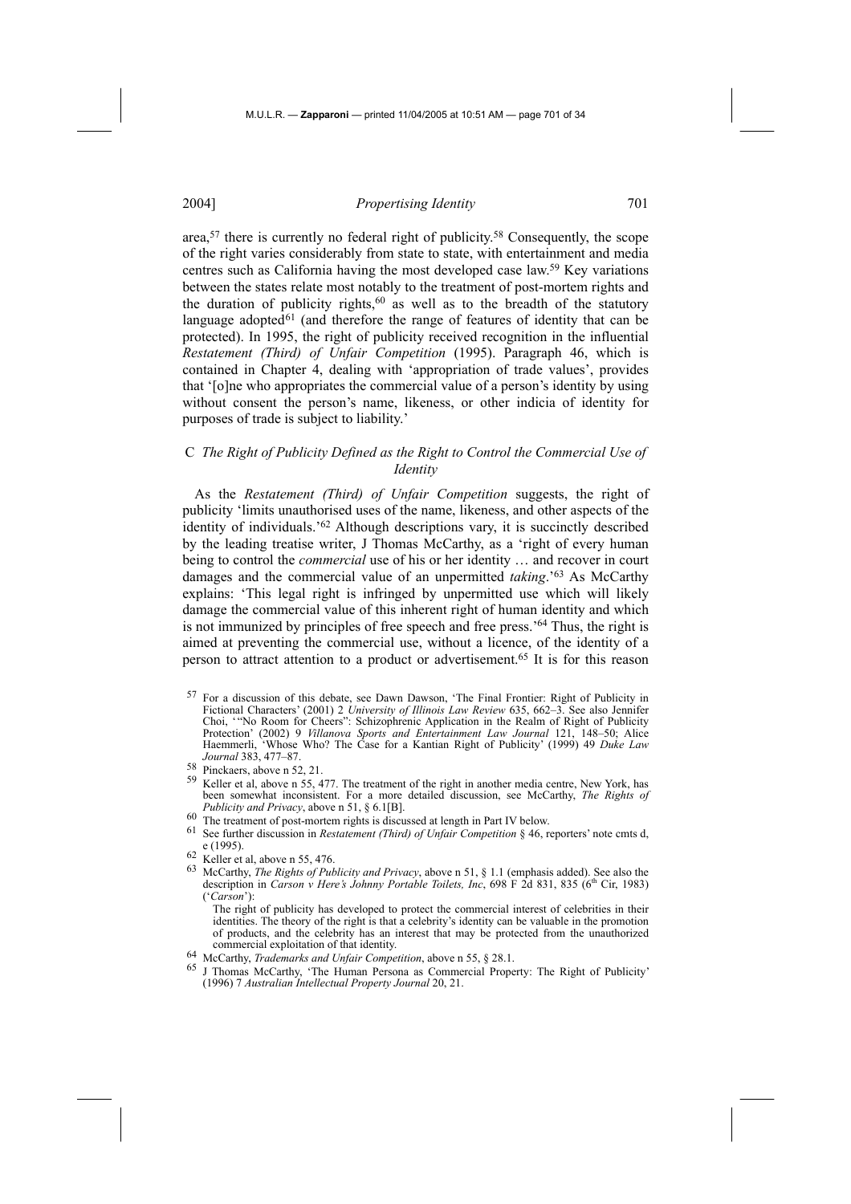area,57 there is currently no federal right of publicity.58 Consequently, the scope of the right varies considerably from state to state, with entertainment and media centres such as California having the most developed case law.59 Key variations between the states relate most notably to the treatment of post-mortem rights and the duration of publicity rights,<sup>60</sup> as well as to the breadth of the statutory language adopted $61$  (and therefore the range of features of identity that can be protected). In 1995, the right of publicity received recognition in the influential *Restatement (Third) of Unfair Competition* (1995). Paragraph 46, which is contained in Chapter 4, dealing with 'appropriation of trade values', provides that '[o]ne who appropriates the commercial value of a person's identity by using without consent the person's name, likeness, or other indicia of identity for purposes of trade is subject to liability.'

## C *The Right of Publicity Defined as the Right to Control the Commercial Use of Identity*

As the *Restatement (Third) of Unfair Competition* suggests, the right of publicity 'limits unauthorised uses of the name, likeness, and other aspects of the identity of individuals.'62 Although descriptions vary, it is succinctly described by the leading treatise writer, J Thomas McCarthy, as a 'right of every human being to control the *commercial* use of his or her identity … and recover in court damages and the commercial value of an unpermitted *taking*.'63 As McCarthy explains: 'This legal right is infringed by unpermitted use which will likely damage the commercial value of this inherent right of human identity and which is not immunized by principles of free speech and free press.'64 Thus, the right is aimed at preventing the commercial use, without a licence, of the identity of a person to attract attention to a product or advertisement.65 It is for this reason

- 59 Keller et al, above n 55, 477. The treatment of the right in another media centre, New York, has been somewhat inconsistent. For a more detailed discussion, see McCarthy, *The Rights of Publicity and Privacy*, above n 51, § 6.1[B].
- 
- 60 The treatment of post-mortem rights is discussed at length in Part IV below.<br>61 See further discussion in *Restatement (Third) of Unfair Competition* § 46, reporters' note cmts d, e (1995).
- $\frac{62}{63}$  Keller et al, above n 55, 476.
- 63 McCarthy, *The Rights of Publicity and Privacy*, above n 51, § 1.1 (emphasis added). See also the description in *Carson v Here's Johnny Portable Toilets, Inc.* 698 F 2d 831, 835 (6<sup>th</sup> Cir, 1983) ('*Carson*'):

The right of publicity has developed to protect the commercial interest of celebrities in their identities. The theory of the right is that a celebrity's identity can be valuable in the promotion of products, and the celebrity has an interest that may be protected from the unauthorized commercial exploitation of that identity.<br><sup>64</sup> McCarthy, *Trademarks and Unfair Competition*, above n 55, § 28.1.<br><sup>65</sup> J. Themas McCarthy, <sup>6</sup>The University Press, communist Press.

- 
- 65 J Thomas McCarthy, 'The Human Persona as Commercial Property: The Right of Publicity' (1996) 7 *Australian Intellectual Property Journal* 20, 21.

<sup>57</sup> For a discussion of this debate, see Dawn Dawson, 'The Final Frontier: Right of Publicity in Fictional Characters' (2001) 2 *University of Illinois Law Review* 635, 662–3. See also Jennifer Choi, '"No Room for Cheers": Schizophrenic Application in the Realm of Right of Publicity Protection' (2002) 9 *Villanova Sports and Entertainment Law Journal* 121, 148–50; Alice Haemmerli, 'Whose Who? The Case for a Kantian Right of Publicity' (1999) 49 *Duke Law Journal* 383, 477–87.

<sup>58</sup> Pinckaers, above n 52, 21.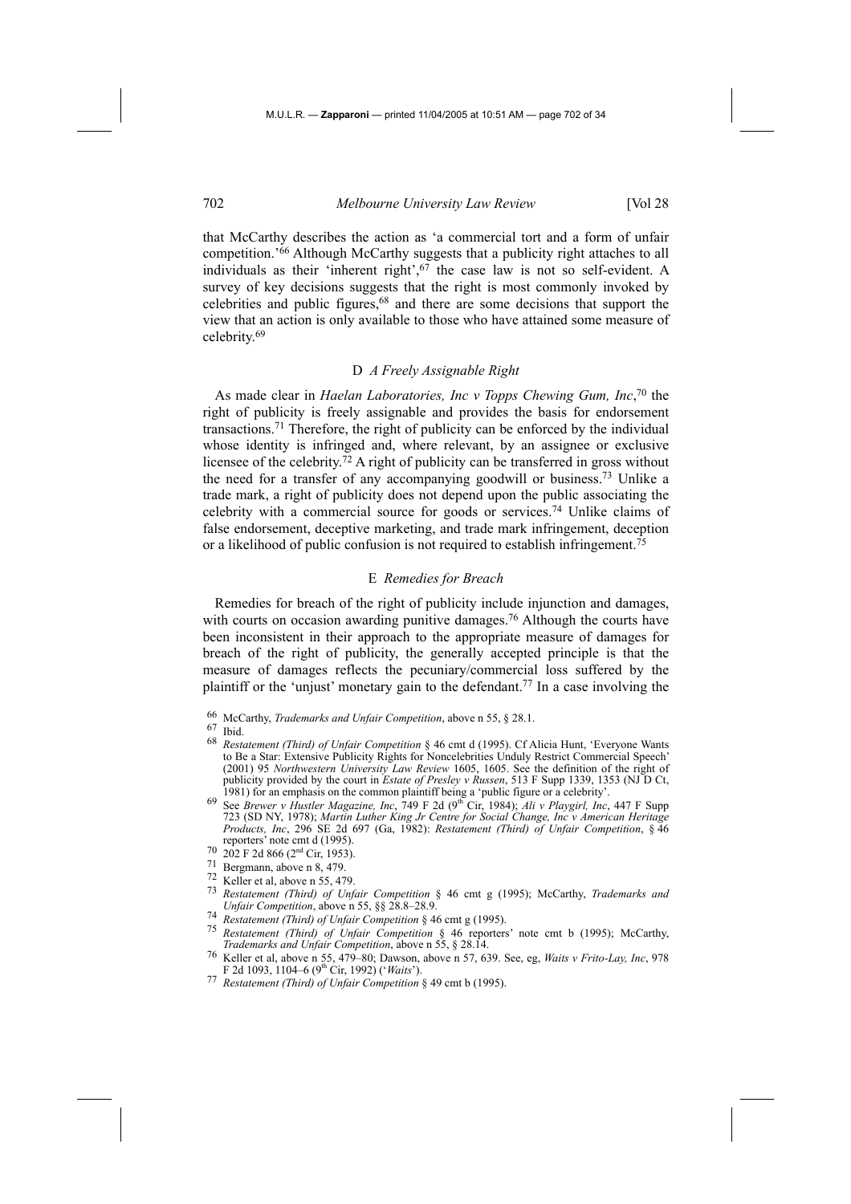that McCarthy describes the action as 'a commercial tort and a form of unfair competition.'66 Although McCarthy suggests that a publicity right attaches to all individuals as their 'inherent right',67 the case law is not so self-evident. A survey of key decisions suggests that the right is most commonly invoked by celebrities and public figures,68 and there are some decisions that support the view that an action is only available to those who have attained some measure of celebrity.69

## D *A Freely Assignable Right*

As made clear in *Haelan Laboratories, Inc v Topps Chewing Gum, Inc*, 70 the right of publicity is freely assignable and provides the basis for endorsement transactions.71 Therefore, the right of publicity can be enforced by the individual whose identity is infringed and, where relevant, by an assignee or exclusive licensee of the celebrity.72 A right of publicity can be transferred in gross without the need for a transfer of any accompanying goodwill or business.73 Unlike a trade mark, a right of publicity does not depend upon the public associating the celebrity with a commercial source for goods or services.74 Unlike claims of false endorsement, deceptive marketing, and trade mark infringement, deception or a likelihood of public confusion is not required to establish infringement.75

#### E *Remedies for Breach*

Remedies for breach of the right of publicity include injunction and damages, with courts on occasion awarding punitive damages.<sup>76</sup> Although the courts have been inconsistent in their approach to the appropriate measure of damages for breach of the right of publicity, the generally accepted principle is that the measure of damages reflects the pecuniary/commercial loss suffered by the plaintiff or the 'unjust' monetary gain to the defendant.77 In a case involving the

66 McCarthy, *Trademarks and Unfair Competition*, above n 55, § 28.1.

# 67 Ibid.

- 68 *Restatement (Third) of Unfair Competition* § 46 cmt d (1995). Cf Alicia Hunt, 'Everyone Wants to Be a Star: Extensive Publicity Rights for Noncelebrities Unduly Restrict Commercial Speech' (2001) 95 *Northwestern University Law Review* 1605, 1605. See the definition of the right of publicity provided by the court in *Estate of Presley v Russen*, 513 F Supp 1339, 1353 (NJ D Ct, 1981) for an emphasis on the common plaintiff being a 'public figure or a celebrity'.
- 1981) for an emphasis on the common plaintiff being a 'public figure or a celebrity'. 69 See *Brewer v Hustler Magazine, Inc*, 749 F 2d (9th Cir, 1984); *Ali v Playgirl, Inc*, 447 F Supp 723 (SD NY, 1978); *Martin Luther King Jr Centre for Social Change, Inc v American Heritage Products, Inc*, 296 SE 2d 697 (Ga, 1982): *Restatement (Third) of Unfair Competition*, § 46 reporters' note cmt d (1995).<br>
70 202 F 2d 866 (2<sup>nd</sup> Cir, 1953).<br>
71 Bergmann, above n 8, 479.<br>
72 Keller et al, above n 55, 479.
- 
- 
- 
- 73 *Restatement (Third) of Unfair Competition* § 46 cmt g (1995); McCarthy, *Trademarks and Unfair Competition*, above n 55, §§ 28.8–28.9.
- 74 *Restatement (Third) of Unfair Competition* § 46 cmt g (1995).
- 75 *Restatement (Third) of Unfair Competition* § 46 reporters' note cmt b (1995); McCarthy, *Trademarks and Unfair Competition*, above n 55, § 28.14.
- 76 Keller et al, above n 55, 479–80; Dawson, above n 57, 639. See, eg, *Waits v Frito-Lay, Inc*, 978 F 2d 1093, 1104–6 (9th Cir, 1992) ('*Waits*').
- 77 *Restatement (Third) of Unfair Competition* § 49 cmt b (1995).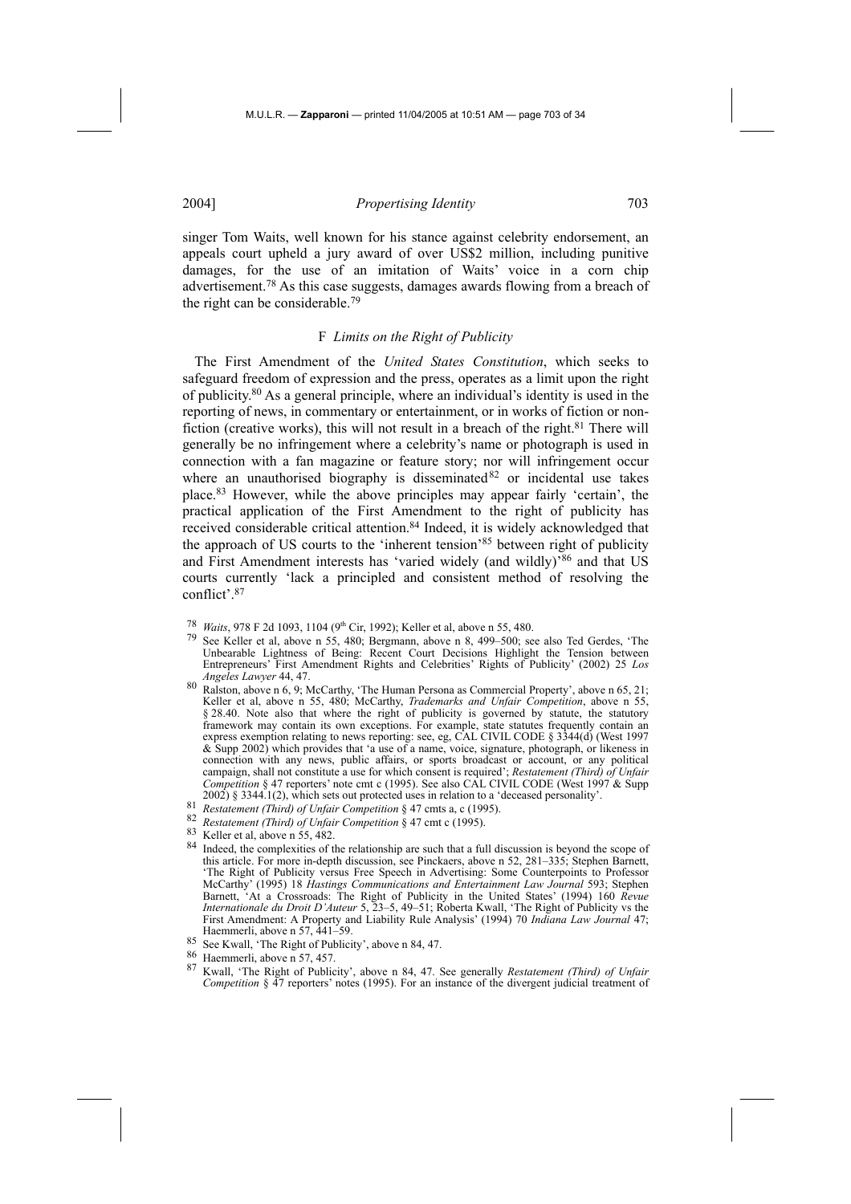singer Tom Waits, well known for his stance against celebrity endorsement, an appeals court upheld a jury award of over US\$2 million, including punitive damages, for the use of an imitation of Waits' voice in a corn chip advertisement.78 As this case suggests, damages awards flowing from a breach of the right can be considerable.79

#### F *Limits on the Right of Publicity*

The First Amendment of the *United States Constitution*, which seeks to safeguard freedom of expression and the press, operates as a limit upon the right of publicity.80 As a general principle, where an individual's identity is used in the reporting of news, in commentary or entertainment, or in works of fiction or nonfiction (creative works), this will not result in a breach of the right. $81$  There will generally be no infringement where a celebrity's name or photograph is used in connection with a fan magazine or feature story; nor will infringement occur where an unauthorised biography is disseminated  $82$  or incidental use takes place.83 However, while the above principles may appear fairly 'certain', the practical application of the First Amendment to the right of publicity has received considerable critical attention.<sup>84</sup> Indeed, it is widely acknowledged that the approach of US courts to the 'inherent tension'85 between right of publicity and First Amendment interests has 'varied widely (and wildly)'86 and that US courts currently 'lack a principled and consistent method of resolving the conflict'.87

- 
- <sup>78</sup> *Waits*, 978 F 2d 1093, 1104 (9<sup>th</sup> Cir, 1992); Keller et al, above n 55, 480.<br><sup>79</sup> See Keller et al, above n 55, 480; Bergmann, above n 8, 499–500; see also Ted Gerdes, 'The Unbearable Lightness of Being: Recent Court Decisions Highlight the Tension between Entrepreneurs' First Amendment Rights and Celebrities' Rights of Publicity' (2002) 25 *Los Angeles Lawyer* 44, 47.
- $80$  Ralston, above n 6, 9; McCarthy, 'The Human Persona as Commercial Property', above n 65, 21; Keller et al, above n 55, 480; McCarthy, *Trademarks and Unfair Competition*, above n 55, § 28.40. Note also that where the right of publicity is governed by statute, the statutory framework may contain its own exceptions. For example, state statutes frequently contain an express exemption relating to news reporting: see, eg, CAL CIVIL CODE § 3344(d) (West 1997 & Supp 2002) which provides that 'a use of a name, voice, signature, photograph, or likeness in connection with any news, public affairs, or sports broadcast or account, or any political campaign, shall not constitute a use for which consent is required'; *Restatement (Third) of Unfair Competition* § 47 reporters' note cmt c (1995). See also CAL CIVIL CODE (West 1997 & Supp 2002) § 3344.1(2), which sets out protected uses in relation to a 'deceased personality'.<br>
<sup>81</sup> Restatement (Third) of Unfair Competition § 47 cmts a, c (1995).<br>
<sup>82</sup> Restatement (Third) of Unfair Competition § 47 cmt c (
- 
- 
- 
- <sup>84</sup> Indeed, the complexities of the relationship are such that a full discussion is beyond the scope of this article. For more in-depth discussion, see Pinckaers, above n 52, 281–335; Stephen Barnett, 'The Right of Publicity versus Free Speech in Advertising: Some Counterpoints to Professor McCarthy' (1995) 18 *Hastings Communications and Entertainment Law Journal* 593; Stephen Barnett, 'At a Crossroads: The Right of Publicity in the United States' (1994) 160 *Revue Internationale du Droit D'Auteur* 5, 23–5, 49–51; Roberta Kwall, 'The Right of Publicity vs the First Amendment: A Property and Liability Rule Analysis' (1994) 70 *Indiana Law Journal* 47; Haemmerli, above n 57, 441–59.
- <sup>85</sup> See Kwall, 'The Right of Publicity', above n 84, 47.<br>
<sup>86</sup> Haemmerli, above n 57, 457.<br>
<sup>87</sup> Kurall, 'The Right of Publicity', above n 84, 47.
- 
- 87 Kwall, 'The Right of Publicity', above n 84, 47. See generally *Restatement (Third) of Unfair Competition* § 47 reporters' notes (1995). For an instance of the divergent judicial treatment of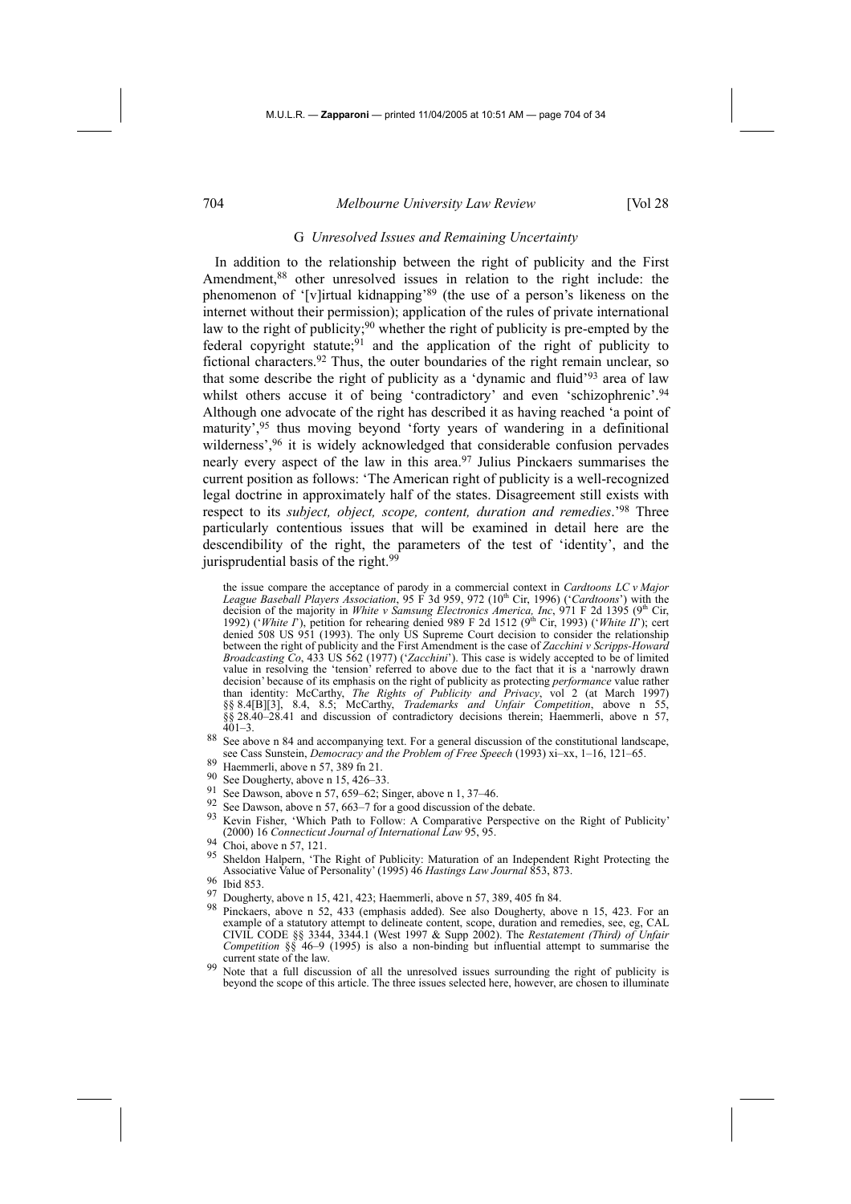## G *Unresolved Issues and Remaining Uncertainty*

In addition to the relationship between the right of publicity and the First Amendment,<sup>88</sup> other unresolved issues in relation to the right include: the phenomenon of '[v]irtual kidnapping'89 (the use of a person's likeness on the internet without their permission); application of the rules of private international law to the right of publicity;<sup>90</sup> whether the right of publicity is pre-empted by the federal copyright statute;<sup>91</sup> and the application of the right of publicity to fictional characters.92 Thus, the outer boundaries of the right remain unclear, so that some describe the right of publicity as a 'dynamic and fluid'93 area of law whilst others accuse it of being 'contradictory' and even 'schizophrenic'.<sup>94</sup> Although one advocate of the right has described it as having reached 'a point of maturity',95 thus moving beyond 'forty years of wandering in a definitional wilderness',<sup>96</sup> it is widely acknowledged that considerable confusion pervades nearly every aspect of the law in this area.97 Julius Pinckaers summarises the current position as follows: 'The American right of publicity is a well-recognized legal doctrine in approximately half of the states. Disagreement still exists with respect to its *subject, object, scope, content, duration and remedies*.'98 Three particularly contentious issues that will be examined in detail here are the descendibility of the right, the parameters of the test of 'identity', and the jurisprudential basis of the right.<sup>99</sup>

- 88 See above n 84 and accompanying text. For a general discussion of the constitutional landscape, see Cass Sunstein, *Democracy and the Problem of Free Speech* (1993) xi–xx, 1–16, 121–65.<br><sup>89</sup> Haemmerli, above n 57, 389 fn 21.<br><sup>90</sup> See Dougherty, above n 15, 426–33.
- 
- 
- 
- 
- 91 See Dawson, above n 57, 659–62; Singer, above n 1, 37–46.<br>
92 See Dawson, above n 57, 663–7 for a good discussion of the debate.<br>
93 Kevin Fisher, 'Which Path to Follow: A Comparative Perspective on the Right of Public (2000) 16 *Connecticut Journal of International Law* 95, 95.
- $\frac{94}{95}$  Choi, above n 57, 121.
- 95 Sheldon Halpern, 'The Right of Publicity: Maturation of an Independent Right Protecting the Associative Value of Personality' (1995) 46 *Hastings Law Journal* 853, 873.

- 97 Dougherty, above n 15, 421, 423; Haemmerli, above n 57, 389, 405 fn 84.
- Pinckaers, above n 52, 433 (emphasis added). See also Dougherty, above n 15, 423. For an example of a statutory attempt to delineate content, scope, duration and remedies, see, eg, CAL CIVIL CODE §§ 3344, 3344.1 (West 1997 & Supp 2002). The *Restatement (Third) of Unfair Competition* §§ 46–9 (1995) is also a non-binding but influential attempt to summarise the current state of the law.
- Note that a full discussion of all the unresolved issues surrounding the right of publicity is beyond the scope of this article. The three issues selected here, however, are chosen to illuminate

the issue compare the acceptance of parody in a commercial context in *Cardtoons LC v Major League Baseball Players Association*, 95 F 3d 959, 972 (10<sup>th</sup> Cir, 1996) (*'Cardtoons'*) with the decision of the majority in *White v Samsung Electronics America, Inc.* 971 F 2d 1395 (9<sup>th</sup> Cir, 1992) ('*White I*'), petition for rehearing denied 989 F 2d 1512 (9<sup>th</sup> Cir, 1993) ('*White II*'); cert denied 508 US 951 (1993). The only US Supreme Court decision to consider the relationship between the right of publicity and the First Amendment is the case of *Zacchini v Scripps-Howard Broadcasting Co*, 433 US 562 (1977) ('*Zacchini*'). This case is widely accepted to be of limited value in resolving the 'tension' referred to above due to the fact that it is a 'narrowly drawn decision' because of its emphasis on the right of publicity as protecting *performance* value rather than identity: McCarthy, *The Rights of Publicity and Privacy*, vol 2 (at March 1997) §§ 8.4[B][3], 8.4, 8.5; McCarthy, *Trademarks and Unfair Competition*, above n 55, §§ 28.40–28.41 and discussion of contradictory decisions therein; Haemmerli, above n 57,  $401 - 3$ .

<sup>96</sup> Ibid 853.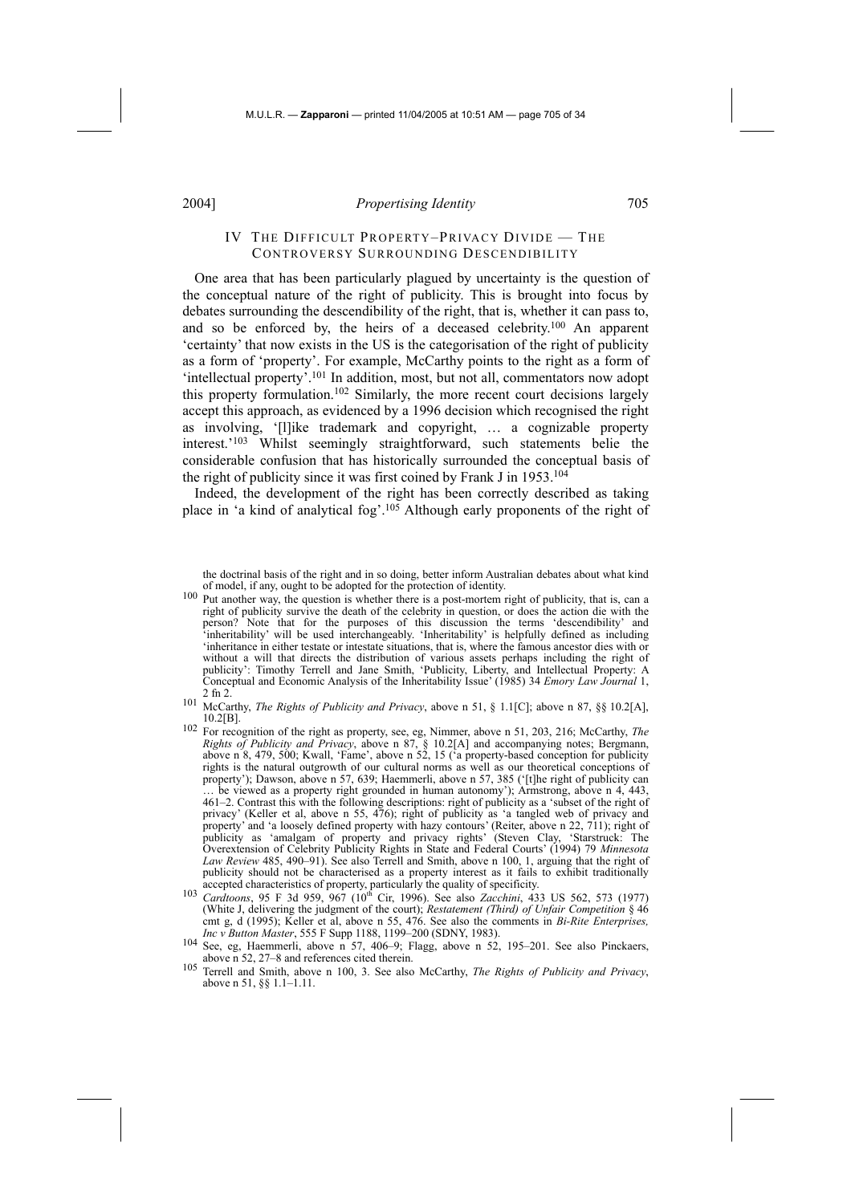# IV THE DIFFICULT PROPERTY–PRIVACY DIVIDE — THE CONTROVERSY SURROUNDING DESCENDIBILITY

One area that has been particularly plagued by uncertainty is the question of the conceptual nature of the right of publicity. This is brought into focus by debates surrounding the descendibility of the right, that is, whether it can pass to, and so be enforced by, the heirs of a deceased celebrity.100 An apparent 'certainty' that now exists in the US is the categorisation of the right of publicity as a form of 'property'. For example, McCarthy points to the right as a form of 'intellectual property'.101 In addition, most, but not all, commentators now adopt this property formulation.102 Similarly, the more recent court decisions largely accept this approach, as evidenced by a 1996 decision which recognised the right as involving, '[l]ike trademark and copyright, … a cognizable property interest.'103 Whilst seemingly straightforward, such statements belie the considerable confusion that has historically surrounded the conceptual basis of the right of publicity since it was first coined by Frank J in 1953.104

Indeed, the development of the right has been correctly described as taking place in 'a kind of analytical fog'.105 Although early proponents of the right of

the doctrinal basis of the right and in so doing, better inform Australian debates about what kind of model, if any, ought to be adopted for the protection of identity.

- <sup>100</sup> Put another way, the question is whether there is a post-mortem right of publicity, that is, can a right of publicity survive the death of the celebrity in question, or does the action die with the person? Note that for the purposes of this discussion the terms 'descendibility' and 'inheritability' will be used interchangeably. 'Inheritability' is helpfully defined as including 'inheritance in either testate or intestate situations, that is, where the famous ancestor dies with or without a will that directs the distribution of various assets perhaps including the right of publicity': Timothy Terrell and Jane Smith, 'Publicity, Liberty, and Intellectual Property: A Conceptual and Economic Analysis of the Inheritability Issue' (1985) 34 *Emory Law Journal* 1, 2 fn 2.
- 101 McCarthy, *The Rights of Publicity and Privacy*, above n 51, § 1.1[C]; above n 87, §§ 10.2[A], 10.2[B].
- 102 For recognition of the right as property, see, eg, Nimmer, above n 51, 203, 216; McCarthy, *The Rights of Publicity and Privacy*, above n 87, § 10.2[A] and accompanying notes; Bergmann, above n 8, 479, 500; Kwall, 'Fame', above n 52, 15 ('a property-based conception for publicity rights is the natural outgrowth of our cultural norms as well as our theoretical conceptions of property'); Dawson, above n 57, 639; Haemmerli, above n 57, 385 ('[t]he right of publicity can be viewed as a property right grounded in human autonomy'); Armstrong, above n 4, 443, 461–2. Contrast this with the following descriptions: right of publicity as a 'subset of the right of privacy' (Keller et al, above n 55, 476); right of publicity as 'a tangled web of privacy and property' and 'a loosely defined property with hazy contours' (Reiter, above n 22, 711); right of publicity as 'amalgam of property and privacy rights' (Steven Clay, 'Starstruck: The Overextension of Celebrity Publicity Rights in State and Federal Courts' (1994) 79 *Minnesota Law Review* 485, 490–91). See also Terrell and Smith, above n 100, 1, arguing that the right of publicity should not be characterised as a property interest as it fails to exhibit traditionally accepted characteristics of property, particularly the quality of specificity.<br><sup>103</sup> *Cardtoons*, 95 F 3d 959, 967 (10<sup>th</sup> Cir, 1996). See also *Zacchini*, 433 US 562, 573 (1977)
- (White J, delivering the judgment of the court); *Restatement (Third) of Unfair Competition* § 46 cmt g, d (1995); Keller et al, above n 55, 476. See also the comments in *Bi-Rite Enterprises,*
- 104 See, eg, Haemmerli, above n 57, 406–9; Flagg, above n 52, 195–201. See also Pinckaers, above n 52, 27–8 and references cited therein.
- 105 Terrell and Smith, above n 100, 3. See also McCarthy, *The Rights of Publicity and Privacy*, above n 51, §§ 1.1–1.11.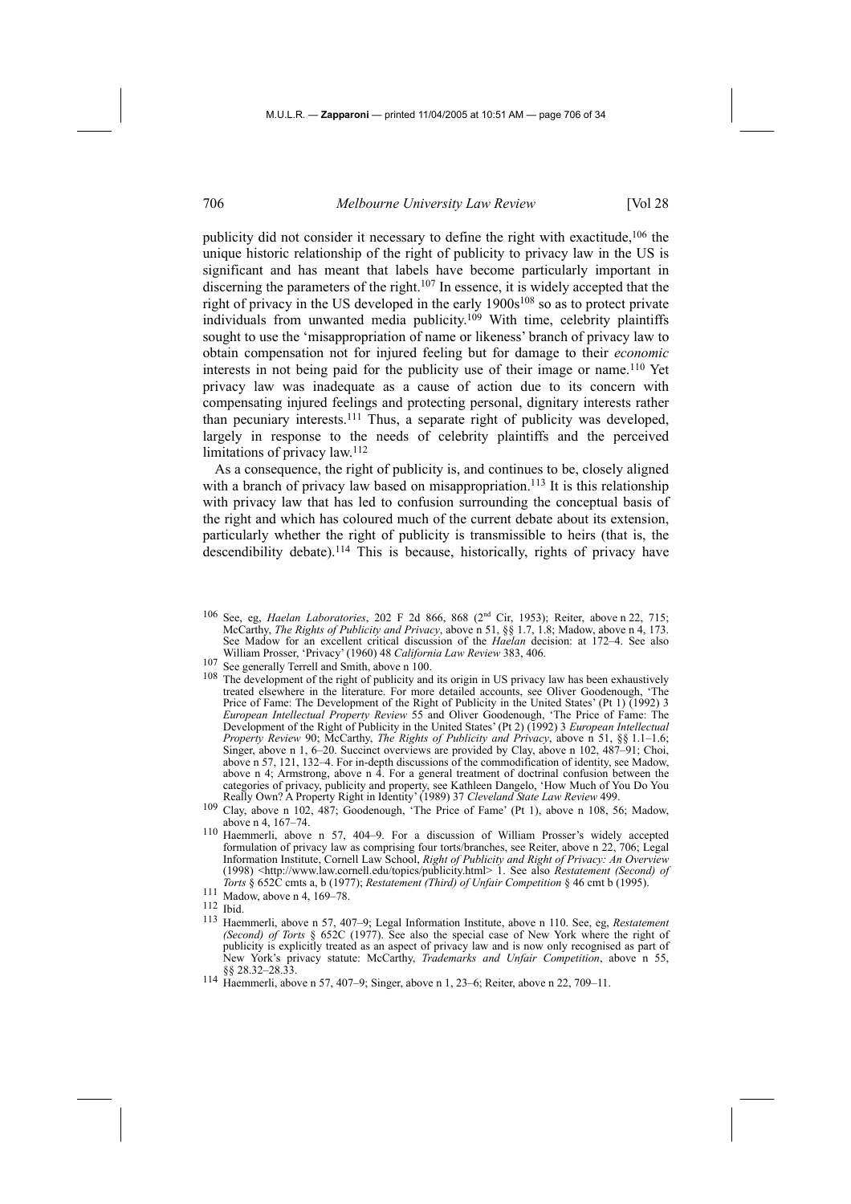publicity did not consider it necessary to define the right with exactitude, $106$  the unique historic relationship of the right of publicity to privacy law in the US is significant and has meant that labels have become particularly important in discerning the parameters of the right.107 In essence, it is widely accepted that the right of privacy in the US developed in the early 1900s<sup>108</sup> so as to protect private individuals from unwanted media publicity.109 With time, celebrity plaintiffs sought to use the 'misappropriation of name or likeness' branch of privacy law to obtain compensation not for injured feeling but for damage to their *economic* interests in not being paid for the publicity use of their image or name.110 Yet privacy law was inadequate as a cause of action due to its concern with compensating injured feelings and protecting personal, dignitary interests rather than pecuniary interests.111 Thus, a separate right of publicity was developed, largely in response to the needs of celebrity plaintiffs and the perceived limitations of privacy law.<sup>112</sup>

As a consequence, the right of publicity is, and continues to be, closely aligned with a branch of privacy law based on misappropriation.<sup>113</sup> It is this relationship with privacy law that has led to confusion surrounding the conceptual basis of the right and which has coloured much of the current debate about its extension, particularly whether the right of publicity is transmissible to heirs (that is, the descendibility debate).<sup>114</sup> This is because, historically, rights of privacy have

- 106 See, eg, *Haelan Laboratories*, 202 F 2d 866, 868 (2nd Cir, 1953); Reiter, above n 22, 715; McCarthy, *The Rights of Publicity and Privacy*, above n 51, §§ 1.7, 1.8; Madow, above n 4, 173. See Madow for an excellent critical discussion of the *Haelan* decision: at 172–4. See also William Prosser, 'Privacy' (1960) 48 *California Law Review* 383, 406.
- <sup>107</sup> See generally Terrell and Smith, above n 100.
- 108 The development of the right of publicity and its origin in US privacy law has been exhaustively treated elsewhere in the literature. For more detailed accounts, see Oliver Goodenough, 'The Price of Fame: The Development of the Right of Publicity in the United States' (Pt 1) (1992) 3 *European Intellectual Property Review* 55 and Oliver Goodenough, 'The Price of Fame: The Development of the Right of Publicity in the United States' (Pt 2) (1992) 3 *European Intellectual Property Review* 90; McCarthy, *The Rights of Publicity and Privacy*, above n 51, §§ 1.1–1.6; Singer, above n 1, 6–20. Succinct overviews are provided by Clay, above n 102, 487–91; Choi, above n 57, 121, 132–4. For in-depth discussions of the commodification of identity, see Madow, above n 4; Armstrong, above n 4. For a general treatment of doctrinal confusion between the categories of privacy, publicity and property, see Kathleen Dangelo, 'How Much of You Do You Really Own? A Property Right in Identity' (1989) 37 *Cleveland State Law Review* 499.
- 109 Clay, above n 102, 487; Goodenough, 'The Price of Fame' (Pt 1), above n 108, 56; Madow, above n 4, 167–74.
- 110 Haemmerli, above n 57, 404–9. For a discussion of William Prosser's widely accepted formulation of privacy law as comprising four torts/branches, see Reiter, above n 22, 706; Legal Information Institute, Cornell Law School, *Right of Publicity and Right of Privacy: An Overview*  (1998) <http://www.law.cornell.edu/topics/publicity.html> 1. See also *Restatement (Second) of Torts* § 652C cmts a, b (1977); *Restatement (Third) of Unfair Competition* § 46 cmt b (1995). <sup>111</sup> Madow, above n 4, 169–78.
- 
- 112 Ibid.
- 113 Haemmerli, above n 57, 407–9; Legal Information Institute, above n 110. See, eg, *Restatement (Second) of Torts* § 652C (1977). See also the special case of New York where the right of publicity is explicitly treated as an aspect of privacy law and is now only recognised as part of New York's privacy statute: McCarthy, *Trademarks and Unfair Competition*, above n 55, §§ 28.32–28.33.
- 114 Haemmerli, above n 57, 407–9; Singer, above n 1, 23–6; Reiter, above n 22, 709–11.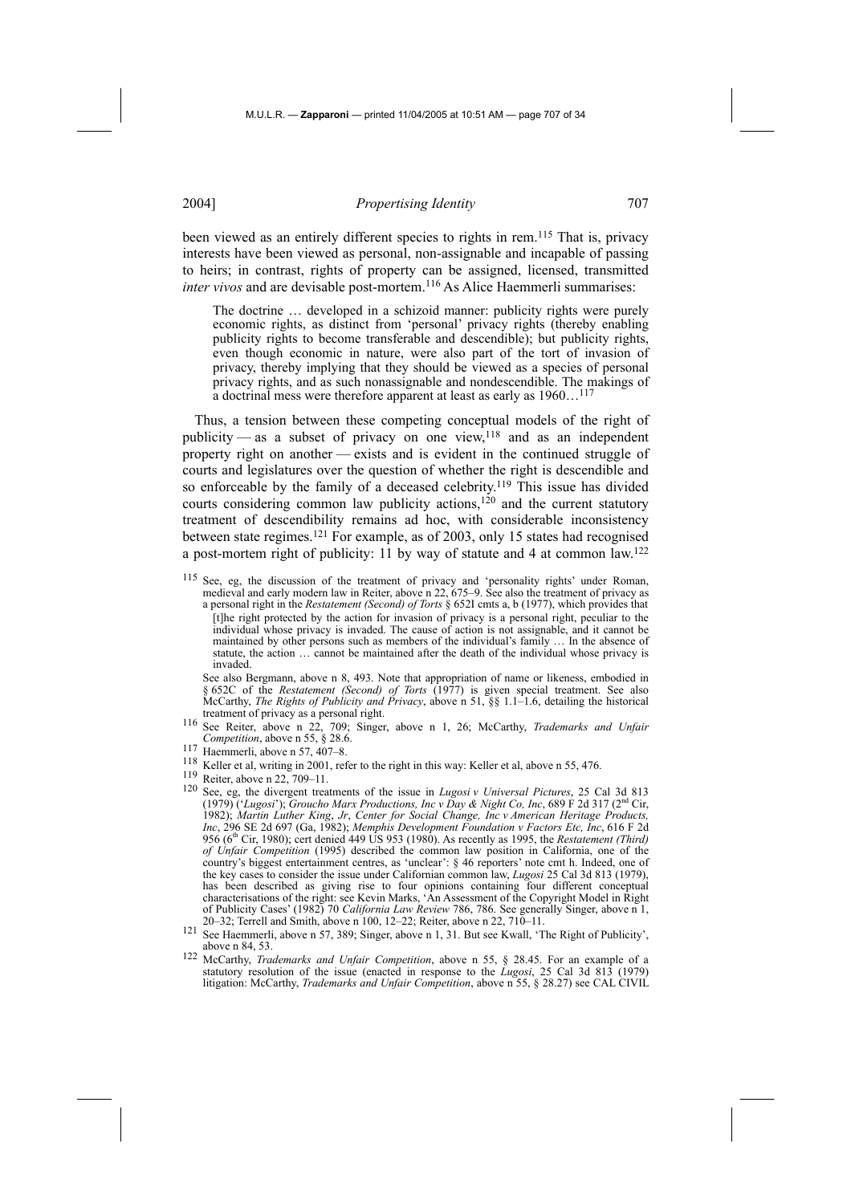been viewed as an entirely different species to rights in rem.115 That is, privacy interests have been viewed as personal, non-assignable and incapable of passing to heirs; in contrast, rights of property can be assigned, licensed, transmitted *inter vivos* and are devisable post-mortem.<sup>116</sup> As Alice Haemmerli summarises:

The doctrine … developed in a schizoid manner: publicity rights were purely economic rights, as distinct from 'personal' privacy rights (thereby enabling publicity rights to become transferable and descendible); but publicity rights, even though economic in nature, were also part of the tort of invasion of privacy, thereby implying that they should be viewed as a species of personal privacy rights, and as such nonassignable and nondescendible. The makings of a doctrinal mess were therefore apparent at least as early as 1960…117

Thus, a tension between these competing conceptual models of the right of publicity — as a subset of privacy on one view,<sup>118</sup> and as an independent property right on another — exists and is evident in the continued struggle of courts and legislatures over the question of whether the right is descendible and so enforceable by the family of a deceased celebrity.<sup>119</sup> This issue has divided courts considering common law publicity actions, $120$  and the current statutory treatment of descendibility remains ad hoc, with considerable inconsistency between state regimes.121 For example, as of 2003, only 15 states had recognised a post-mortem right of publicity: 11 by way of statute and 4 at common law.122

See, eg, the discussion of the treatment of privacy and 'personality rights' under Roman, medieval and early modern law in Reiter, above n 22, 675–9. See also the treatment of privacy as a personal right in the *Restatement (Second) of Torts* § 652I cmts a, b (1977), which provides that [t]he right protected by the action for invasion of privacy is a personal right, peculiar to the individual whose privacy is invaded. The cause of action is not assignable, and it cannot be maintained by other persons such as members of the individual's family … In the absence of statute, the action … cannot be maintained after the death of the individual whose privacy is invaded.

 See also Bergmann, above n 8, 493. Note that appropriation of name or likeness, embodied in § 652C of the *Restatement (Second) of Torts* (1977) is given special treatment. See also McCarthy, *The Rights of Publicity and Privacy*, above n 51, §§ 1.1–1.6, detailing the historical

- treatment of privacy as a personal right. 116 See Reiter, above n 22, 709; Singer, above n 1, 26; McCarthy, *Trademarks and Unfair Competition*, above n 55, § 28.6.
- 117 Haemmerli, above n 57, 407–8.
- 118 Keller et al, writing in 2001, refer to the right in this way: Keller et al, above n 55, 476.
- 119 Reiter, above n 22, 709–11.
- 120 See, eg, the divergent treatments of the issue in *Lugosi v Universal Pictures*, 25 Cal 3d 813 (1979) ('*Lugosi*'); *Groucho Marx Productions, Inc v Day & Night Co, Inc*, 689 F 2d 317 (2nd Cir, 1982); *Martin Luther King*, *Jr*, *Center for Social Change, Inc v American Heritage Products, Inc*, 296 SE 2d 697 (Ga, 1982); *Memphis Development Foundation v Factors Etc, Inc*, 616 F 2d 956 (6th Cir, 1980); cert denied 449 US 953 (1980). As recently as 1995, the *Restatement (Third) of Unfair Competition* (1995) described the common law position in California, one of the country's biggest entertainment centres, as 'unclear': § 46 reporters' note cmt h. Indeed, one of the key cases to consider the issue under Californian common law, *Lugosi* 25 Cal 3d 813 (1979), has been described as giving rise to four opinions containing four different conceptual characterisations of the right: see Kevin Marks, 'An Assessment of the Copyright Model in Right of Publicity Cases' (1982) 70 *California Law Review* 786, 786. See generally Singer, above n 1, 20–32; Terrell and Smith, above n 100, 12–22; Reiter, above n 22, 710–11.
- 121 See Haemmerli, above n 57, 389; Singer, above n 1, 31. But see Kwall, 'The Right of Publicity', above n 84, 53.
- 122 McCarthy, *Trademarks and Unfair Competition*, above n 55, § 28.45. For an example of a statutory resolution of the issue (enacted in response to the *Lugosi*, 25 Cal 3d 813 (1979) litigation: McCarthy, *Trademarks and Unfair Competition*, above n 55, § 28.27) see CAL CIVIL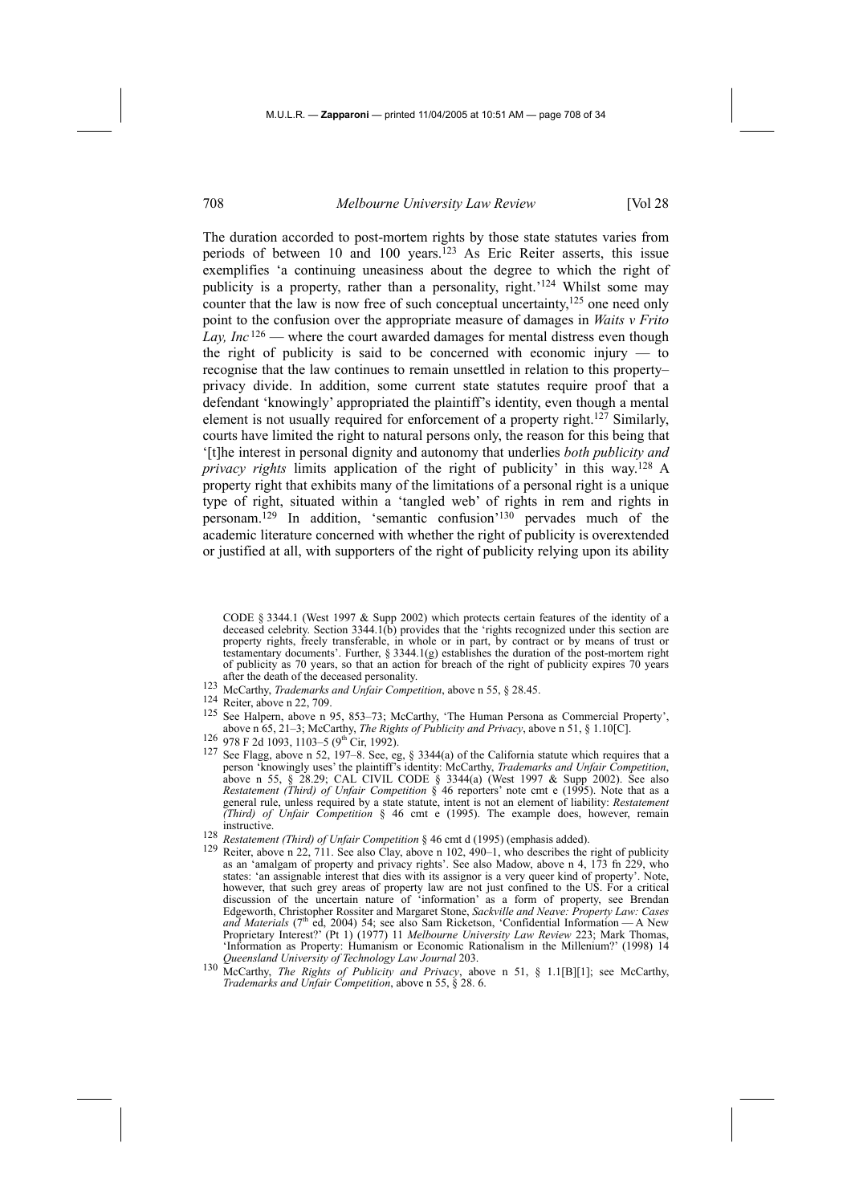The duration accorded to post-mortem rights by those state statutes varies from periods of between 10 and 100 years.<sup>123</sup> As Eric Reiter asserts, this issue exemplifies 'a continuing uneasiness about the degree to which the right of publicity is a property, rather than a personality, right.'124 Whilst some may counter that the law is now free of such conceptual uncertainty,<sup>125</sup> one need only point to the confusion over the appropriate measure of damages in *Waits v Frito Lay, Inc* 126 — where the court awarded damages for mental distress even though the right of publicity is said to be concerned with economic injury  $-$  to recognise that the law continues to remain unsettled in relation to this property– privacy divide. In addition, some current state statutes require proof that a defendant 'knowingly' appropriated the plaintiff's identity, even though a mental element is not usually required for enforcement of a property right.127 Similarly, courts have limited the right to natural persons only, the reason for this being that '[t]he interest in personal dignity and autonomy that underlies *both publicity and privacy rights* limits application of the right of publicity' in this way.128 A property right that exhibits many of the limitations of a personal right is a unique type of right, situated within a 'tangled web' of rights in rem and rights in personam.129 In addition, 'semantic confusion'130 pervades much of the academic literature concerned with whether the right of publicity is overextended or justified at all, with supporters of the right of publicity relying upon its ability

CODE § 3344.1 (West 1997 & Supp 2002) which protects certain features of the identity of a deceased celebrity. Section 3344.1(b) provides that the 'rights recognized under this section are property rights, freely transferable, in whole or in part, by contract or by means of trust or testamentary documents'. Further, § 3344.1(g) establishes the duration of the post-mortem right of publicity as 70 years, so that an action for breach of the right of publicity expires 70 years after the death of the deceased personality.

- 123 McCarthy, *Trademarks and Unfair Competition*, above n 55, § 28.45.
- $^{124}$  Reiter, above n 22, 709.
- See Halpern, above n 95, 853-73; McCarthy, 'The Human Persona as Commercial Property', above n 65, 21–3; McCarthy, *The Rights of Publicity and Privacy*, above n 51, § 1.10[C].<br><sup>126</sup> 978 F 2d 1093, 1103–5 (9<sup>th</sup> Cir, 1992).
- 
- 126 978 F 2d 1093, 1103–5 (9<sup>th</sup> Cir, 1992).<br><sup>127</sup> See Flagg, above n 52, 197–8. See, eg, § 3344(a) of the California statute which requires that a person 'knowingly uses' the plaintiff's identity: McCarthy, *Trademarks and Unfair Competition*, above n 55, § 28.29; CAL CIVIL CODE § 3344(a) (West 1997 & Supp 2002). See also *Restatement (Third) of Unfair Competition* § 46 reporters' note cmt e (1995). Note that as a general rule, unless required by a state statute, intent is not an element of liability: *Restatement (Third) of Unfair Competition* § 46 cmt e (1995). The example does, however, remain instructive.<br>
128 Restatement (Third) of Unfair Competition § 46 cmt d (1995) (emphasis added).
- 
- <sup>129</sup> Reiter, above n 22, 711. See also Clay, above n 102, 490–1, who describes the right of publicity as an 'amalgam of property and privacy rights'. See also Madow, above n 4, 173 fn 229, who states: 'an assignable interest that dies with its assignor is a very queer kind of property'. Note, however, that such grey areas of property law are not just confined to the US. For a critical discussion of the uncertain nature of 'information' as a form of property, see Brendan Edgeworth, Christopher Rossiter and Margaret Stone, *Sackville and Neave: Property Law: Cases*  and Materials (7<sup>th</sup> ed, 2004) 54; see also Sam Ricketson, 'Confidential Information — A New Proprietary Interest?' (Pt 1) (1977) 11 *Melbourne University Law Review* 223; Mark Thomas, 'Information as Property: Humanism or Economic Rationalism in the Millenium?' (1998) 14 *Queensland University of Technology Law Journal* 203.
- 130 McCarthy, *The Rights of Publicity and Privacy*, above n 51, § 1.1[B][1]; see McCarthy, *Trademarks and Unfair Competition*, above n 55, § 28. 6.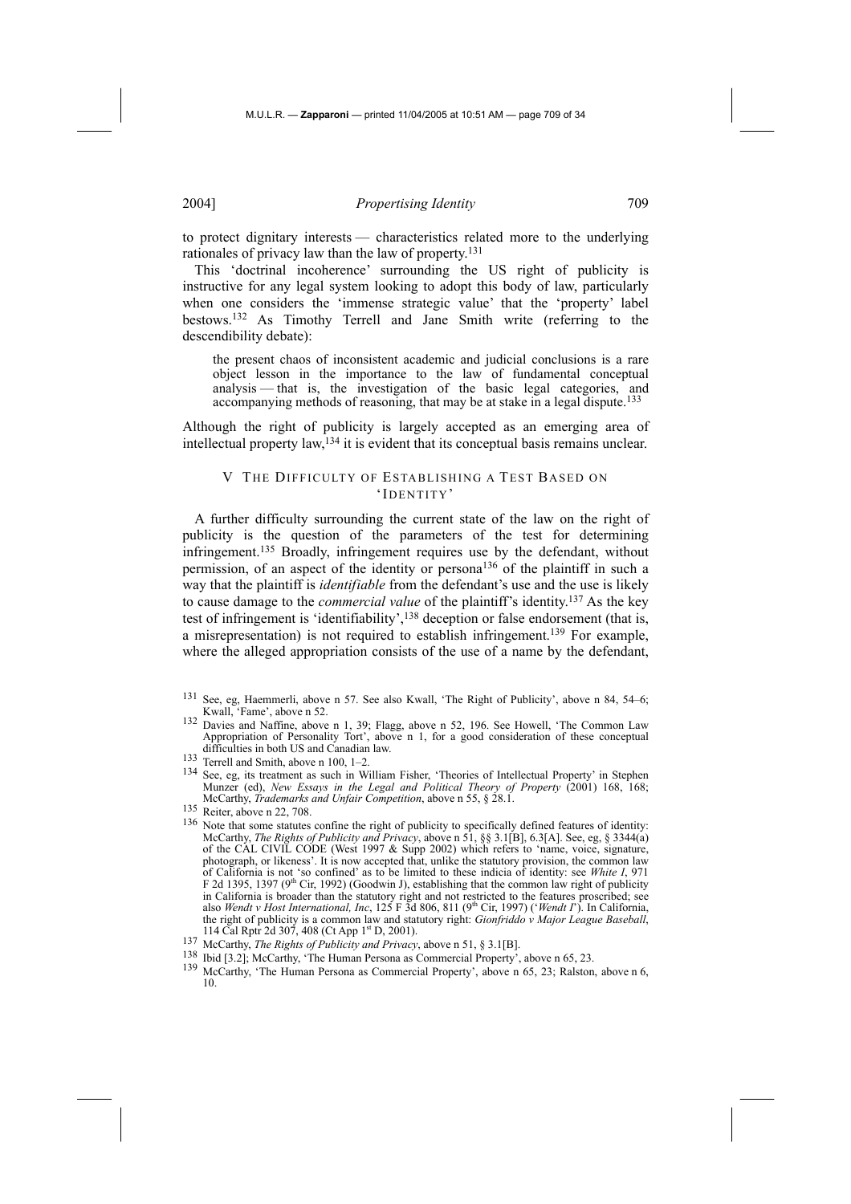to protect dignitary interests — characteristics related more to the underlying rationales of privacy law than the law of property.131

This 'doctrinal incoherence' surrounding the US right of publicity is instructive for any legal system looking to adopt this body of law, particularly when one considers the 'immense strategic value' that the 'property' label bestows.132 As Timothy Terrell and Jane Smith write (referring to the descendibility debate):

the present chaos of inconsistent academic and judicial conclusions is a rare object lesson in the importance to the law of fundamental conceptual analysis — that is, the investigation of the basic legal categories, and accompanying methods of reasoning, that may be at stake in a legal dispute.<sup>133</sup>

Although the right of publicity is largely accepted as an emerging area of intellectual property law,134 it is evident that its conceptual basis remains unclear.

### V THE DIFFICULTY OF ESTABLISHING A TEST BASED ON 'IDENTITY'

A further difficulty surrounding the current state of the law on the right of publicity is the question of the parameters of the test for determining infringement.135 Broadly, infringement requires use by the defendant, without permission, of an aspect of the identity or persona136 of the plaintiff in such a way that the plaintiff is *identifiable* from the defendant's use and the use is likely to cause damage to the *commercial value* of the plaintiff's identity.137 As the key test of infringement is 'identifiability',<sup>138</sup> deception or false endorsement (that is, a misrepresentation) is not required to establish infringement.139 For example, where the alleged appropriation consists of the use of a name by the defendant.

132 Davies and Naffine, above n 1, 39; Flagg, above n 52, 196. See Howell, 'The Common Law Appropriation of Personality Tort', above n 1, for a good consideration of these conceptual difficulties in both US and Canadian law.

<sup>131</sup> See, eg, Haemmerli, above n 57. See also Kwall, 'The Right of Publicity', above n 84, 54–6; Kwall, 'Fame', above n 52.

<sup>133</sup> Terrell and Smith, above n 100, 1–2.

<sup>134</sup> See, eg, its treatment as such in William Fisher, 'Theories of Intellectual Property' in Stephen Munzer (ed), *New Essays in the Legal and Political Theory of Property* (2001) 168, 168; McCarthy, *Trademarks and Unfair Competition*, above n 55, § 28.1.

<sup>135</sup> Reiter, above n 22, 708.

<sup>&</sup>lt;sup>136</sup> Note that some statutes confine the right of publicity to specifically defined features of identity: McCarthy, *The Rights of Publicity and Privacy*, above n 51, §§ 3.1[B], 6.3[A]. See, eg, § 3344(a) of the CAL CIVIL CODE (West 1997 & Supp 2002) which refers to 'name, voice, signature, photograph, or likeness'. It is now accepted that, unlike the statutory provision, the common law of California is not 'so confined' as to be limited to these indicia of identity: see *White I*, 971 F 2d 1395, 1397 (9<sup>th</sup> Cir, 1992) (Goodwin J), establishing that the common law right of publicity in California is broader than the statutory right and not restricted to the features proscribed; see also *Wendt v Host International, Inc*, 125 F 3d 806, 811 (9<sup>th</sup> Cir, 1997) (*'Wendt I*'). In California, the right of publicity is a common law and statutory right: *Gionfriddo v Major League Baseball*, 114 Cal Rptr 2d 307, 408 (Ct App 1<sup>st</sup> D, 2001).

<sup>137</sup> McCarthy, *The Rights of Publicity and Privacy*, above n 51, § 3.1[B].<br>138 Ibid 13.21: McCarthy, *The Human Persona as Commargial Preparty*.

<sup>&</sup>lt;sup>138</sup> Ibid [3.2]; McCarthy, 'The Human Persona as Commercial Property', above n 65, 23. 139 McCarthy, 'The Human Persona as Commercial Property', above n 65, 23; Ralston, above n 6, 10.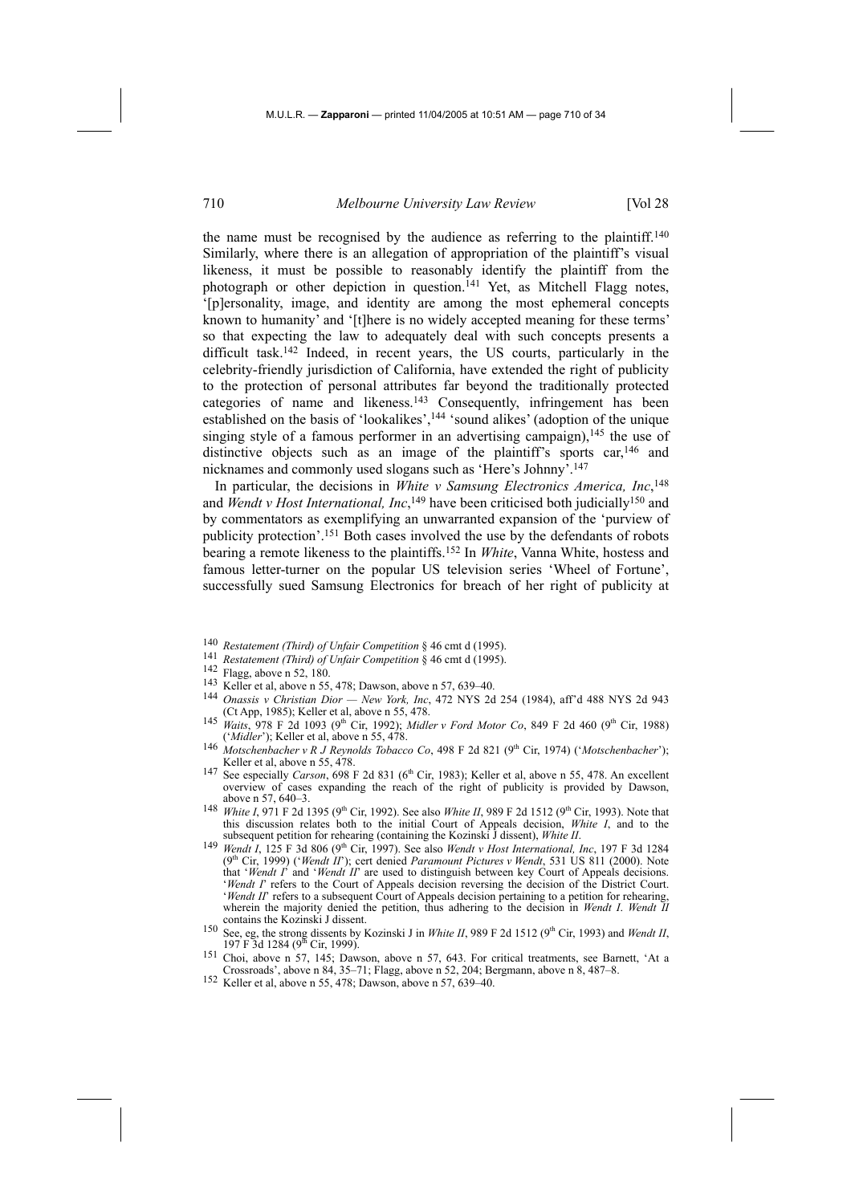the name must be recognised by the audience as referring to the plaintiff.140 Similarly, where there is an allegation of appropriation of the plaintiff's visual likeness, it must be possible to reasonably identify the plaintiff from the photograph or other depiction in question.<sup>141</sup> Yet, as Mitchell Flagg notes, '[p]ersonality, image, and identity are among the most ephemeral concepts known to humanity' and '[t]here is no widely accepted meaning for these terms' so that expecting the law to adequately deal with such concepts presents a difficult task.142 Indeed, in recent years, the US courts, particularly in the celebrity-friendly jurisdiction of California, have extended the right of publicity to the protection of personal attributes far beyond the traditionally protected categories of name and likeness.143 Consequently, infringement has been established on the basis of 'lookalikes',<sup>144</sup> 'sound alikes' (adoption of the unique singing style of a famous performer in an advertising campaign),<sup>145</sup> the use of distinctive objects such as an image of the plaintiff's sports  $car<sub>146</sub>$  and nicknames and commonly used slogans such as 'Here's Johnny'.147

In particular, the decisions in *White v Samsung Electronics America, Inc*, 148 and *Wendt v Host International, Inc*,<sup>149</sup> have been criticised both judicially<sup>150</sup> and by commentators as exemplifying an unwarranted expansion of the 'purview of publicity protection'.151 Both cases involved the use by the defendants of robots bearing a remote likeness to the plaintiffs.152 In *White*, Vanna White, hostess and famous letter-turner on the popular US television series 'Wheel of Fortune', successfully sued Samsung Electronics for breach of her right of publicity at

- <sup>140</sup> *Restatement (Third) of Unfair Competition* § 46 cmt d (1995).<br>
<sup>141</sup> *Restatement (Third) of Unfair Competition* § 46 cmt d (1995).<br>
<sup>142</sup> Flagg, above n 52, 180.<br>
<sup>143</sup> Keller et al, above n 55, 478; Dawson, above
- 
- 
- 
- 144 *Onassis v Christian Dior New York, Inc*, 472 NYS 2d 254 (1984), aff'd 488 NYS 2d 943 (Ct App, 1985); Keller et al, above n 55, 478.
- 145 *Waits*, 978 F 2d 1093 (9<sup>th</sup> Cir, 1992); *Midler v Ford Motor Co*, 849 F 2d 460 (9<sup>th</sup> Cir, 1988) (*'Midler'*); Keller et al, above n 55, 478.<br><sup>146</sup> *Motschenbacher v R J Reynolds Tobacco Co*, 498 F 2d 821 (9<sup>th</sup> Cir, 1974) (*'Motschenbacher'*);
- Keller et al, above n 55, 478.
- 147 See especially *Carson*, 698 F 2d 831 (6th Cir, 1983); Keller et al, above n 55, 478. An excellent overview of cases expanding the reach of the right of publicity is provided by Dawson, above n 57, 640–3.
- <sup>148</sup> *White I*, 971 F 2d 1395 (9<sup>th</sup> Cir, 1992). See also *White II*, 989 F 2d 1512 (9<sup>th</sup> Cir, 1993). Note that this discussion relates both to the initial Court of Appeals decision, *White I*, and to the
- subsequent petition for rehearing (containing the Kozinski J dissent), *White II*. 149 *Wendt I*, 125 F 3d 806 (9<sup>th</sup> Cir, 1997). See also *Wendt v Host International, Inc.* 197 F 3d 1284 (9<sup>th</sup> Cir, 1999) ('*Wendt II'*); cert denied *Paramount Pictures v Wendt*, 531 US 811 (2000). Note that '*Wendt I*' and '*Wendt II*' are used to distinguish between key Court of Appeals decisions. '*Wendt I*' refers to the Court of Appeals decision reversing the decision of the District Court. '*Wendt II*' refers to a subsequent Court of Appeals decision pertaining to a petition for rehearing, wherein the majority denied the petition, thus adhering to the decision in *Wendt I*. *Wendt II* contains the Kozinski J dissent.
- <sup>150</sup> See, eg, the strong dissents by Kozinski J in *White II*, 989 F 2d 1512 (9<sup>th</sup> Cir, 1993) and *Wendt II*, 197 F 3d 1284 (9<sup>th</sup> Cir, 1999).<br><sup>151</sup> Choi, above n 57, 145; Dawson, above n 57, 643. For critical treatments, see Barnett, 'At a
- <sup>151</sup> Choi, above n  $\overline{57}$ , 145; Dawson, above n 57, 643. For critical treatments, see Barnett, 'At a Crossroads', above n 84, 35–71; Flagg, above n 52, 204; Bergmann, above n 8, 487–8.
- 152 Keller et al, above n 55, 478; Dawson, above n 57, 639–40.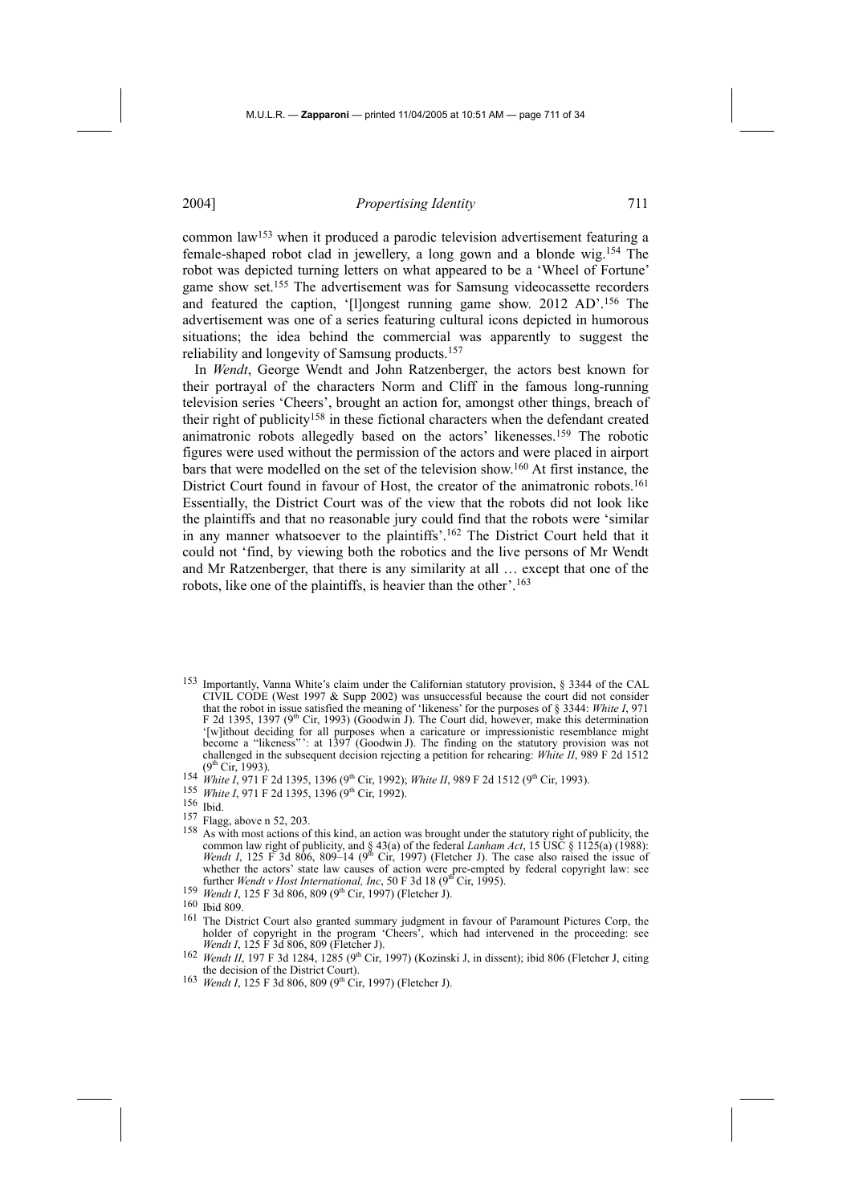common law153 when it produced a parodic television advertisement featuring a female-shaped robot clad in jewellery, a long gown and a blonde wig.154 The robot was depicted turning letters on what appeared to be a 'Wheel of Fortune' game show set.155 The advertisement was for Samsung videocassette recorders and featured the caption, '[l]ongest running game show. 2012 AD'.156 The advertisement was one of a series featuring cultural icons depicted in humorous situations; the idea behind the commercial was apparently to suggest the reliability and longevity of Samsung products.157

In *Wendt*, George Wendt and John Ratzenberger, the actors best known for their portrayal of the characters Norm and Cliff in the famous long-running television series 'Cheers', brought an action for, amongst other things, breach of their right of publicity158 in these fictional characters when the defendant created animatronic robots allegedly based on the actors' likenesses.159 The robotic figures were used without the permission of the actors and were placed in airport bars that were modelled on the set of the television show.160 At first instance, the District Court found in favour of Host, the creator of the animatronic robots.<sup>161</sup> Essentially, the District Court was of the view that the robots did not look like the plaintiffs and that no reasonable jury could find that the robots were 'similar in any manner whatsoever to the plaintiffs'.162 The District Court held that it could not 'find, by viewing both the robotics and the live persons of Mr Wendt and Mr Ratzenberger, that there is any similarity at all … except that one of the robots, like one of the plaintiffs, is heavier than the other'.163

- 153 Importantly, Vanna White's claim under the Californian statutory provision, § 3344 of the CAL CIVIL CODE (West 1997 & Supp 2002) was unsuccessful because the court did not consider that the robot in issue satisfied the meaning of 'likeness' for the purposes of § 3344: *White I*, 971 F 2d 1395, 1397 (9<sup>th</sup> Cir, 1993) (Goodwin J). The Court did, however, make this determination '[w]ithout deciding for all purposes when a caricature or impressionistic resemblance might become a "likeness"': at 1397 (Goodwin J). The finding on the statutory provision was not challenged in the subsequent decision rejecting a petition for rehearing: *White II*, 989 F 2d 1512 (9<sup>th</sup> Cir. 1993).
- 154 *White I*, 971 F 2d 1395, 1396 (9<sup>th</sup> Cir, 1992); *White II*, 989 F 2d 1512 (9<sup>th</sup> Cir, 1993).<br>
155 *White I*, 971 F 2d 1395, 1396 (9<sup>th</sup> Cir, 1992).<br>
156 Ibid.<br>
<sup>157</sup> Flagg, above n 52, 203.
- 
- 
- 
- <sup>158</sup> As with most actions of this kind, an action was brought under the statutory right of publicity, the common law right of publicity, and § 43(a) of the federal *Lanham Act*, 15 USC § 1125(a) (1988): *Wendt I*, 125 F 3d 806, 809–14 (9<sup>th</sup> Cir, 1997) (Fletcher J). The case also raised the issue of whether the actors' state law causes of action were pre-empted by federal copyright law: see<br>further *Wendt v Host International*, Inc, 50 F 3d 18 (9<sup>th</sup> Cir, 1995).
- <sup>159</sup> *Wendt I*, 125 F 3d 806, 809 (9<sup>th</sup> Cir, 1997) (Fletcher J). <sup>160</sup> Ibid 809.
- 
- 161 The District Court also granted summary judgment in favour of Paramount Pictures Corp, the holder of copyright in the program 'Cheers', which had intervened in the proceeding: see<br>Wendt I, 125 F 3d 806, 809 (Fletcher J).
- <sup>162</sup> *Wendt II*, 197 F 3d 1284, 1285 (9<sup>th</sup> Cir, 1997) (Kozinski J, in dissent); ibid 806 (Fletcher J, citing the decision of the District Court).
- 163 *Wendt I*, 125 F 3d 806, 809 (9<sup>th</sup> Cir, 1997) (Fletcher J).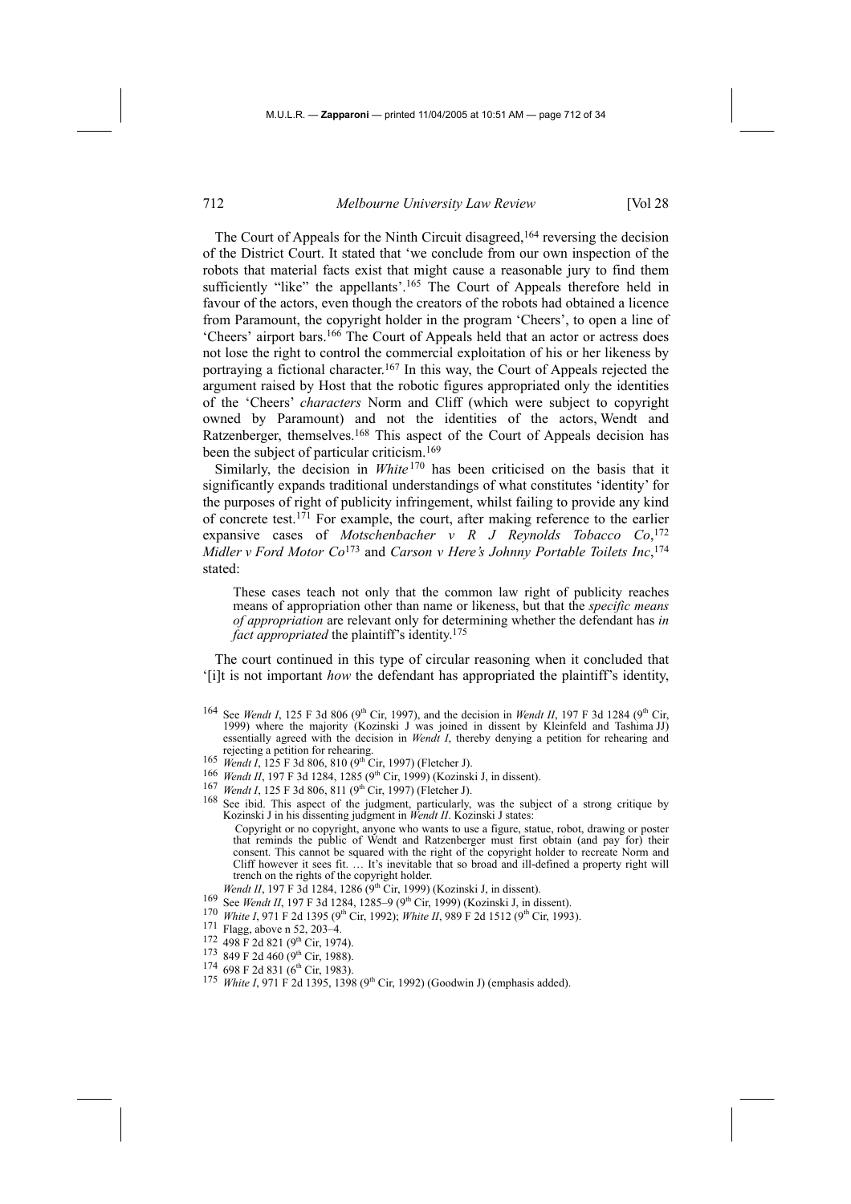The Court of Appeals for the Ninth Circuit disagreed,<sup>164</sup> reversing the decision of the District Court. It stated that 'we conclude from our own inspection of the robots that material facts exist that might cause a reasonable jury to find them sufficiently "like" the appellants'.<sup>165</sup> The Court of Appeals therefore held in favour of the actors, even though the creators of the robots had obtained a licence from Paramount, the copyright holder in the program 'Cheers', to open a line of 'Cheers' airport bars.166 The Court of Appeals held that an actor or actress does not lose the right to control the commercial exploitation of his or her likeness by portraying a fictional character.167 In this way, the Court of Appeals rejected the argument raised by Host that the robotic figures appropriated only the identities of the 'Cheers' *characters* Norm and Cliff (which were subject to copyright owned by Paramount) and not the identities of the actors, Wendt and Ratzenberger, themselves.168 This aspect of the Court of Appeals decision has been the subject of particular criticism.169

Similarly, the decision in *White* <sup>170</sup> has been criticised on the basis that it significantly expands traditional understandings of what constitutes 'identity' for the purposes of right of publicity infringement, whilst failing to provide any kind of concrete test.171 For example, the court, after making reference to the earlier expansive cases of *Motschenbacher v R J Reynolds Tobacco Co*, 172 *Midler v Ford Motor Co*173 and *Carson v Here's Johnny Portable Toilets Inc*, 174 stated:

These cases teach not only that the common law right of publicity reaches means of appropriation other than name or likeness, but that the *specific means of appropriation* are relevant only for determining whether the defendant has *in fact appropriated* the plaintiff's identity.<sup>175</sup>

The court continued in this type of circular reasoning when it concluded that '[i]t is not important *how* the defendant has appropriated the plaintiff's identity,

- <sup>164</sup> See *Wendt I*, 125 F 3d 806 (9<sup>th</sup> Cir, 1997), and the decision in *Wendt II*, 197 F 3d 1284 (9<sup>th</sup> Cir, 1999) where the majority (Kozinski J was joined in dissent by Kleinfeld and Tashima JJ) essentially agreed with the decision in *Wendt I*, thereby denying a petition for rehearing and rejecting a petition for rehearing. rejecting a petition for rehearing.<br>
165 *Wendt I*, 125 F 3d 806, 810 (9<sup>th</sup> Cir, 1997) (Fletcher J).<br>
<sup>166</sup> *Wendt II*, 197 F 3d 1284, 1285 (9<sup>th</sup> Cir, 1999) (Kozinski J, in dissent).<br>
<sup>167</sup> *Wendt I*, 125 F 3d 806, 811
- 
- 
- 
- Kozinski J in his dissenting judgment in *Wendt II*. Kozinski J states:
	- Copyright or no copyright, anyone who wants to use a figure, statue, robot, drawing or poster that reminds the public of Wendt and Ratzenberger must first obtain (and pay for) their consent. This cannot be squared with the right of the copyright holder to recreate Norm and Cliff however it sees fit. … It's inevitable that so broad and ill-defined a property right will trench on the rights of the copyright holder.<br>Wendt II, 197 F 3d 1284, 1286 (9<sup>th</sup> Cir, 1999) (Kozinski J, in dissent).
	-
- 
- 169 See Wendt II, 197 F 3d 1284, 1285–9 (9<sup>th</sup> Cir, 1999) (Kozinski J, in dissent).<br>
170 White I, 971 F 2d 1395 (9<sup>th</sup> Cir, 1992); White II, 989 F 2d 1512 (9<sup>th</sup> Cir, 1993).<br>
171 Flagg, above n 52, 203–4.<br>
172 498 F 2d 82
- 
- 
- 
- 
-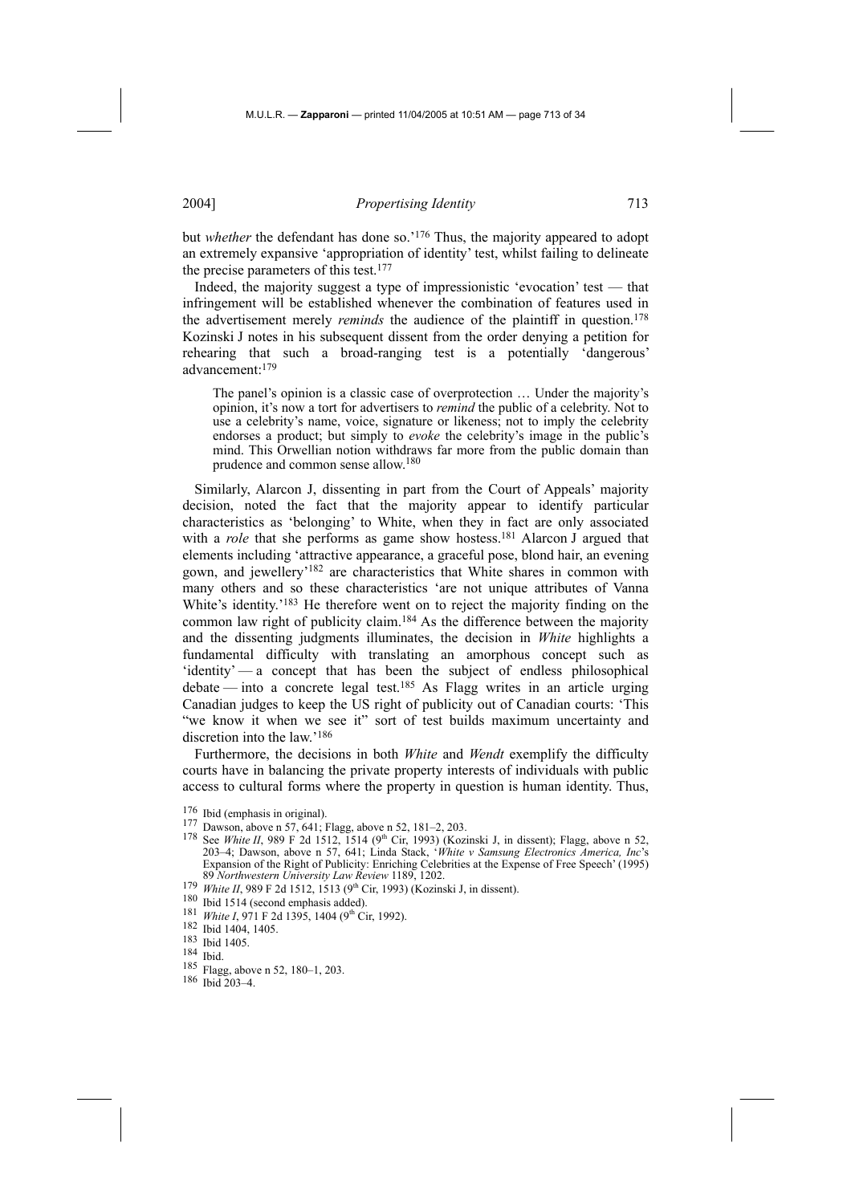but *whether* the defendant has done so.<sup>'176</sup> Thus, the majority appeared to adopt an extremely expansive 'appropriation of identity' test, whilst failing to delineate the precise parameters of this test.177

Indeed, the majority suggest a type of impressionistic 'evocation' test — that infringement will be established whenever the combination of features used in the advertisement merely *reminds* the audience of the plaintiff in question.<sup>178</sup> Kozinski J notes in his subsequent dissent from the order denying a petition for rehearing that such a broad-ranging test is a potentially 'dangerous' advancement:179

The panel's opinion is a classic case of overprotection … Under the majority's opinion, it's now a tort for advertisers to *remind* the public of a celebrity. Not to use a celebrity's name, voice, signature or likeness; not to imply the celebrity endorses a product; but simply to *evoke* the celebrity's image in the public's mind. This Orwellian notion withdraws far more from the public domain than prudence and common sense allow.180

Similarly, Alarcon J, dissenting in part from the Court of Appeals' majority decision, noted the fact that the majority appear to identify particular characteristics as 'belonging' to White, when they in fact are only associated with a *role* that she performs as game show hostess.<sup>181</sup> Alarcon J argued that elements including 'attractive appearance, a graceful pose, blond hair, an evening gown, and jewellery'182 are characteristics that White shares in common with many others and so these characteristics 'are not unique attributes of Vanna White's identity.'<sup>183</sup> He therefore went on to reject the majority finding on the common law right of publicity claim.<sup>184</sup> As the difference between the majority and the dissenting judgments illuminates, the decision in *White* highlights a fundamental difficulty with translating an amorphous concept such as 'identity' — a concept that has been the subject of endless philosophical debate — into a concrete legal test.<sup>185</sup> As Flagg writes in an article urging Canadian judges to keep the US right of publicity out of Canadian courts: 'This "we know it when we see it" sort of test builds maximum uncertainty and discretion into the law.'186

Furthermore, the decisions in both *White* and *Wendt* exemplify the difficulty courts have in balancing the private property interests of individuals with public access to cultural forms where the property in question is human identity. Thus,

- 
- 176 Ibid (emphasis in original).<br><sup>177</sup> Dawson, above n 57, 641; Flagg, above n 52, 181–2, 203.<br><sup>178</sup> See *White II*, 989 F 2d 1512, 1514 (9<sup>th</sup> Cir, 1993) (Kozinski J, in dissent); Flagg, above n 52, 203–4; Dawson, above n 57, 641; Linda Stack, '*White v Samsung Electronics America, Inc*'s Expansion of the Right of Publicity: Enriching Celebrities at the Expense of Free Speech' (1995) 89 *Northwestern University Law Review* 1189, 1202.
- 179 White II, 989 F 2d 1512, 1513 (9<sup>th</sup> Cir, 1993) (Kozinski J, in dissent). 180 Ibid 1514 (second emphasis added). 181 *White I*, 971 F 2d 1395, 1404 (9<sup>th</sup> Cir, 1992). 182 Ibid 1404, 1405.
- 
- 
- 
- 183 Ibid 1405.
- 184 Ibid.
- 185 Flagg, above n 52, 180–1, 203.
- 186 Ibid 203–4.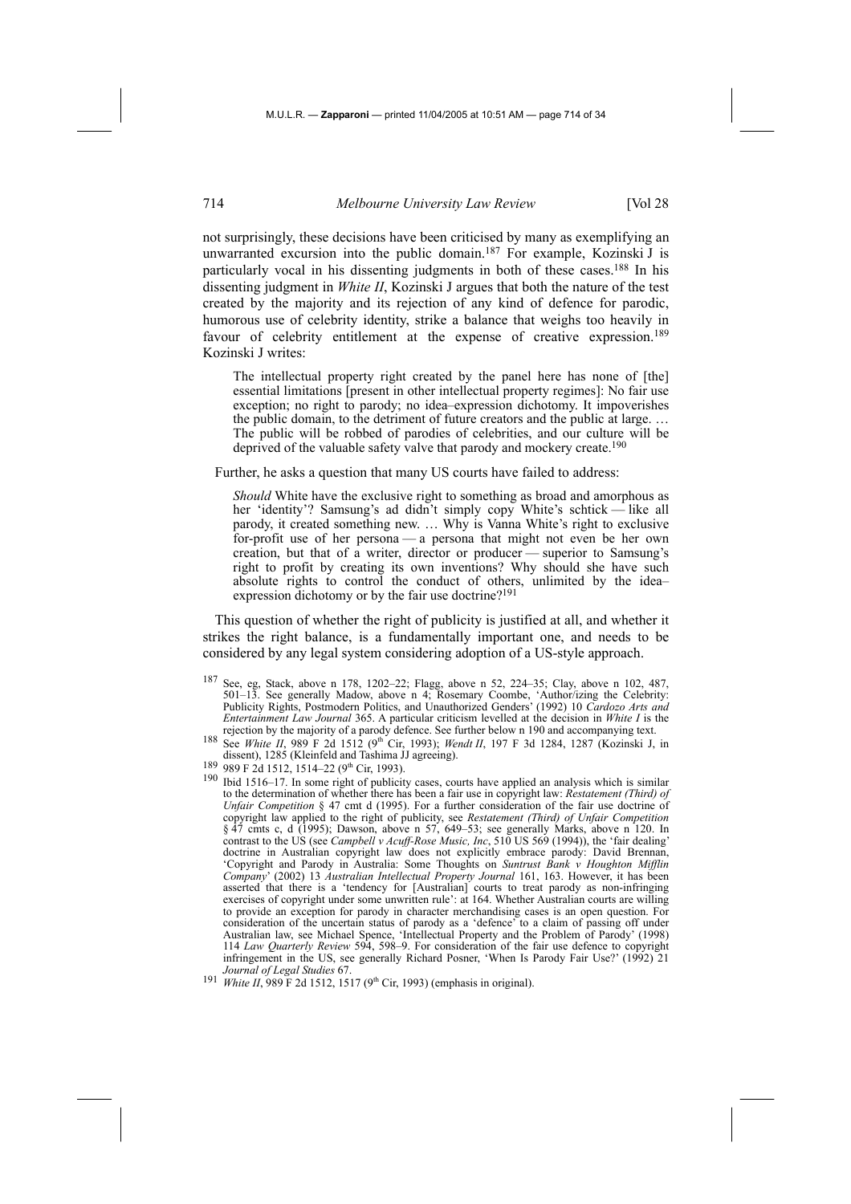not surprisingly, these decisions have been criticised by many as exemplifying an unwarranted excursion into the public domain.187 For example, Kozinski J is particularly vocal in his dissenting judgments in both of these cases.188 In his dissenting judgment in *White II*, Kozinski J argues that both the nature of the test created by the majority and its rejection of any kind of defence for parodic, humorous use of celebrity identity, strike a balance that weighs too heavily in favour of celebrity entitlement at the expense of creative expression.<sup>189</sup> Kozinski J writes:

The intellectual property right created by the panel here has none of [the] essential limitations [present in other intellectual property regimes]: No fair use exception; no right to parody; no idea–expression dichotomy. It impoverishes the public domain, to the detriment of future creators and the public at large. … The public will be robbed of parodies of celebrities, and our culture will be deprived of the valuable safety valve that parody and mockery create.<sup>190</sup>

Further, he asks a question that many US courts have failed to address:

*Should* White have the exclusive right to something as broad and amorphous as her 'identity'? Samsung's ad didn't simply copy White's schtick — like all parody, it created something new. … Why is Vanna White's right to exclusive for-profit use of her persona — a persona that might not even be her own creation, but that of a writer, director or producer — superior to Samsung's right to profit by creating its own inventions? Why should she have such absolute rights to control the conduct of others, unlimited by the idea– expression dichotomy or by the fair use doctrine?<sup>191</sup>

This question of whether the right of publicity is justified at all, and whether it strikes the right balance, is a fundamentally important one, and needs to be considered by any legal system considering adoption of a US-style approach.

- 187 See, eg, Stack, above n 178, 1202–22; Flagg, above n 52, 224–35; Clay, above n 102, 487, 501–13. See generally Madow, above n 4; Rosemary Coombe, 'Author/izing the Celebrity: Publicity Rights, Postmodern Politics, and Unauthorized Genders' (1992) 10 *Cardozo Arts and Entertainment Law Journal* 365. A particular criticism levelled at the decision in *White I* is the
- rejection by the majority of a parody defence. See further below n 190 and accompanying text.<br><sup>188</sup> See *White II*, 989 F 2d 1512 (9<sup>th</sup> Cir, 1993); *Wendt II*, 197 F 3d 1284, 1287 (Kozinski J, in dissent), 1285 (Kleinfeld
- 
- dissement and Tashima July 2006 F 2d 1512, 1514–22 (9<sup>th</sup> Cir, 1993). 190 Ibid 1516–17. In some right of publicity cases, courts have applied an analysis which is similar 190 Ibid 1516–17. In some right of publicity cases to the determination of whether there has been a fair use in copyright law: *Restatement (Third) of Unfair Competition* § 47 cmt d (1995). For a further consideration of the fair use doctrine of copyright law applied to the right of publicity, see *Restatement (Third) of Unfair Competition*  § 47 cmts c, d (1995); Dawson, above n 57, 649–53; see generally Marks, above n 120. In contrast to the US (see *Campbell v Acuff-Rose Music, Inc*, 510 US 569 (1994)), the 'fair dealing' doctrine in Australian copyright law does not explicitly embrace parody: David Brennan, 'Copyright and Parody in Australia: Some Thoughts on *Suntrust Bank v Houghton Mifflin Company*' (2002) 13 *Australian Intellectual Property Journal* 161, 163. However, it has been asserted that there is a 'tendency for [Australian] courts to treat parody as non-infringing exercises of copyright under some unwritten rule': at 164. Whether Australian courts are willing to provide an exception for parody in character merchandising cases is an open question. For consideration of the uncertain status of parody as a 'defence' to a claim of passing off under Australian law, see Michael Spence, 'Intellectual Property and the Problem of Parody' (1998) 114 *Law Quarterly Review* 594, 598–9. For consideration of the fair use defence to copyright infringement in the US, see generally Richard Posner, 'When Is Parody Fair Use?' (1992) 21 *Journal of Legal Studies* 67.
- 191 *White II*, 989 F 2d 1512, 1517 (9<sup>th</sup> Cir, 1993) (emphasis in original).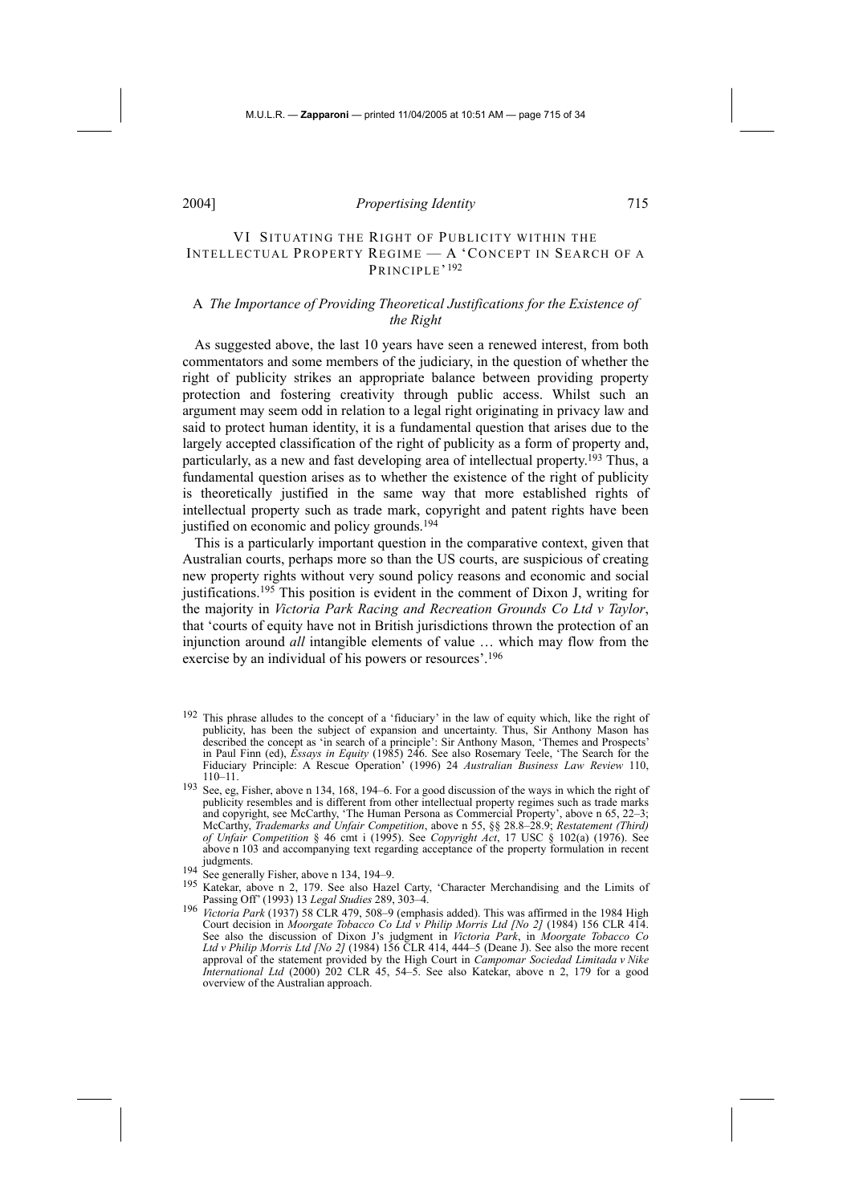## VI SITUATING THE RIGHT OF PUBLICITY WITHIN THE INTELLECTUAL PROPERTY REGIME — A 'CONCEPT IN SEARCH OF A PRINCIPLE'<sup>192</sup>

## A *The Importance of Providing Theoretical Justifications for the Existence of the Right*

As suggested above, the last 10 years have seen a renewed interest, from both commentators and some members of the judiciary, in the question of whether the right of publicity strikes an appropriate balance between providing property protection and fostering creativity through public access. Whilst such an argument may seem odd in relation to a legal right originating in privacy law and said to protect human identity, it is a fundamental question that arises due to the largely accepted classification of the right of publicity as a form of property and, particularly, as a new and fast developing area of intellectual property.193 Thus, a fundamental question arises as to whether the existence of the right of publicity is theoretically justified in the same way that more established rights of intellectual property such as trade mark, copyright and patent rights have been justified on economic and policy grounds.<sup>194</sup>

This is a particularly important question in the comparative context, given that Australian courts, perhaps more so than the US courts, are suspicious of creating new property rights without very sound policy reasons and economic and social justifications.<sup>195</sup> This position is evident in the comment of Dixon J, writing for the majority in *Victoria Park Racing and Recreation Grounds Co Ltd v Taylor*, that 'courts of equity have not in British jurisdictions thrown the protection of an injunction around *all* intangible elements of value … which may flow from the exercise by an individual of his powers or resources'.196

- 192 This phrase alludes to the concept of a 'fiduciary' in the law of equity which, like the right of publicity, has been the subject of expansion and uncertainty. Thus, Sir Anthony Mason has described the concept as 'in search of a principle': Sir Anthony Mason, 'Themes and Prospects' in Paul Finn (ed), *Essays in Equity* (1985) 246. See also Rosemary Teele, 'The Search for the Fiduciary Principle: A Rescue Operation' (1996) 24 *Australian Business Law Review* 110, 110–11.
- 193 See, eg, Fisher, above n 134, 168, 194–6. For a good discussion of the ways in which the right of publicity resembles and is different from other intellectual property regimes such as trade marks and copyright, see McCarthy, 'The Human Persona as Commercial Property', above n 65, 22–3; McCarthy, *Trademarks and Unfair Competition*, above n 55, §§ 28.8–28.9; *Restatement (Third) of Unfair Competition* § 46 cmt i (1995). See *Copyright Act*, 17 USC § 102(a) (1976). See above n 103 and accompanying text regarding acceptance of the property formulation in recent judgments. 194 See generally Fisher, above n 134, 194–9.
- 
- 195 Katekar, above n 2, 179. See also Hazel Carty, 'Character Merchandising and the Limits of Passing Off' (1993) 13 *Legal Studies* 289, 303–4.
- 196 *Victoria Park* (1937) 58 CLR 479, 508–9 (emphasis added). This was affirmed in the 1984 High Court decision in *Moorgate Tobacco Co Ltd v Philip Morris Ltd [No 2]* (1984) 156 CLR 414. See also the discussion of Dixon J's judgment in *Victoria Park*, in *Moorgate Tobacco Co Ltd v Philip Morris Ltd [No 2]* (1984) 156 CLR 414, 444–5 (Deane J). See also the more recent approval of the statement provided by the High Court in *Campomar Sociedad Limitada v Nike International Ltd* (2000) 202 CLR 45, 54–5. See also Katekar, above n 2, 179 for a good overview of the Australian approach.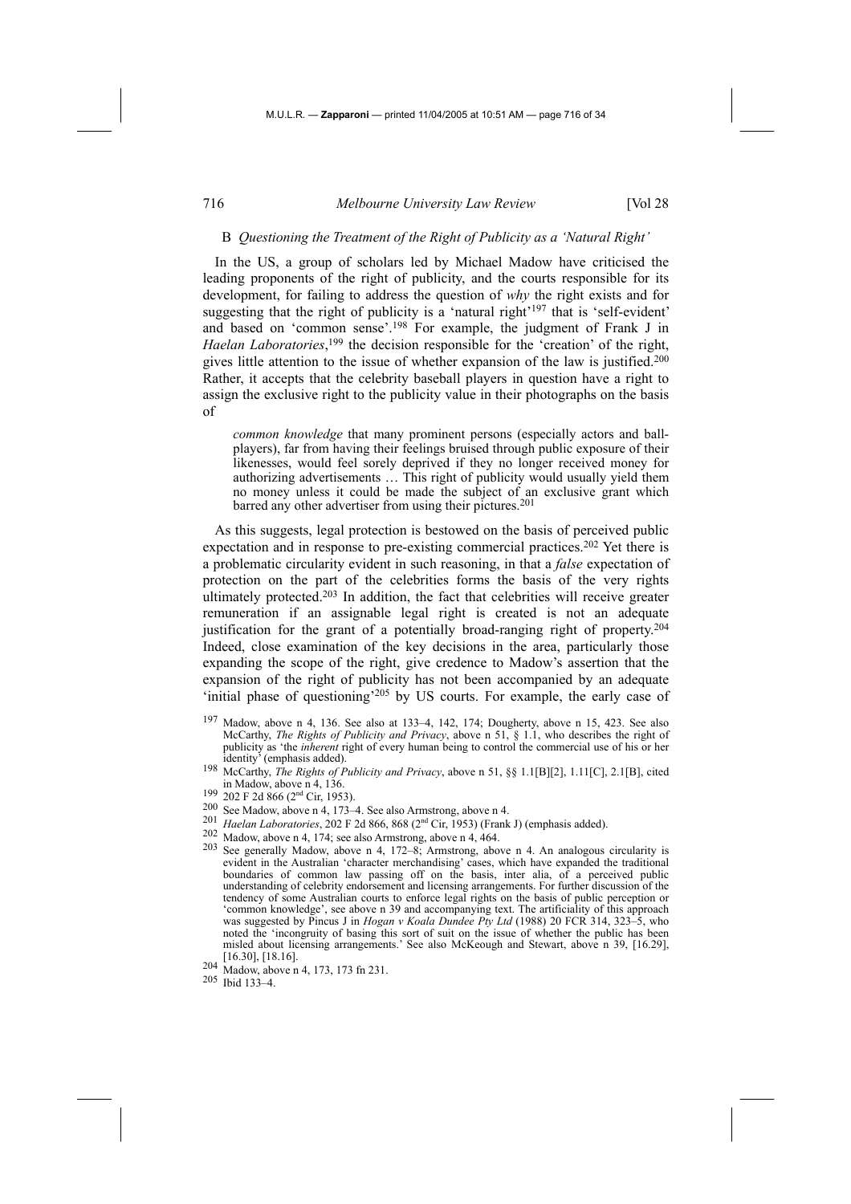#### B *Questioning the Treatment of the Right of Publicity as a 'Natural Right'*

In the US, a group of scholars led by Michael Madow have criticised the leading proponents of the right of publicity, and the courts responsible for its development, for failing to address the question of *why* the right exists and for suggesting that the right of publicity is a 'natural right'197 that is 'self-evident' and based on 'common sense'.198 For example, the judgment of Frank J in *Haelan Laboratories*, 199 the decision responsible for the 'creation' of the right, gives little attention to the issue of whether expansion of the law is justified.200 Rather, it accepts that the celebrity baseball players in question have a right to assign the exclusive right to the publicity value in their photographs on the basis of

*common knowledge* that many prominent persons (especially actors and ballplayers), far from having their feelings bruised through public exposure of their likenesses, would feel sorely deprived if they no longer received money for authorizing advertisements … This right of publicity would usually yield them no money unless it could be made the subject of an exclusive grant which barred any other advertiser from using their pictures.<sup>201</sup>

As this suggests, legal protection is bestowed on the basis of perceived public expectation and in response to pre-existing commercial practices.<sup>202</sup> Yet there is a problematic circularity evident in such reasoning, in that a *false* expectation of protection on the part of the celebrities forms the basis of the very rights ultimately protected.<sup>203</sup> In addition, the fact that celebrities will receive greater remuneration if an assignable legal right is created is not an adequate justification for the grant of a potentially broad-ranging right of property.204 Indeed, close examination of the key decisions in the area, particularly those expanding the scope of the right, give credence to Madow's assertion that the expansion of the right of publicity has not been accompanied by an adequate 'initial phase of questioning'<sup>205</sup> by US courts. For example, the early case of

- in Madow, above n 4, 136.
- 
- 
- 
- 
- <sup>199</sup> 202 F 2d 866 (2<sup>nd</sup> Cir, 1953).<br>
<sup>200</sup> See Madow, above n 4, 173–4. See also Armstrong, above n 4.<br>
<sup>201</sup> *Haelan Laboratories*, 202 F 2d 866, 868 (2<sup>nd</sup> Cir, 1953) (Frank J) (emphasis added).<br>
<sup>202</sup> Madow, above n evident in the Australian 'character merchandising' cases, which have expanded the traditional boundaries of common law passing off on the basis, inter alia, of a perceived public understanding of celebrity endorsement and licensing arrangements. For further discussion of the tendency of some Australian courts to enforce legal rights on the basis of public perception or 'common knowledge', see above n 39 and accompanying text. The artificiality of this approach was suggested by Pincus J in *Hogan v Koala Dundee Pty Ltd* (1988) 20 FCR 314, 323–5, who noted the 'incongruity of basing this sort of suit on the issue of whether the public has been misled about licensing arrangements.' See also McKeough and Stewart, above n 39, [16.29], [16.30], [18.16].
- 204 Madow, above n 4, 173, 173 fn 231.
- 205 Ibid 133–4.

<sup>197</sup> Madow, above n 4, 136. See also at 133–4, 142, 174; Dougherty, above n 15, 423. See also McCarthy, *The Rights of Publicity and Privacy*, above n 51, § 1.1, who describes the right of publicity as 'the *inherent* right of every human being to control the commercial use of his or her identity' (emphasis added). 198 McCarthy, *The Rights of Publicity and Privacy*, above n 51, §§ 1.1[B][2], 1.11[C], 2.1[B], cited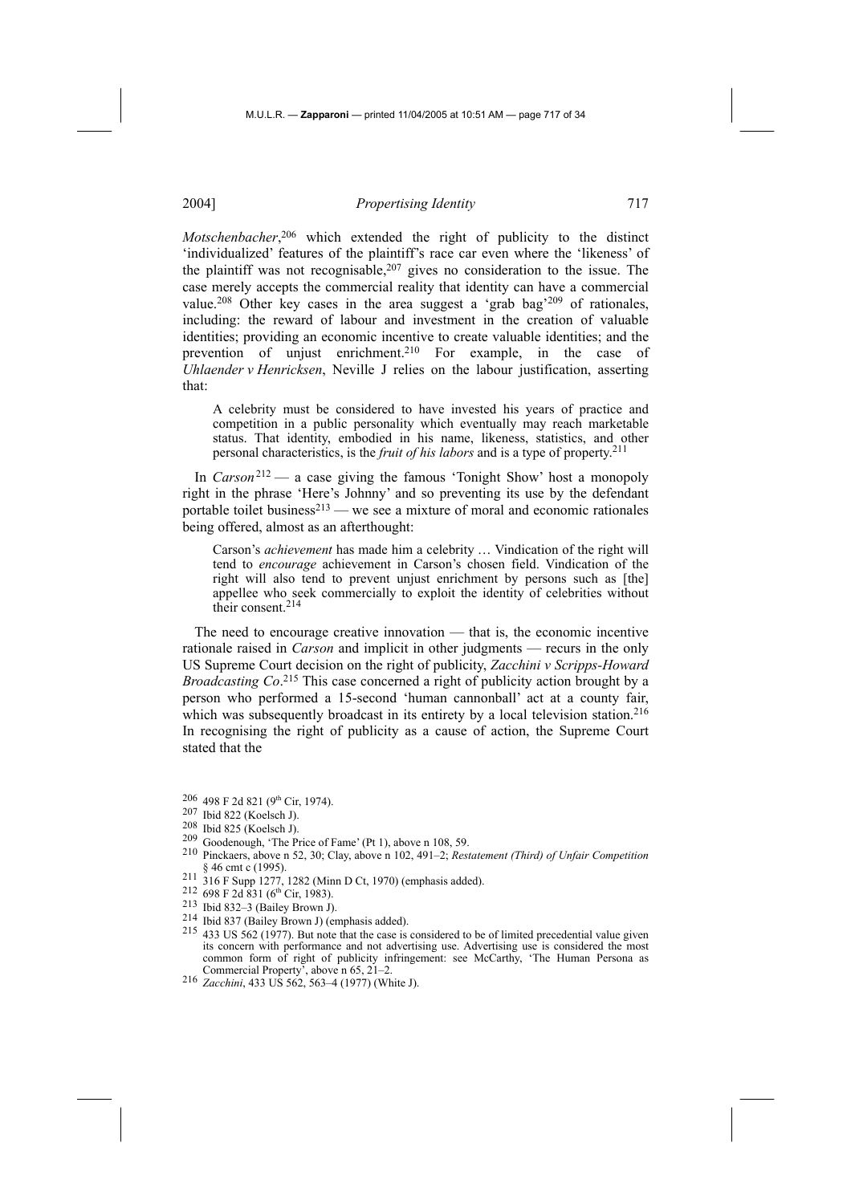*Motschenbacher*, 206 which extended the right of publicity to the distinct 'individualized' features of the plaintiff's race car even where the 'likeness' of the plaintiff was not recognisable, $207$  gives no consideration to the issue. The case merely accepts the commercial reality that identity can have a commercial value.208 Other key cases in the area suggest a 'grab bag'209 of rationales, including: the reward of labour and investment in the creation of valuable identities; providing an economic incentive to create valuable identities; and the prevention of unjust enrichment.<sup>210</sup> For example, in the case of *Uhlaender v Henricksen*, Neville J relies on the labour justification, asserting that:

A celebrity must be considered to have invested his years of practice and competition in a public personality which eventually may reach marketable status. That identity, embodied in his name, likeness, statistics, and other personal characteristics, is the *fruit of his labors* and is a type of property.211

In *Carson*<sup>212</sup> — a case giving the famous 'Tonight Show' host a monopoly right in the phrase 'Here's Johnny' and so preventing its use by the defendant portable toilet business<sup>213</sup> — we see a mixture of moral and economic rationales being offered, almost as an afterthought:

Carson's *achievement* has made him a celebrity … Vindication of the right will tend to *encourage* achievement in Carson's chosen field. Vindication of the right will also tend to prevent unjust enrichment by persons such as [the] appellee who seek commercially to exploit the identity of celebrities without their consent.214

The need to encourage creative innovation — that is, the economic incentive rationale raised in *Carson* and implicit in other judgments — recurs in the only US Supreme Court decision on the right of publicity, *Zacchini v Scripps-Howard Broadcasting Co*. 215 This case concerned a right of publicity action brought by a person who performed a 15-second 'human cannonball' act at a county fair, which was subsequently broadcast in its entirety by a local television station.<sup>216</sup> In recognising the right of publicity as a cause of action, the Supreme Court stated that the

- 
- 
- 
- 
- 211 316 F Supp 1277, 1282 (Minn D Ct, 1970) (emphasis added).<br>
212 698 F 2d 831 (6<sup>th</sup> Cir, 1983).<br>
<sup>213</sup> Ibid 832–3 (Bailey Brown J).<br>
<sup>214</sup> Ibid 837 (Bailey Brown J) (emphasis added).<br>
<sup>214</sup> Ibid 837 (Bailey Brown J) (e its concern with performance and not advertising use. Advertising use is considered the most common form of right of publicity infringement: see McCarthy, 'The Human Persona as Commercial Property', above n 65, 21–2.
- 216 *Zacchini*, 433 US 562, 563–4 (1977) (White J).

<sup>206 498</sup> F 2d 821 (9<sup>th</sup> Cir, 1974).<br>
207 Ibid 822 (Koelsch J).<br>
208 Ibid 825 (Koelsch J).<br>
209 Goodenough, 'The Price of Fame' (Pt 1), above n 108, 59.<br>
210 Pinckaers, above n 52, 30; Clay, above n 102, 491–2; *Restatemen*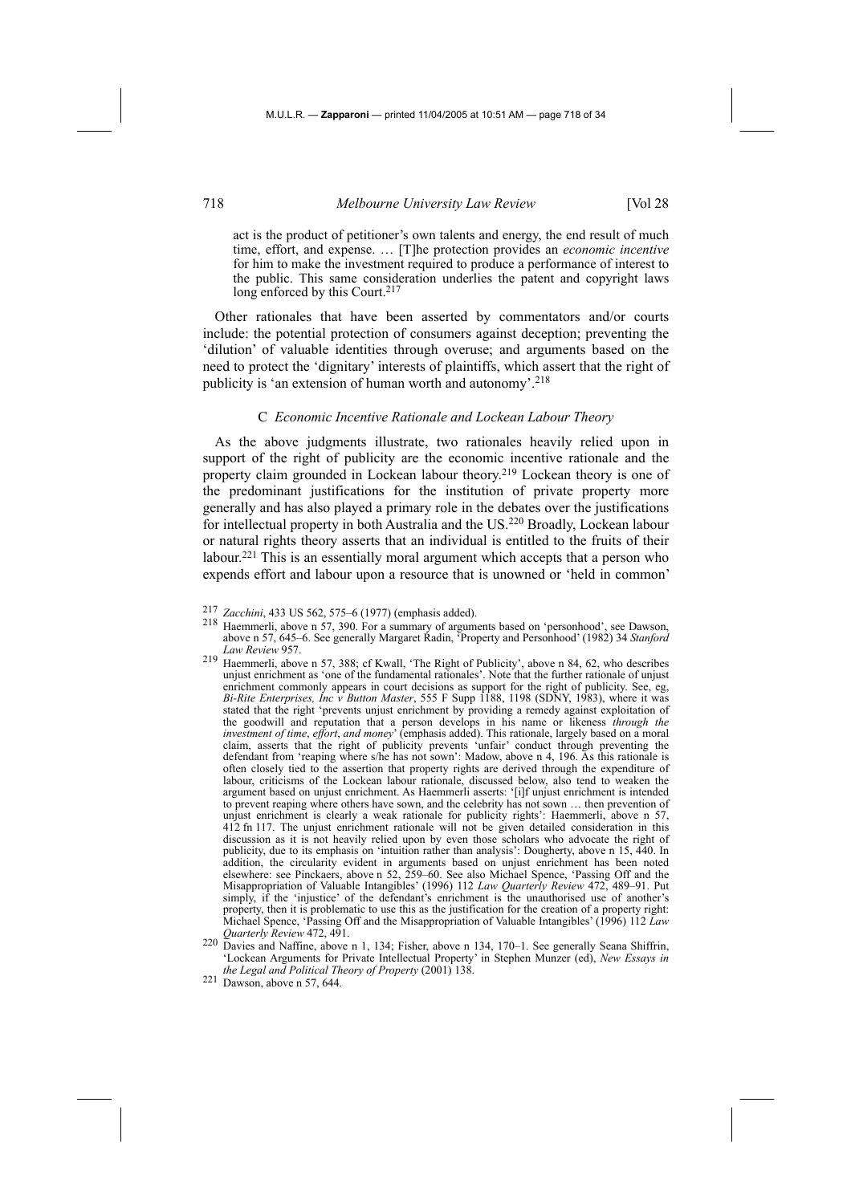act is the product of petitioner's own talents and energy, the end result of much time, effort, and expense. … [T]he protection provides an *economic incentive* for him to make the investment required to produce a performance of interest to the public. This same consideration underlies the patent and copyright laws long enforced by this Court.<sup>217</sup>

Other rationales that have been asserted by commentators and/or courts include: the potential protection of consumers against deception; preventing the 'dilution' of valuable identities through overuse; and arguments based on the need to protect the 'dignitary' interests of plaintiffs, which assert that the right of publicity is 'an extension of human worth and autonomy'.<sup>218</sup>

#### C *Economic Incentive Rationale and Lockean Labour Theory*

As the above judgments illustrate, two rationales heavily relied upon in support of the right of publicity are the economic incentive rationale and the property claim grounded in Lockean labour theory.<sup>219</sup> Lockean theory is one of the predominant justifications for the institution of private property more generally and has also played a primary role in the debates over the justifications for intellectual property in both Australia and the US.220 Broadly, Lockean labour or natural rights theory asserts that an individual is entitled to the fruits of their labour.221 This is an essentially moral argument which accepts that a person who expends effort and labour upon a resource that is unowned or 'held in common'

- <sup>217</sup>*Zacchini*, 433 US 562, 575–6 (1977) (emphasis added). 218 Haemmerli, above n 57, 390. For a summary of arguments based on 'personhood', see Dawson, above n 57, 645–6. See generally Margaret Radin, 'Property and Personhood' (1982) 34 *Stanford Law Review* 957.
- 219 Haemmerli, above n 57, 388; cf Kwall, 'The Right of Publicity', above n 84, 62, who describes unjust enrichment as 'one of the fundamental rationales'. Note that the further rationale of unjust enrichment commonly appears in court decisions as support for the right of publicity. See, eg, *Bi-Rite Enterprises, Inc v Button Master*, 555 F Supp 1188, 1198 (SDNY, 1983), where it was stated that the right 'prevents unjust enrichment by providing a remedy against exploitation of the goodwill and reputation that a person develops in his name or likeness *through the investment of time*, *effort*, *and money*' (emphasis added). This rationale, largely based on a moral claim, asserts that the right of publicity prevents 'unfair' conduct through preventing the defendant from 'reaping where s/he has not sown': Madow, above n 4, 196. As this rationale is often closely tied to the assertion that property rights are derived through the expenditure of labour, criticisms of the Lockean labour rationale, discussed below, also tend to weaken the argument based on unjust enrichment. As Haemmerli asserts: '[i]f unjust enrichment is intended to prevent reaping where others have sown, and the celebrity has not sown … then prevention of unjust enrichment is clearly a weak rationale for publicity rights': Haemmerli, above n 57, 412 fn 117. The unjust enrichment rationale will not be given detailed consideration in this discussion as it is not heavily relied upon by even those scholars who advocate the right of publicity, due to its emphasis on 'intuition rather than analysis': Dougherty, above n 15, 440. In addition, the circularity evident in arguments based on unjust enrichment has been noted elsewhere: see Pinckaers, above n 52, 259–60. See also Michael Spence, 'Passing Off and the Misappropriation of Valuable Intangibles' (1996) 112 *Law Quarterly Review* 472, 489–91. Put simply, if the 'injustice' of the defendant's enrichment is the unauthorised use of another's property, then it is problematic to use this as the justification for the creation of a property right: Michael Spence, 'Passing Off and the Misappropriation of Valuable Intangibles' (1996) 112 *Law Quarterly Review* 472, 491.
- 220 Davies and Naffine, above n 1, 134; Fisher, above n 134, 170–1. See generally Seana Shiffrin, 'Lockean Arguments for Private Intellectual Property' in Stephen Munzer (ed), *New Essays in the Legal and Political Theory of Property* (2001) 138. 221 Dawson, above n 57, 644.
-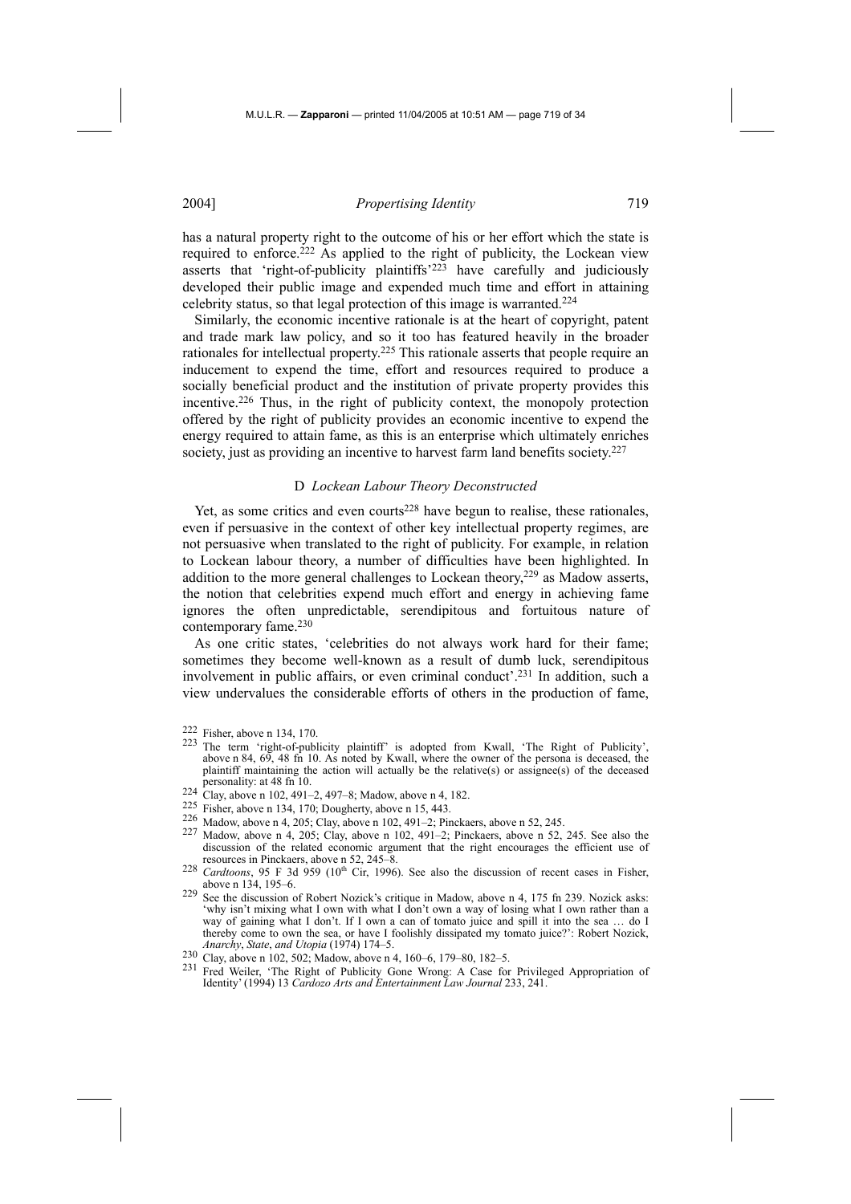has a natural property right to the outcome of his or her effort which the state is required to enforce.222 As applied to the right of publicity, the Lockean view asserts that 'right-of-publicity plaintiffs'223 have carefully and judiciously developed their public image and expended much time and effort in attaining celebrity status, so that legal protection of this image is warranted.224

Similarly, the economic incentive rationale is at the heart of copyright, patent and trade mark law policy, and so it too has featured heavily in the broader rationales for intellectual property.225 This rationale asserts that people require an inducement to expend the time, effort and resources required to produce a socially beneficial product and the institution of private property provides this incentive.226 Thus, in the right of publicity context, the monopoly protection offered by the right of publicity provides an economic incentive to expend the energy required to attain fame, as this is an enterprise which ultimately enriches society, just as providing an incentive to harvest farm land benefits society.<sup>227</sup>

#### D *Lockean Labour Theory Deconstructed*

Yet, as some critics and even courts<sup>228</sup> have begun to realise, these rationales, even if persuasive in the context of other key intellectual property regimes, are not persuasive when translated to the right of publicity. For example, in relation to Lockean labour theory, a number of difficulties have been highlighted. In addition to the more general challenges to Lockean theory,<sup>229</sup> as Madow asserts, the notion that celebrities expend much effort and energy in achieving fame ignores the often unpredictable, serendipitous and fortuitous nature of contemporary fame.230

As one critic states, 'celebrities do not always work hard for their fame; sometimes they become well-known as a result of dumb luck, serendipitous involvement in public affairs, or even criminal conduct'.231 In addition, such a view undervalues the considerable efforts of others in the production of fame,

- 223 The term 'right-of-publicity plaintiff' is adopted from Kwall, 'The Right of Publicity', above n 84, 69, 48 fn 10. As noted by Kwall, where the owner of the persona is deceased, the plaintiff maintaining the action will actually be the relative(s) or assignee(s) of the deceased personality: at 48 fn 10.<br>
<sup>224</sup> Clay, above n 102, 491–2, 497–8; Madow, above n 4, 182.<br>
<sup>225</sup> Fisher, above n 134, 170; Dougherty, above n 15, 443.
- 
- 
- 226 Madow, above n 4, 205; Clay, above n 102, 491–2; Pinckaers, above n 52, 245.
- Madow, above n 4, 205; Clay, above n 102, 491–2; Pinckaers, above n 52, 245. See also the discussion of the related economic argument that the right encourages the efficient use of resources in Pinckaers, above n 52, 245–8.
- <sup>228</sup> *Cardtoons*, 95 F 3d 959 (10<sup>th</sup> Cir, 1996). See also the discussion of recent cases in Fisher, above n 134, 195–6.
- 229 See the discussion of Robert Nozick's critique in Madow, above n 4, 175 fn 239. Nozick asks: 'why isn't mixing what I own with what I don't own a way of losing what I own rather than a way of gaining what I don't. If I own a can of tomato juice and spill it into the sea … do I thereby come to own the sea, or have I foolishly dissipated my tomato juice?': Robert Nozick, *Anarchy*, *State*, *and Utopia* (1974) 174–5. 230 Clay, above n 102, 502; Madow, above n 4, 160–6, 179–80, 182–5.
- 
- 231 Fred Weiler, 'The Right of Publicity Gone Wrong: A Case for Privileged Appropriation of Identity' (1994) 13 *Cardozo Arts and Entertainment Law Journal* 233, 241.

<sup>222</sup> Fisher, above n 134, 170.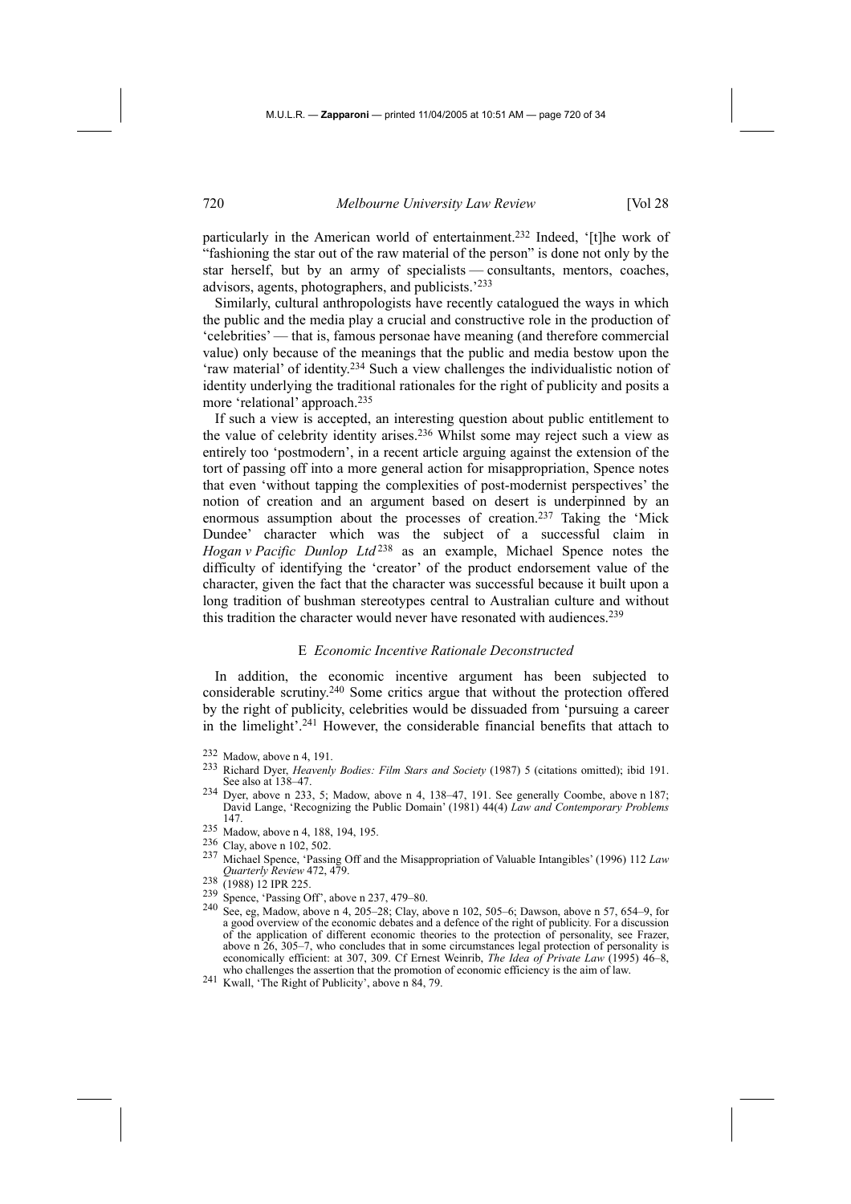particularly in the American world of entertainment.<sup>232</sup> Indeed, '[t]he work of "fashioning the star out of the raw material of the person" is done not only by the star herself, but by an army of specialists — consultants, mentors, coaches, advisors, agents, photographers, and publicists.'233

Similarly, cultural anthropologists have recently catalogued the ways in which the public and the media play a crucial and constructive role in the production of 'celebrities' — that is, famous personae have meaning (and therefore commercial value) only because of the meanings that the public and media bestow upon the 'raw material' of identity.234 Such a view challenges the individualistic notion of identity underlying the traditional rationales for the right of publicity and posits a more 'relational' approach.235

If such a view is accepted, an interesting question about public entitlement to the value of celebrity identity arises.236 Whilst some may reject such a view as entirely too 'postmodern', in a recent article arguing against the extension of the tort of passing off into a more general action for misappropriation, Spence notes that even 'without tapping the complexities of post-modernist perspectives' the notion of creation and an argument based on desert is underpinned by an enormous assumption about the processes of creation.237 Taking the 'Mick Dundee' character which was the subject of a successful claim in *Hogan v Pacific Dunlop Ltd* 238 as an example, Michael Spence notes the difficulty of identifying the 'creator' of the product endorsement value of the character, given the fact that the character was successful because it built upon a long tradition of bushman stereotypes central to Australian culture and without this tradition the character would never have resonated with audiences.<sup>239</sup>

#### E *Economic Incentive Rationale Deconstructed*

In addition, the economic incentive argument has been subjected to considerable scrutiny.240 Some critics argue that without the protection offered by the right of publicity, celebrities would be dissuaded from 'pursuing a career in the limelight'.241 However, the considerable financial benefits that attach to

- 234 Dyer, above n 233, 5; Madow, above n 4, 138–47, 191. See generally Coombe, above n 187; David Lange, 'Recognizing the Public Domain' (1981) 44(4) *Law and Contemporary Problems* 147.
- 235 Madow, above n 4, 188, 194, 195.<br>236 Clay, above n 102, 502.
- 
- 236 Clay, above n 102, 502. 237 Michael Spence, 'Passing Off and the Misappropriation of Valuable Intangibles' (1996) 112 *Law Quarterly Review* 472, 479.
- 
- 238 (1988) 12 IPR 225.<br>
239 Spence, 'Passing Off', above n 237, 479–80.
- 240 See, eg, Madow, above n 4, 205–28; Clay, above n 102, 505–6; Dawson, above n 57, 654–9, for a good overview of the economic debates and a defence of the right of publicity. For a discussion of the application of different economic theories to the protection of personality, see Frazer, above n  $26$ , 305–7, who concludes that in some circumstances legal protection of personality is economically efficient: at 307, 309. Cf Ernest Weinrib, *The Idea of Private Law* (1995) 46–8, who challenges the assertion that the promotion of economic efficiency is the aim of law. 241 Kwall, 'The Right of Publicity', above n 84, 79.

<sup>232</sup> Madow, above n 4, 191.

<sup>233</sup> Richard Dyer, *Heavenly Bodies: Film Stars and Society* (1987) 5 (citations omitted); ibid 191. See also at 138-47.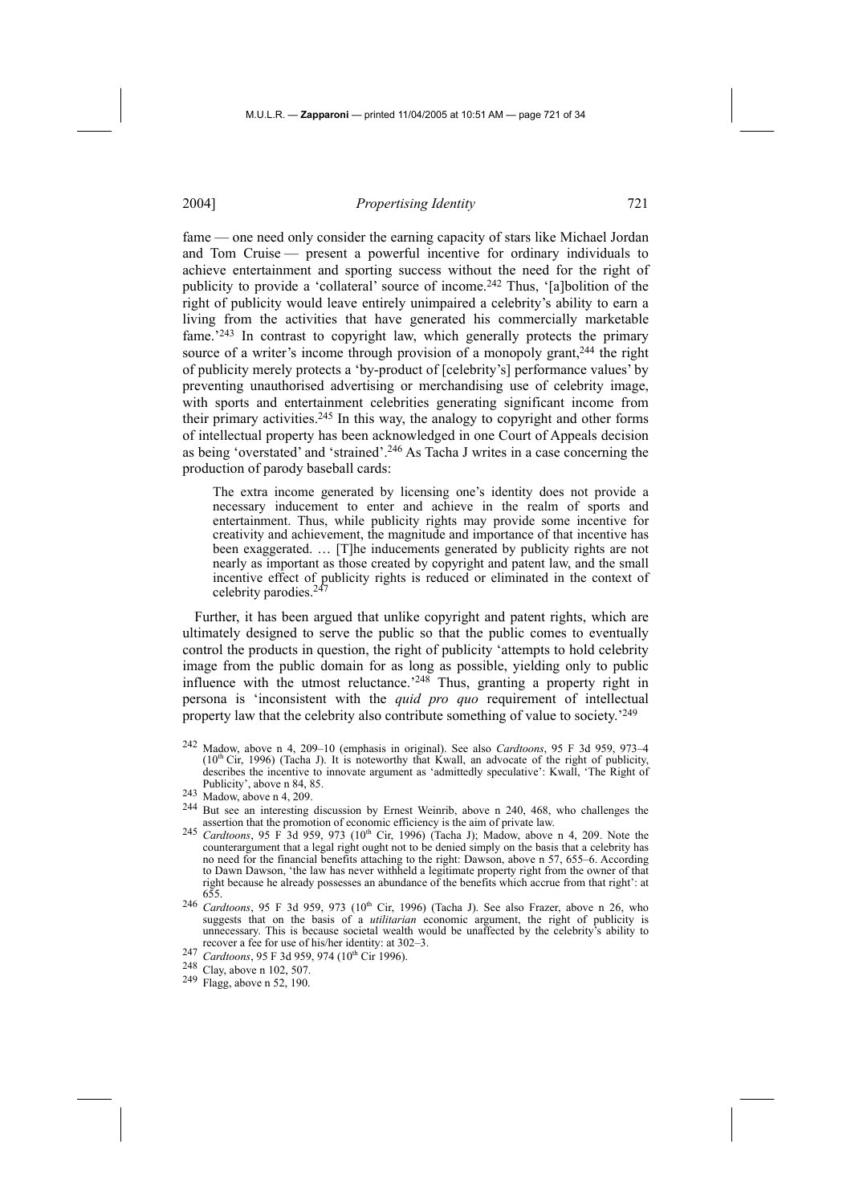fame — one need only consider the earning capacity of stars like Michael Jordan and Tom Cruise — present a powerful incentive for ordinary individuals to achieve entertainment and sporting success without the need for the right of publicity to provide a 'collateral' source of income.<sup>242</sup> Thus, '[a]bolition of the right of publicity would leave entirely unimpaired a celebrity's ability to earn a living from the activities that have generated his commercially marketable fame.'243 In contrast to copyright law, which generally protects the primary source of a writer's income through provision of a monopoly grant,<sup>244</sup> the right of publicity merely protects a 'by-product of [celebrity's] performance values' by preventing unauthorised advertising or merchandising use of celebrity image, with sports and entertainment celebrities generating significant income from their primary activities.245 In this way, the analogy to copyright and other forms of intellectual property has been acknowledged in one Court of Appeals decision as being 'overstated' and 'strained'.246 As Tacha J writes in a case concerning the production of parody baseball cards:

The extra income generated by licensing one's identity does not provide a necessary inducement to enter and achieve in the realm of sports and entertainment. Thus, while publicity rights may provide some incentive for creativity and achievement, the magnitude and importance of that incentive has been exaggerated. … [T]he inducements generated by publicity rights are not nearly as important as those created by copyright and patent law, and the small incentive effect of publicity rights is reduced or eliminated in the context of celebrity parodies.<sup>247</sup>

Further, it has been argued that unlike copyright and patent rights, which are ultimately designed to serve the public so that the public comes to eventually control the products in question, the right of publicity 'attempts to hold celebrity image from the public domain for as long as possible, yielding only to public influence with the utmost reluctance.<sup>'248</sup> Thus, granting a property right in persona is 'inconsistent with the *quid pro quo* requirement of intellectual property law that the celebrity also contribute something of value to society.'249

<sup>242</sup> Madow, above n 4, 209–10 (emphasis in original). See also *Cardtoons*, 95 F 3d 959, 973–4  $(10<sup>th</sup> Cir, 1996)$  (Tacha J). It is noteworthy that Kwall, an advocate of the right of publicity, describes the incentive to innovate argument as 'admittedly speculative': Kwall, 'The Right of

 $243$  Madow, above n 4, 209.

<sup>&</sup>lt;sup>244</sup> But see an interesting discussion by Ernest Weinrib, above n  $240$ ,  $468$ , who challenges the assertion that the promotion of economic efficiency is the aim of private law.

assertion that the promotion of economic efficiency is the aim of private law. 245 *Cardtoons*, 95 F 3d 959, 973 (10th Cir, 1996) (Tacha J); Madow, above n 4, 209. Note the counterargument that a legal right ought not to be denied simply on the basis that a celebrity has no need for the financial benefits attaching to the right: Dawson, above n 57, 655–6. According to Dawn Dawson, 'the law has never withheld a legitimate property right from the owner of that right because he already possesses an abundance of the benefits which accrue from that right': at 655.

<sup>&</sup>lt;sup>246</sup> *Cardtoons*, 95 F 3d 959, 973 (10<sup>th</sup> Cir, 1996) (Tacha J). See also Frazer, above n 26, who suggests that on the basis of a *utilitarian* economic argument, the right of publicity is unnecessary. This is because societal wealth would be unaffected by the celebrity's ability to recover a fee for use of his/her identity: at 302–3.

<sup>&</sup>lt;sup>247</sup> *Cardtoons*, 95 F 3d 959, 974 (10<sup>th</sup> Cir 1996).<br><sup>248</sup> Clay, above n 102, 507.<br><sup>249</sup> Flagg, above n 52, 190.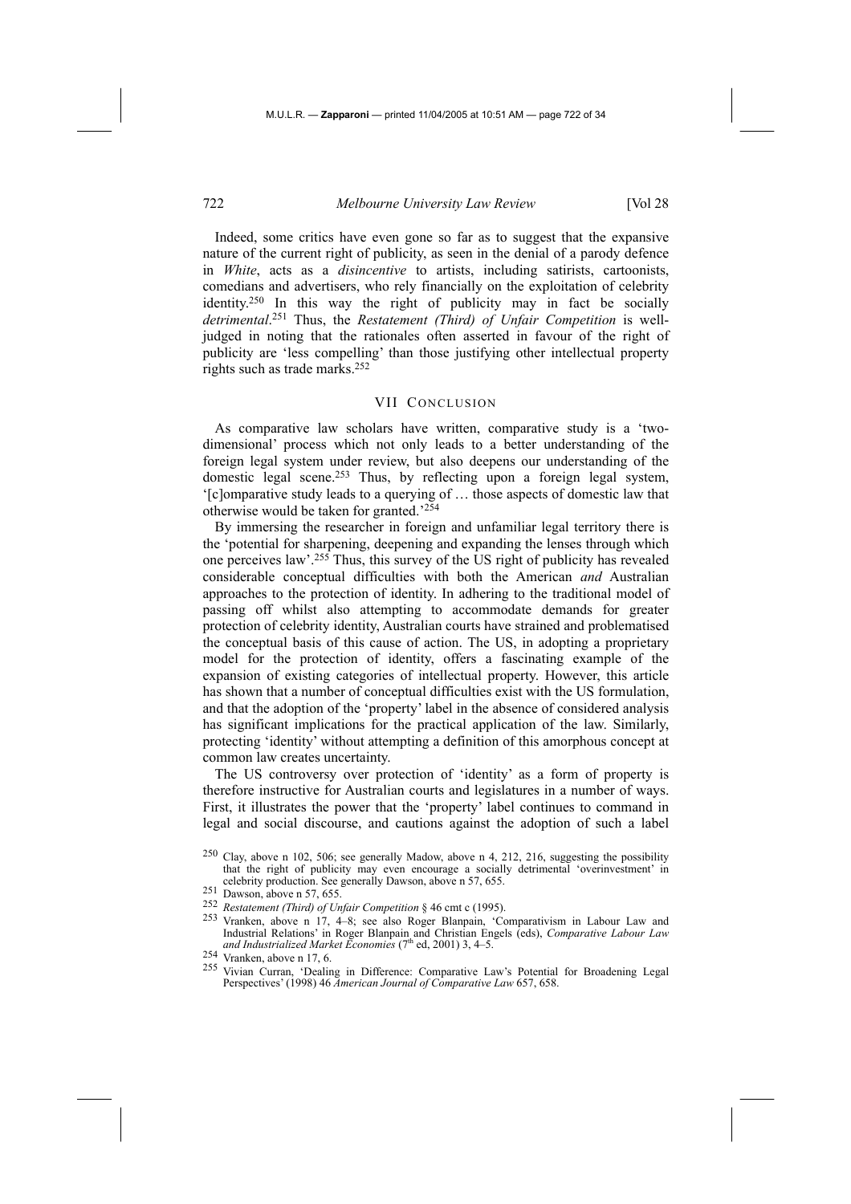Indeed, some critics have even gone so far as to suggest that the expansive nature of the current right of publicity, as seen in the denial of a parody defence in *White*, acts as a *disincentive* to artists, including satirists, cartoonists, comedians and advertisers, who rely financially on the exploitation of celebrity identity.250 In this way the right of publicity may in fact be socially *detrimental*. 251 Thus, the *Restatement (Third) of Unfair Competition* is welljudged in noting that the rationales often asserted in favour of the right of publicity are 'less compelling' than those justifying other intellectual property rights such as trade marks.252

## VII CONCLUSION

As comparative law scholars have written, comparative study is a 'twodimensional' process which not only leads to a better understanding of the foreign legal system under review, but also deepens our understanding of the domestic legal scene.253 Thus, by reflecting upon a foreign legal system, '[c]omparative study leads to a querying of … those aspects of domestic law that otherwise would be taken for granted.'254

By immersing the researcher in foreign and unfamiliar legal territory there is the 'potential for sharpening, deepening and expanding the lenses through which one perceives law'.255 Thus, this survey of the US right of publicity has revealed considerable conceptual difficulties with both the American *and* Australian approaches to the protection of identity. In adhering to the traditional model of passing off whilst also attempting to accommodate demands for greater protection of celebrity identity, Australian courts have strained and problematised the conceptual basis of this cause of action. The US, in adopting a proprietary model for the protection of identity, offers a fascinating example of the expansion of existing categories of intellectual property. However, this article has shown that a number of conceptual difficulties exist with the US formulation, and that the adoption of the 'property' label in the absence of considered analysis has significant implications for the practical application of the law. Similarly, protecting 'identity' without attempting a definition of this amorphous concept at common law creates uncertainty.

The US controversy over protection of 'identity' as a form of property is therefore instructive for Australian courts and legislatures in a number of ways. First, it illustrates the power that the 'property' label continues to command in legal and social discourse, and cautions against the adoption of such a label

- celebrity production. See generally Dawson, above n 57, 655.<br>
<sup>251</sup> Dawson, above n 57, 655.<br>
<sup>252</sup> Restatement (Third) of Unfair Competition § 46 cmt c (1995).
- <sup>253</sup> Vranken, above n 17, 4–8; see also Roger Blanpain, 'Comparativism in Labour Law and Industrial Relations' in Roger Blanpain and Christian Engels (eds), *Comparative Labour Law and Industrialized Market Economies* (7<sup>th</sup> ed, 2001) 3, 4–5. 254 Vranken, above n 17, 6.

<sup>250</sup> Clay, above n 102, 506; see generally Madow, above n 4, 212, 216, suggesting the possibility that the right of publicity may even encourage a socially detrimental 'overinvestment' in

<sup>&</sup>lt;sup>254</sup> Vranken, above n 17, 6.<br><sup>255</sup> Vivian Curran, 'Dealing in Difference: Comparative Law's Potential for Broadening Legal Perspectives' (1998) 46 *American Journal of Comparative Law* 657, 658.